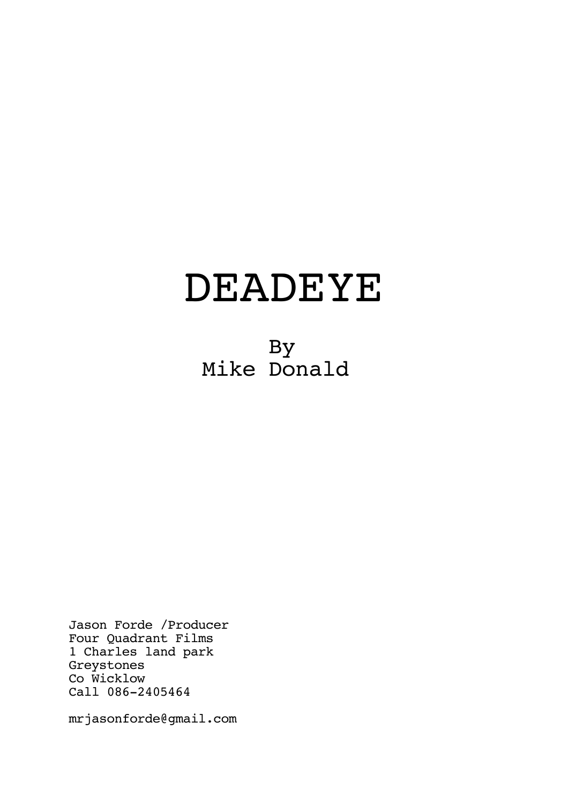# DEADEYE

 By Mike Donald

Jason Forde /Producer Four Quadrant Films 1 Charles land park Greystones Co Wicklow Call 086-2405464

mrjasonforde@gmail.com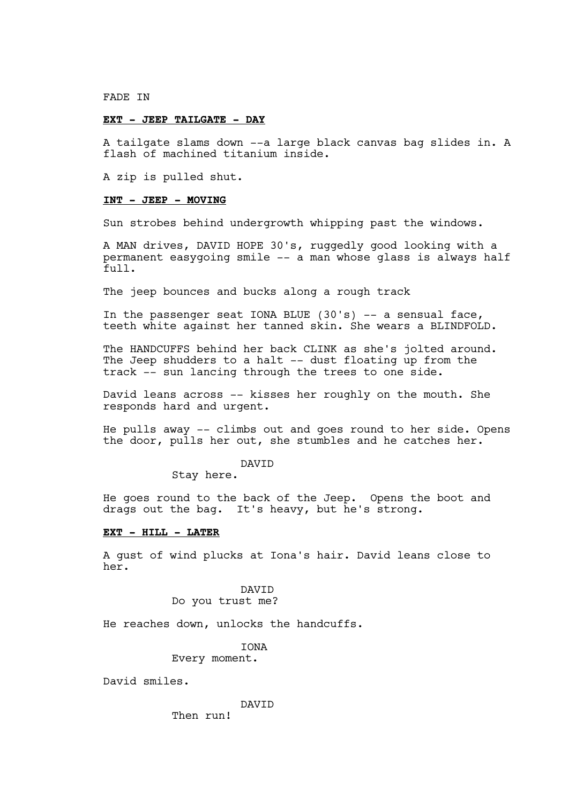FADE IN

## **EXT - JEEP TAILGATE - DAY**

A tailgate slams down --a large black canvas bag slides in. A flash of machined titanium inside.

A zip is pulled shut.

## **INT - JEEP - MOVING**

Sun strobes behind undergrowth whipping past the windows.

A MAN drives, DAVID HOPE 30's, ruggedly good looking with a permanent easygoing smile -- a man whose glass is always half full.

The jeep bounces and bucks along a rough track

In the passenger seat IONA BLUE  $(30's)$  -- a sensual face, teeth white against her tanned skin. She wears a BLINDFOLD.

The HANDCUFFS behind her back CLINK as she's jolted around. The Jeep shudders to a halt -- dust floating up from the track -- sun lancing through the trees to one side.

David leans across -- kisses her roughly on the mouth. She responds hard and urgent.

He pulls away -- climbs out and goes round to her side. Opens the door, pulls her out, she stumbles and he catches her.

## DAVID

Stay here.

He goes round to the back of the Jeep. Opens the boot and drags out the bag. It's heavy, but he's strong.

#### **EXT - HILL - LATER**

A gust of wind plucks at Iona's hair. David leans close to her.

> DAVID Do you trust me?

He reaches down, unlocks the handcuffs.

**TONA** 

Every moment.

David smiles.

DAVID

Then run!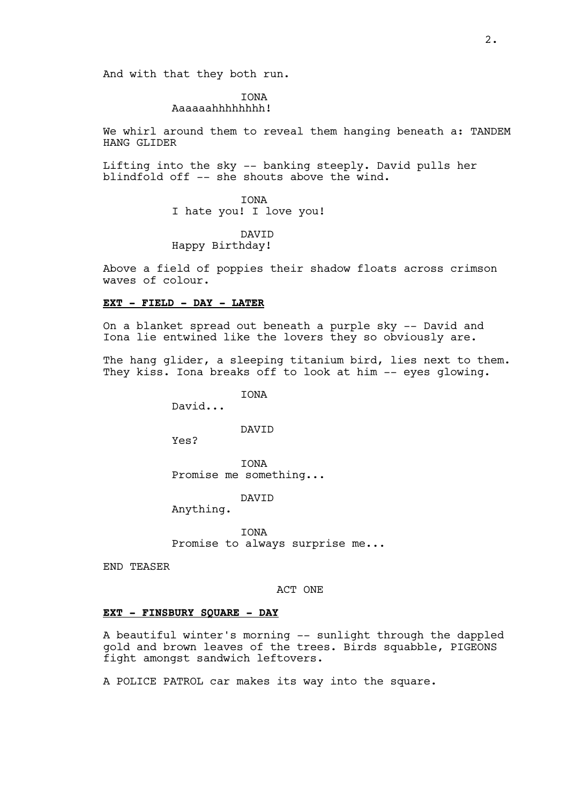And with that they both run.

## IONA Aaaaaahhhhhhhh!

We whirl around them to reveal them hanging beneath a: TANDEM HANG GLIDER

Lifting into the sky -- banking steeply. David pulls her blindfold off -- she shouts above the wind.

> IONA I hate you! I love you!

DAVID Happy Birthday!

Above a field of poppies their shadow floats across crimson waves of colour.

## **EXT - FIELD - DAY - LATER**

On a blanket spread out beneath a purple sky -- David and Iona lie entwined like the lovers they so obviously are.

The hang glider, a sleeping titanium bird, lies next to them. They kiss. Iona breaks off to look at him -- eyes glowing.

**TONA** 

David...

DAVID

Yes?

IONA Promise me something...

DAVID

Anything.

IONA Promise to always surprise me...

END TEASER

## ACT ONE

## **EXT - FINSBURY SQUARE - DAY**

A beautiful winter's morning -- sunlight through the dappled gold and brown leaves of the trees. Birds squabble, PIGEONS fight amongst sandwich leftovers.

A POLICE PATROL car makes its way into the square.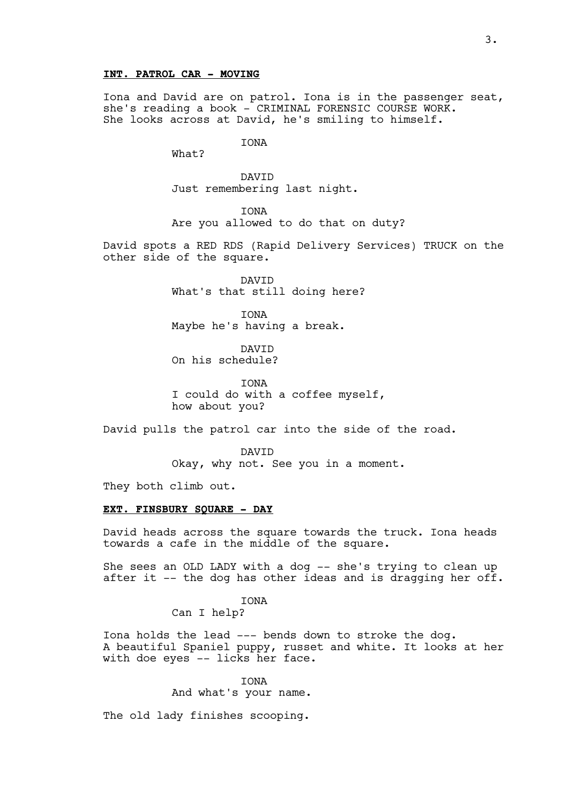## **INT. PATROL CAR - MOVING**

Iona and David are on patrol. Iona is in the passenger seat, she's reading a book - CRIMINAL FORENSIC COURSE WORK. She looks across at David, he's smiling to himself.

IONA

What?

DAVID Just remembering last night.

IONA

Are you allowed to do that on duty?

David spots a RED RDS (Rapid Delivery Services) TRUCK on the other side of the square.

> DAVID What's that still doing here?

IONA Maybe he's having a break.

DAVID On his schedule?

**TONA** I could do with a coffee myself, how about you?

David pulls the patrol car into the side of the road.

DAVID Okay, why not. See you in a moment.

They both climb out.

## **EXT. FINSBURY SQUARE - DAY**

David heads across the square towards the truck. Iona heads towards a cafe in the middle of the square.

She sees an OLD LADY with a dog -- she's trying to clean up after it -- the dog has other ideas and is dragging her off.

**TONA** 

Can I help?

Iona holds the lead --- bends down to stroke the dog. A beautiful Spaniel puppy, russet and white. It looks at her with doe eyes -- licks her face.

> **TONA** And what's your name.

The old lady finishes scooping.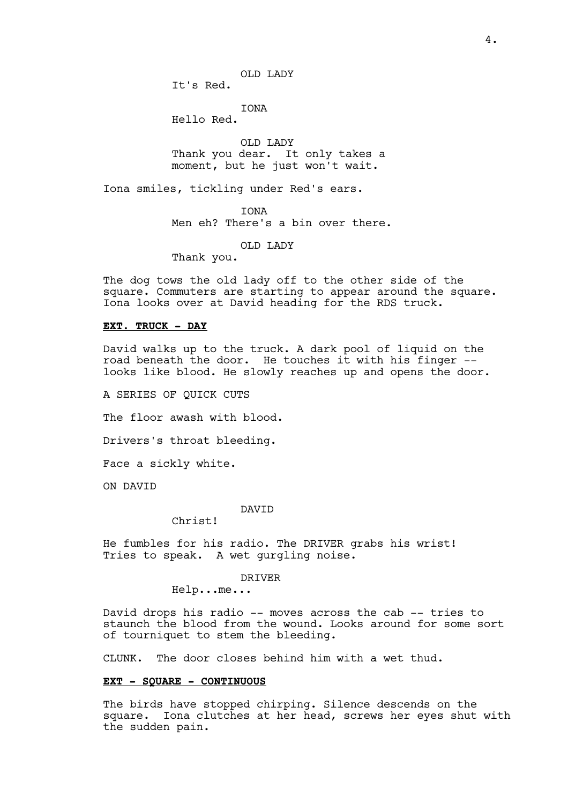It's Red.

IONA

Hello Red.

OLD LADY Thank you dear. It only takes a moment, but he just won't wait.

Iona smiles, tickling under Red's ears.

IONA

Men eh? There's a bin over there.

OLD LADY

Thank you.

The dog tows the old lady off to the other side of the square. Commuters are starting to appear around the square. Iona looks over at David heading for the RDS truck.

#### **EXT. TRUCK - DAY**

David walks up to the truck. A dark pool of liquid on the road beneath the door. He touches it with his finger - looks like blood. He slowly reaches up and opens the door.

A SERIES OF QUICK CUTS

The floor awash with blood.

Drivers's throat bleeding.

Face a sickly white.

ON DAVID

## DAVID

Christ!

He fumbles for his radio. The DRIVER grabs his wrist! Tries to speak. A wet gurgling noise.

#### DRIVER

Help...me...

David drops his radio -- moves across the cab -- tries to staunch the blood from the wound. Looks around for some sort of tourniquet to stem the bleeding.

CLUNK. The door closes behind him with a wet thud.

## **EXT - SQUARE - CONTINUOUS**

The birds have stopped chirping. Silence descends on the square. Iona clutches at her head, screws her eyes shut with the sudden pain.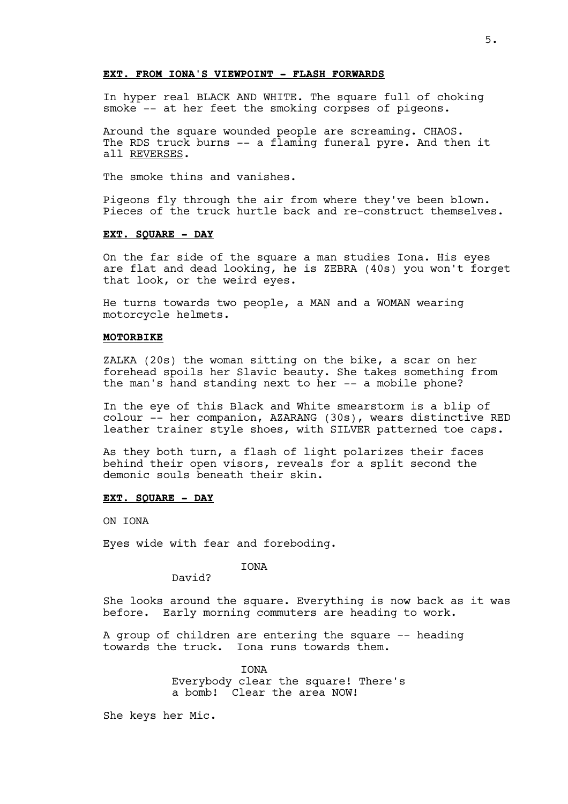# **EXT. FROM IONA'S VIEWPOINT - FLASH FORWARDS**

In hyper real BLACK AND WHITE. The square full of choking smoke -- at her feet the smoking corpses of pigeons.

Around the square wounded people are screaming. CHAOS. The RDS truck burns -- a flaming funeral pyre. And then it all REVERSES.

The smoke thins and vanishes.

Pigeons fly through the air from where they've been blown. Pieces of the truck hurtle back and re-construct themselves.

## **EXT. SQUARE - DAY**

On the far side of the square a man studies Iona. His eyes are flat and dead looking, he is ZEBRA (40s) you won't forget that look, or the weird eyes.

He turns towards two people, a MAN and a WOMAN wearing motorcycle helmets.

#### **MOTORBIKE**

ZALKA (20s) the woman sitting on the bike, a scar on her forehead spoils her Slavic beauty. She takes something from the man's hand standing next to her -- a mobile phone?

In the eye of this Black and White smearstorm is a blip of colour -- her companion, AZARANG (30s), wears distinctive RED leather trainer style shoes, with SILVER patterned toe caps.

As they both turn, a flash of light polarizes their faces behind their open visors, reveals for a split second the demonic souls beneath their skin.

## **EXT. SQUARE - DAY**

ON IONA

Eyes wide with fear and foreboding.

IONA

David?

She looks around the square. Everything is now back as it was before. Early morning commuters are heading to work.

A group of children are entering the square -- heading towards the truck. Iona runs towards them.

**TONA** 

Everybody clear the square! There's a bomb! Clear the area NOW!

She keys her Mic.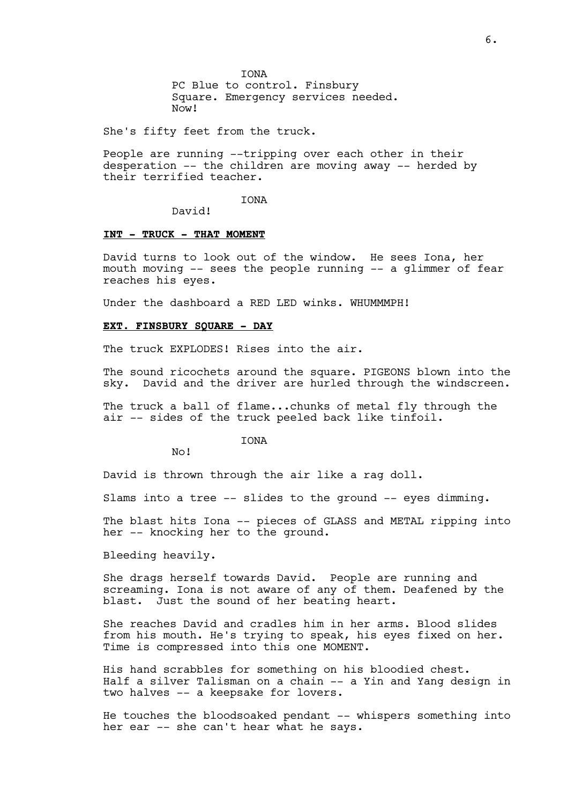IONA PC Blue to control. Finsbury Square. Emergency services needed. Now!

She's fifty feet from the truck.

People are running --tripping over each other in their desperation -- the children are moving away -- herded by their terrified teacher.

**TONA** 

David!

## **INT - TRUCK - THAT MOMENT**

David turns to look out of the window. He sees Iona, her mouth moving -- sees the people running -- a glimmer of fear reaches his eyes.

Under the dashboard a RED LED winks. WHUMMMPH!

#### **EXT. FINSBURY SQUARE - DAY**

The truck EXPLODES! Rises into the air.

The sound ricochets around the square. PIGEONS blown into the sky. David and the driver are hurled through the windscreen.

The truck a ball of flame...chunks of metal fly through the air -- sides of the truck peeled back like tinfoil.

**TONA** 

No!

David is thrown through the air like a rag doll.

Slams into a tree -- slides to the ground -- eyes dimming.

The blast hits Iona -- pieces of GLASS and METAL ripping into her -- knocking her to the ground.

Bleeding heavily.

She drags herself towards David. People are running and screaming. Iona is not aware of any of them. Deafened by the blast. Just the sound of her beating heart.

She reaches David and cradles him in her arms. Blood slides from his mouth. He's trying to speak, his eyes fixed on her. Time is compressed into this one MOMENT.

His hand scrabbles for something on his bloodied chest. Half a silver Talisman on a chain -- a Yin and Yang design in two halves -- a keepsake for lovers.

He touches the bloodsoaked pendant -- whispers something into her ear -- she can't hear what he says.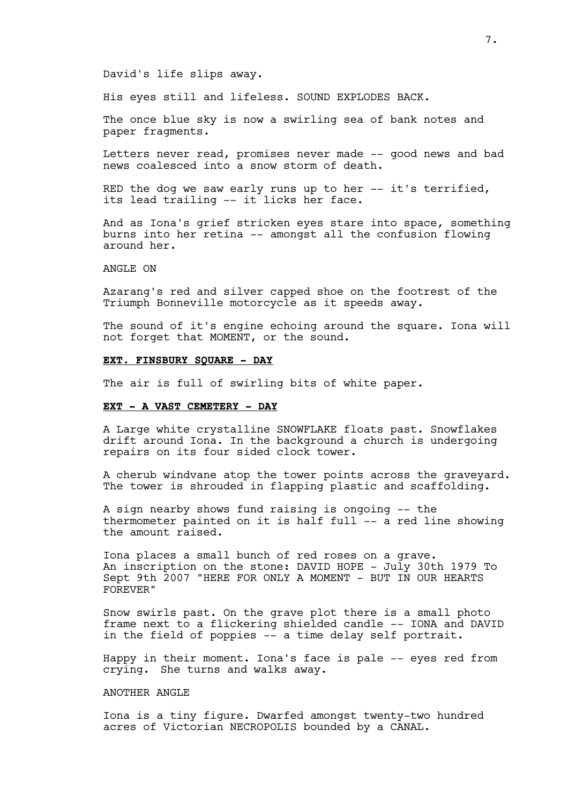#### David's life slips away.

His eyes still and lifeless. SOUND EXPLODES BACK.

The once blue sky is now a swirling sea of bank notes and paper fragments.

Letters never read, promises never made -- good news and bad news coalesced into a snow storm of death.

RED the dog we saw early runs up to her -- it's terrified, its lead trailing -- it licks her face.

And as Iona's grief stricken eyes stare into space, something burns into her retina -- amongst all the confusion flowing around her.

ANGLE ON

Azarang's red and silver capped shoe on the footrest of the Triumph Bonneville motorcycle as it speeds away.

The sound of it's engine echoing around the square. Iona will not forget that MOMENT, or the sound.

## **EXT. FINSBURY SQUARE - DAY**

The air is full of swirling bits of white paper.

## **EXT - A VAST CEMETERY - DAY**

A Large white crystalline SNOWFLAKE floats past. Snowflakes drift around Iona. In the background a church is undergoing repairs on its four sided clock tower.

A cherub windvane atop the tower points across the graveyard. The tower is shrouded in flapping plastic and scaffolding.

A sign nearby shows fund raising is ongoing -- the thermometer painted on it is half full -- a red line showing the amount raised.

Iona places a small bunch of red roses on a grave. An inscription on the stone: DAVID HOPE - July 30th 1979 To Sept 9th 2007 "HERE FOR ONLY A MOMENT - BUT IN OUR HEARTS FOREVER"

Snow swirls past. On the grave plot there is a small photo frame next to a flickering shielded candle -- IONA and DAVID in the field of poppies -- a time delay self portrait.

Happy in their moment. Iona's face is pale -- eyes red from crying. She turns and walks away.

## ANOTHER ANGLE

Iona is a tiny figure. Dwarfed amongst twenty-two hundred acres of Victorian NECROPOLIS bounded by a CANAL.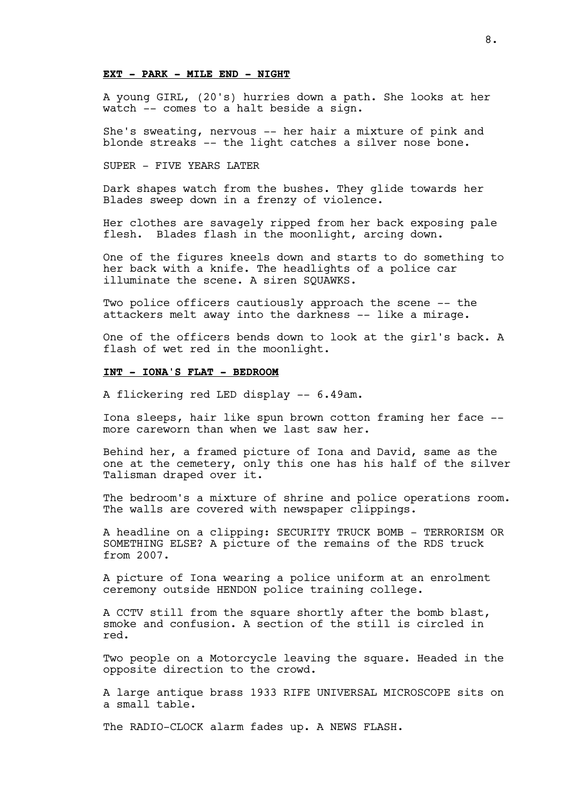## **EXT - PARK - MILE END - NIGHT**

A young GIRL, (20's) hurries down a path. She looks at her watch -- comes to a halt beside a sign.

She's sweating, nervous -- her hair a mixture of pink and blonde streaks -- the light catches a silver nose bone.

SUPER - FIVE YEARS LATER

Dark shapes watch from the bushes. They glide towards her Blades sweep down in a frenzy of violence.

Her clothes are savagely ripped from her back exposing pale flesh. Blades flash in the moonlight, arcing down.

One of the figures kneels down and starts to do something to her back with a knife. The headlights of a police car illuminate the scene. A siren SQUAWKS.

Two police officers cautiously approach the scene -- the attackers melt away into the darkness -- like a mirage.

One of the officers bends down to look at the girl's back. A flash of wet red in the moonlight.

## **INT - IONA'S FLAT - BEDROOM**

A flickering red LED display -- 6.49am.

Iona sleeps, hair like spun brown cotton framing her face - more careworn than when we last saw her.

Behind her, a framed picture of Iona and David, same as the one at the cemetery, only this one has his half of the silver Talisman draped over it.

The bedroom's a mixture of shrine and police operations room. The walls are covered with newspaper clippings.

A headline on a clipping: SECURITY TRUCK BOMB - TERRORISM OR SOMETHING ELSE? A picture of the remains of the RDS truck from 2007.

A picture of Iona wearing a police uniform at an enrolment ceremony outside HENDON police training college.

A CCTV still from the square shortly after the bomb blast, smoke and confusion. A section of the still is circled in red.

Two people on a Motorcycle leaving the square. Headed in the opposite direction to the crowd.

A large antique brass 1933 RIFE UNIVERSAL MICROSCOPE sits on a small table.

The RADIO-CLOCK alarm fades up. A NEWS FLASH.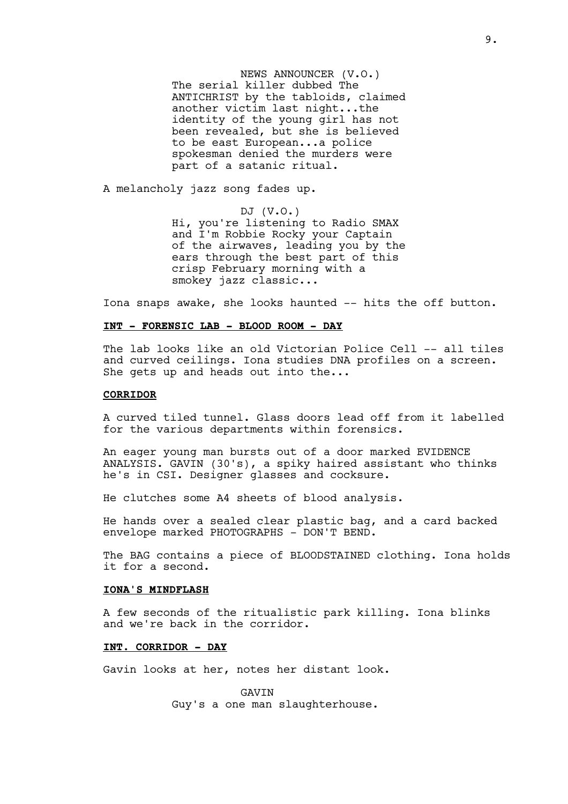NEWS ANNOUNCER (V.O.) The serial killer dubbed The ANTICHRIST by the tabloids, claimed another victim last night...the identity of the young girl has not been revealed, but she is believed to be east European...a police spokesman denied the murders were part of a satanic ritual.

A melancholy jazz song fades up.

DJ (V.O.) Hi, you're listening to Radio SMAX and I'm Robbie Rocky your Captain of the airwaves, leading you by the ears through the best part of this crisp February morning with a smokey jazz classic...

Iona snaps awake, she looks haunted -- hits the off button.

#### **INT - FORENSIC LAB - BLOOD ROOM - DAY**

The lab looks like an old Victorian Police Cell -- all tiles and curved ceilings. Iona studies DNA profiles on a screen. She gets up and heads out into the...

## **CORRIDOR**

A curved tiled tunnel. Glass doors lead off from it labelled for the various departments within forensics.

An eager young man bursts out of a door marked EVIDENCE ANALYSIS. GAVIN (30's), a spiky haired assistant who thinks he's in CSI. Designer glasses and cocksure.

He clutches some A4 sheets of blood analysis.

He hands over a sealed clear plastic bag, and a card backed envelope marked PHOTOGRAPHS - DON'T BEND.

The BAG contains a piece of BLOODSTAINED clothing. Iona holds it for a second.

#### **IONA'S MINDFLASH**

A few seconds of the ritualistic park killing. Iona blinks and we're back in the corridor.

## **INT. CORRIDOR - DAY**

Gavin looks at her, notes her distant look.

GAVIN Guy's a one man slaughterhouse.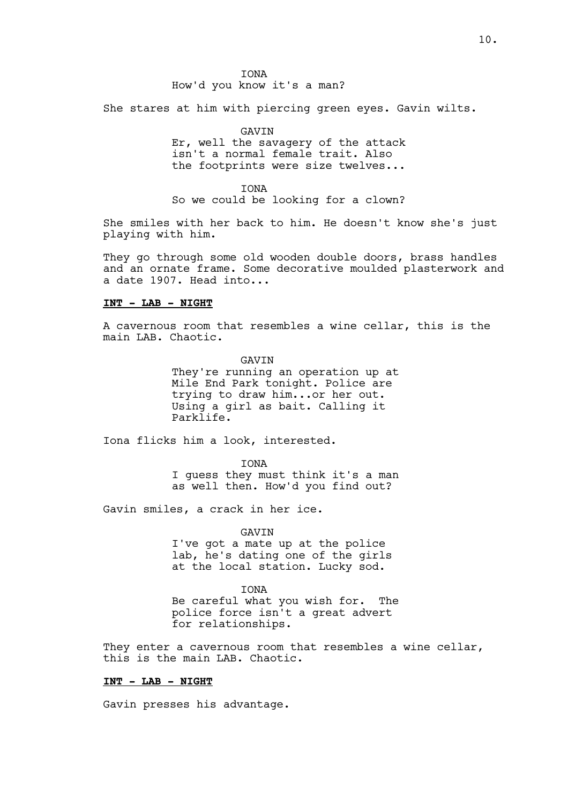She stares at him with piercing green eyes. Gavin wilts.

GAVIN

Er, well the savagery of the attack isn't a normal female trait. Also the footprints were size twelves...

IONA So we could be looking for a clown?

She smiles with her back to him. He doesn't know she's just playing with him.

They go through some old wooden double doors, brass handles and an ornate frame. Some decorative moulded plasterwork and a date 1907. Head into...

## **INT - LAB - NIGHT**

A cavernous room that resembles a wine cellar, this is the main LAB. Chaotic.

> GAVIN They're running an operation up at Mile End Park tonight. Police are trying to draw him...or her out. Using a girl as bait. Calling it Parklife.

Iona flicks him a look, interested.

IONA

I guess they must think it's a man as well then. How'd you find out?

Gavin smiles, a crack in her ice.

GAVIN

I've got a mate up at the police lab, he's dating one of the girls at the local station. Lucky sod.

IONA Be careful what you wish for. The police force isn't a great advert for relationships.

They enter a cavernous room that resembles a wine cellar, this is the main LAB. Chaotic.

## **INT - LAB - NIGHT**

Gavin presses his advantage.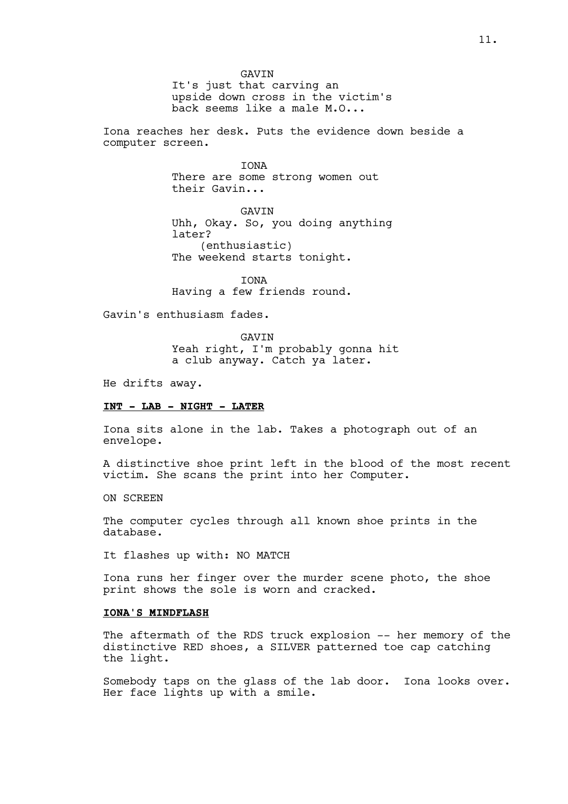GAVIN It's just that carving an upside down cross in the victim's back seems like a male M.O...

Iona reaches her desk. Puts the evidence down beside a computer screen.

> IONA There are some strong women out their Gavin...

GAVIN Uhh, Okay. So, you doing anything later? (enthusiastic) The weekend starts tonight.

**TONA** Having a few friends round.

Gavin's enthusiasm fades.

GAVIN Yeah right, I'm probably gonna hit a club anyway. Catch ya later.

He drifts away.

## **INT - LAB - NIGHT - LATER**

Iona sits alone in the lab. Takes a photograph out of an envelope.

A distinctive shoe print left in the blood of the most recent victim. She scans the print into her Computer.

ON SCREEN

The computer cycles through all known shoe prints in the database.

It flashes up with: NO MATCH

Iona runs her finger over the murder scene photo, the shoe print shows the sole is worn and cracked.

## **IONA'S MINDFLASH**

The aftermath of the RDS truck explosion -- her memory of the distinctive RED shoes, a SILVER patterned toe cap catching the light.

Somebody taps on the glass of the lab door. Iona looks over. Her face lights up with a smile.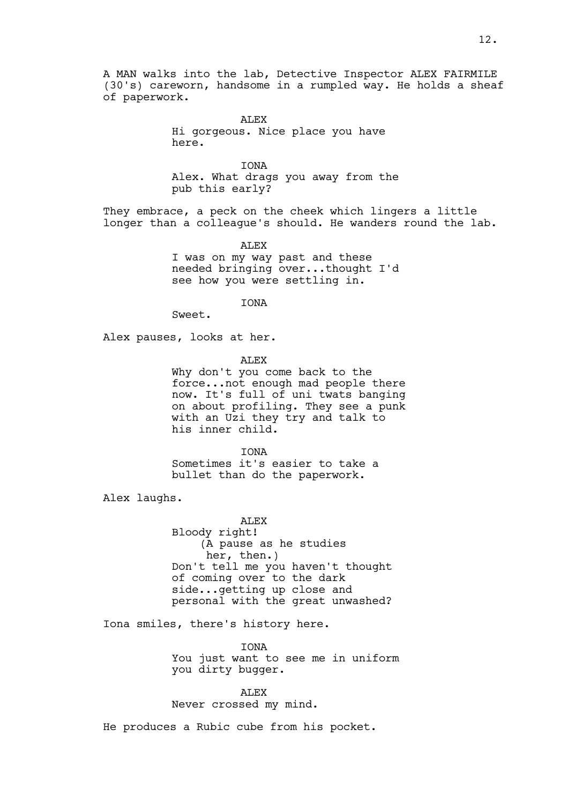A MAN walks into the lab, Detective Inspector ALEX FAIRMILE (30's) careworn, handsome in a rumpled way. He holds a sheaf of paperwork.

> ALEX Hi gorgeous. Nice place you have here.

IONA Alex. What drags you away from the pub this early?

They embrace, a peck on the cheek which lingers a little longer than a colleague's should. He wanders round the lab.

> ALEX I was on my way past and these needed bringing over...thought I'd see how you were settling in.

> > IONA

Sweet.

Alex pauses, looks at her.

ALEX

Why don't you come back to the force...not enough mad people there now. It's full of uni twats banging on about profiling. They see a punk with an Uzi they try and talk to his inner child.

IONA Sometimes it's easier to take a

bullet than do the paperwork.

Alex laughs.

ALEX Bloody right! (A pause as he studies her, then.) Don't tell me you haven't thought of coming over to the dark side...getting up close and personal with the great unwashed?

Iona smiles, there's history here.

**TONA** You just want to see me in uniform you dirty bugger.

ALEX Never crossed my mind.

He produces a Rubic cube from his pocket.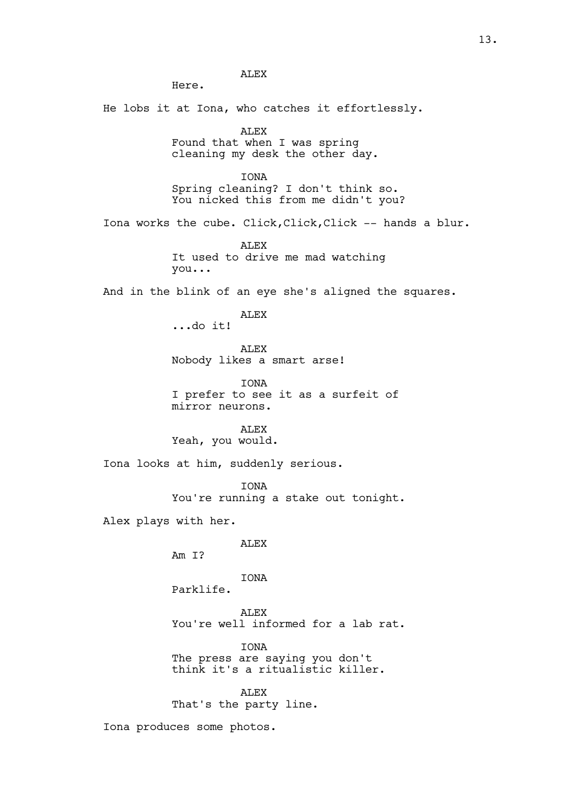He lobs it at Iona, who catches it effortlessly. ALEX Found that when I was spring cleaning my desk the other day. IONA Spring cleaning? I don't think so. You nicked this from me didn't you? Iona works the cube. Click,Click,Click -- hands a blur. ALEX It used to drive me mad watching you... And in the blink of an eye she's aligned the squares. ALEX ...do it! ALEX Nobody likes a smart arse! IONA I prefer to see it as a surfeit of mirror neurons. ALEX Yeah, you would. Iona looks at him, suddenly serious. IONA You're running a stake out tonight. Alex plays with her. ALEX Am I? IONA Parklife. ALEX You're well informed for a lab rat. **TONA** The press are saying you don't think it's a ritualistic killer. ALEX That's the party line.

ALEX

Here.

Iona produces some photos.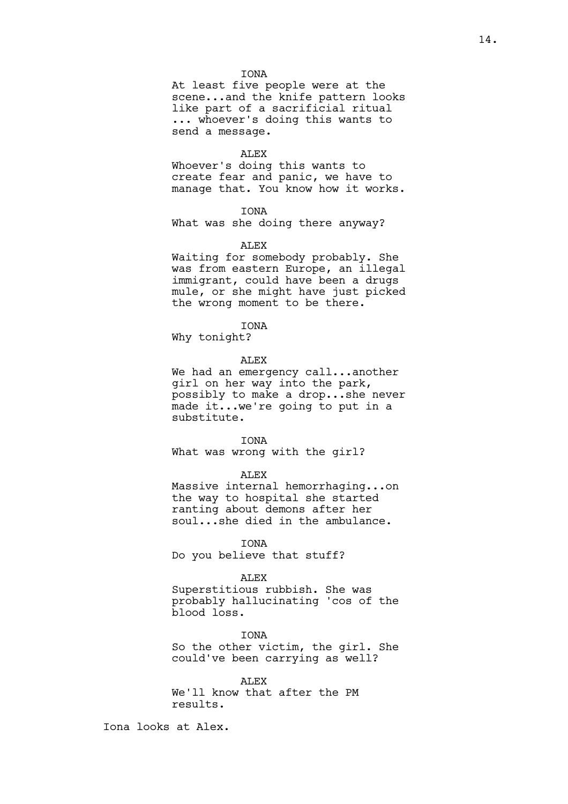## IONA

At least five people were at the scene...and the knife pattern looks like part of a sacrificial ritual ... whoever's doing this wants to send a message.

#### ALEX

Whoever's doing this wants to create fear and panic, we have to manage that. You know how it works.

#### IONA

What was she doing there anyway?

#### ALEX

Waiting for somebody probably. She was from eastern Europe, an illegal immigrant, could have been a drugs mule, or she might have just picked the wrong moment to be there.

## IONA

Why tonight?

## ALEX

We had an emergency call...another girl on her way into the park, possibly to make a drop...she never made it...we're going to put in a substitute.

#### IONA

What was wrong with the girl?

#### ALEX

Massive internal hemorrhaging...on the way to hospital she started ranting about demons after her soul...she died in the ambulance.

#### IONA

Do you believe that stuff?

#### ALEX

Superstitious rubbish. She was probably hallucinating 'cos of the blood loss.

# **TONA**

So the other victim, the girl. She could've been carrying as well?

## **ALEX** We'll know that after the PM results.

Iona looks at Alex.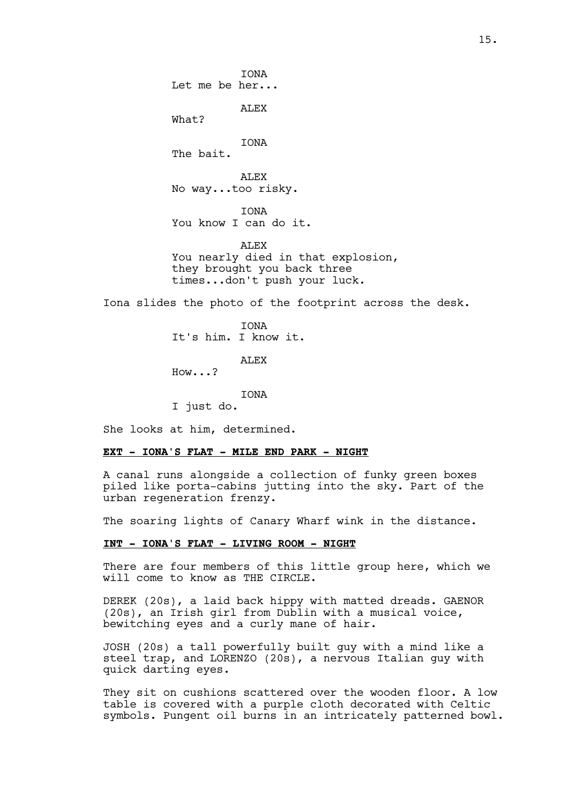IONA Let me be her... ALEX What? IONA The bait. ALEX No way...too risky.

IONA

You know I can do it.

ALEX You nearly died in that explosion, they brought you back three times...don't push your luck.

Iona slides the photo of the footprint across the desk.

IONA It's him. I know it.

ALEX

How...?

IONA

I just do.

She looks at him, determined.

## **EXT - IONA'S FLAT - MILE END PARK - NIGHT**

A canal runs alongside a collection of funky green boxes piled like porta-cabins jutting into the sky. Part of the urban regeneration frenzy.

The soaring lights of Canary Wharf wink in the distance.

## **INT - IONA'S FLAT - LIVING ROOM - NIGHT**

There are four members of this little group here, which we will come to know as THE CIRCLE.

DEREK (20s), a laid back hippy with matted dreads. GAENOR (20s), an Irish girl from Dublin with a musical voice, bewitching eyes and a curly mane of hair.

JOSH (20s) a tall powerfully built guy with a mind like a steel trap, and LORENZO (20s), a nervous Italian guy with quick darting eyes.

They sit on cushions scattered over the wooden floor. A low table is covered with a purple cloth decorated with Celtic symbols. Pungent oil burns in an intricately patterned bowl.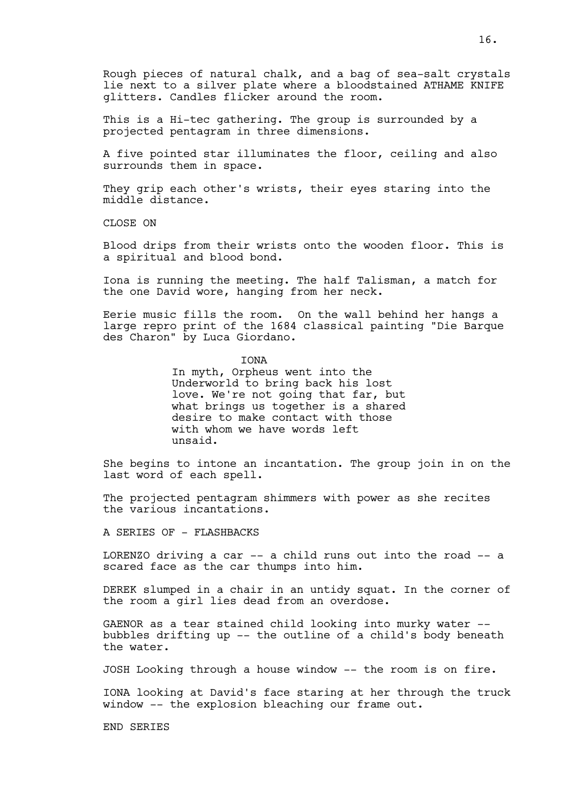Rough pieces of natural chalk, and a bag of sea-salt crystals lie next to a silver plate where a bloodstained ATHAME KNIFE glitters. Candles flicker around the room.

This is a Hi-tec gathering. The group is surrounded by a projected pentagram in three dimensions.

A five pointed star illuminates the floor, ceiling and also surrounds them in space.

They grip each other's wrists, their eyes staring into the middle distance.

CLOSE ON

Blood drips from their wrists onto the wooden floor. This is a spiritual and blood bond.

Iona is running the meeting. The half Talisman, a match for the one David wore, hanging from her neck.

Eerie music fills the room. On the wall behind her hangs a large repro print of the 1684 classical painting "Die Barque des Charon" by Luca Giordano.

IONA

In myth, Orpheus went into the Underworld to bring back his lost love. We're not going that far, but what brings us together is a shared desire to make contact with those with whom we have words left unsaid.

She begins to intone an incantation. The group join in on the last word of each spell.

The projected pentagram shimmers with power as she recites the various incantations.

A SERIES OF - FLASHBACKS

LORENZO driving a car -- a child runs out into the road -- a scared face as the car thumps into him.

DEREK slumped in a chair in an untidy squat. In the corner of the room a girl lies dead from an overdose.

GAENOR as a tear stained child looking into murky water - bubbles drifting up -- the outline of a child's body beneath the water.

JOSH Looking through a house window -- the room is on fire.

IONA looking at David's face staring at her through the truck window -- the explosion bleaching our frame out.

END SERIES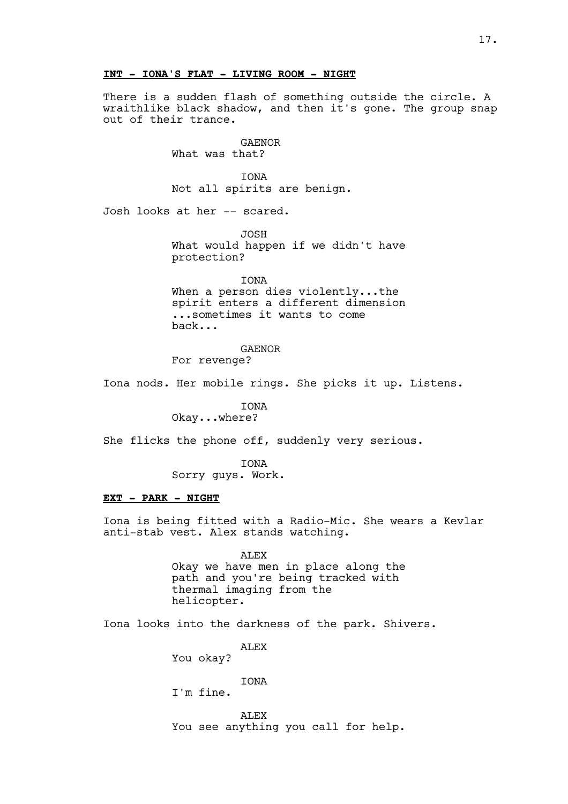## **INT - IONA'S FLAT - LIVING ROOM - NIGHT**

There is a sudden flash of something outside the circle. A wraithlike black shadow, and then it's gone. The group snap out of their trance.

> GAENOR What was that?

IONA Not all spirits are benign.

Josh looks at her -- scared.

JOSH What would happen if we didn't have protection?

IONA When a person dies violently...the spirit enters a different dimension ...sometimes it wants to come back...

#### GAENOR

For revenge?

Iona nods. Her mobile rings. She picks it up. Listens.

IONA Okay...where?

She flicks the phone off, suddenly very serious.

IONA

Sorry guys. Work.

## **EXT - PARK - NIGHT**

Iona is being fitted with a Radio-Mic. She wears a Kevlar anti-stab vest. Alex stands watching.

> ALEX Okay we have men in place along the path and you're being tracked with thermal imaging from the helicopter.

Iona looks into the darkness of the park. Shivers.

**ALEX** 

You okay?

**TONA** 

I'm fine.

ALEX You see anything you call for help.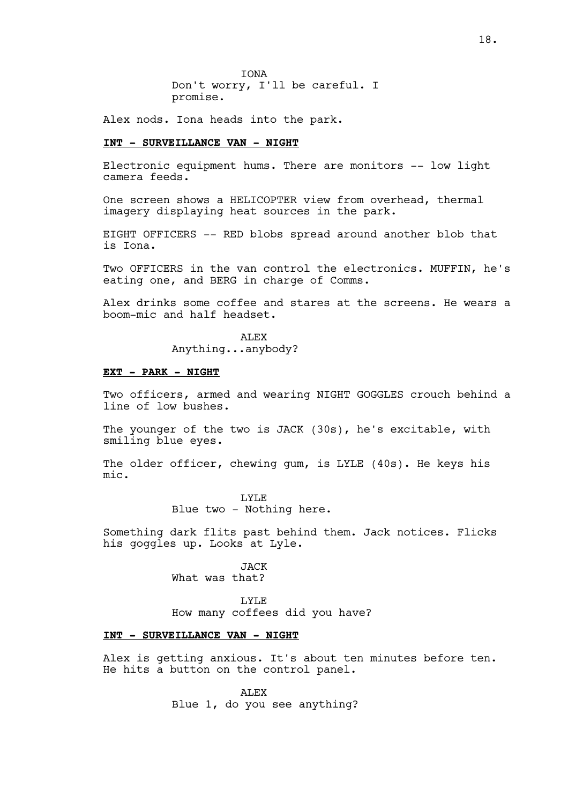IONA Don't worry, I'll be careful. I promise.

Alex nods. Iona heads into the park.

#### **INT - SURVEILLANCE VAN - NIGHT**

Electronic equipment hums. There are monitors -- low light camera feeds.

One screen shows a HELICOPTER view from overhead, thermal imagery displaying heat sources in the park.

EIGHT OFFICERS -- RED blobs spread around another blob that is Iona.

Two OFFICERS in the van control the electronics. MUFFIN, he's eating one, and BERG in charge of Comms.

Alex drinks some coffee and stares at the screens. He wears a boom-mic and half headset.

> ALEX Anything...anybody?

#### **EXT - PARK - NIGHT**

Two officers, armed and wearing NIGHT GOGGLES crouch behind a line of low bushes.

The younger of the two is JACK (30s), he's excitable, with smiling blue eyes.

The older officer, chewing gum, is LYLE (40s). He keys his mic.

> LYLE Blue two - Nothing here.

Something dark flits past behind them. Jack notices. Flicks his goggles up. Looks at Lyle.

> JACK What was that?

LYLE How many coffees did you have?

## **INT - SURVEILLANCE VAN - NIGHT**

Alex is getting anxious. It's about ten minutes before ten. He hits a button on the control panel.

> ALEX Blue 1, do you see anything?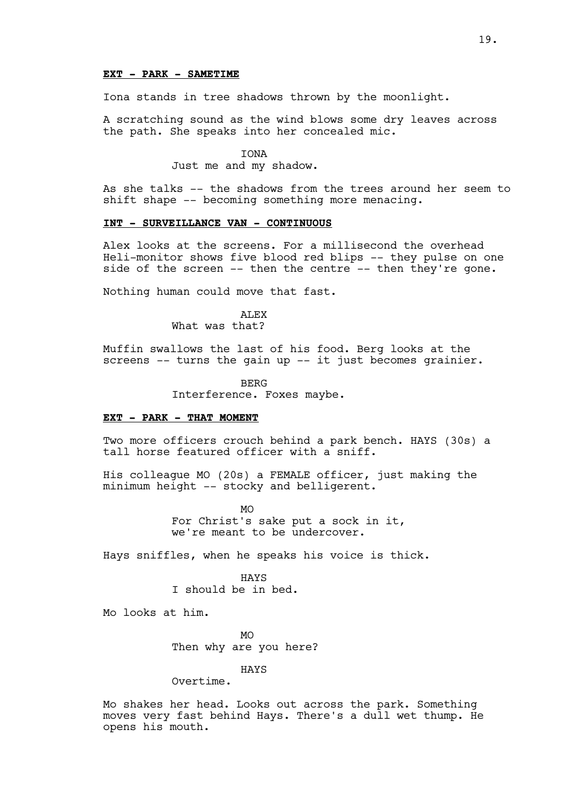## **EXT - PARK - SAMETIME**

Iona stands in tree shadows thrown by the moonlight.

A scratching sound as the wind blows some dry leaves across the path. She speaks into her concealed mic.

> **TONA** Just me and my shadow.

As she talks -- the shadows from the trees around her seem to shift shape -- becoming something more menacing.

#### **INT - SURVEILLANCE VAN - CONTINUOUS**

Alex looks at the screens. For a millisecond the overhead Heli-monitor shows five blood red blips -- they pulse on one side of the screen -- then the centre -- then they're gone.

Nothing human could move that fast.

ALEX What was that?

Muffin swallows the last of his food. Berg looks at the screens -- turns the gain up -- it just becomes grainier.

**BERG** 

Interference. Foxes maybe.

## **EXT - PARK - THAT MOMENT**

Two more officers crouch behind a park bench. HAYS (30s) a tall horse featured officer with a sniff.

His colleague MO (20s) a FEMALE officer, just making the minimum height -- stocky and belligerent.

> MO For Christ's sake put a sock in it, we're meant to be undercover.

Hays sniffles, when he speaks his voice is thick.

HAYS I should be in bed.

Mo looks at him.

 $MO$ Then why are you here?

HAYS

Overtime.

Mo shakes her head. Looks out across the park. Something moves very fast behind Hays. There's a dull wet thump. He opens his mouth.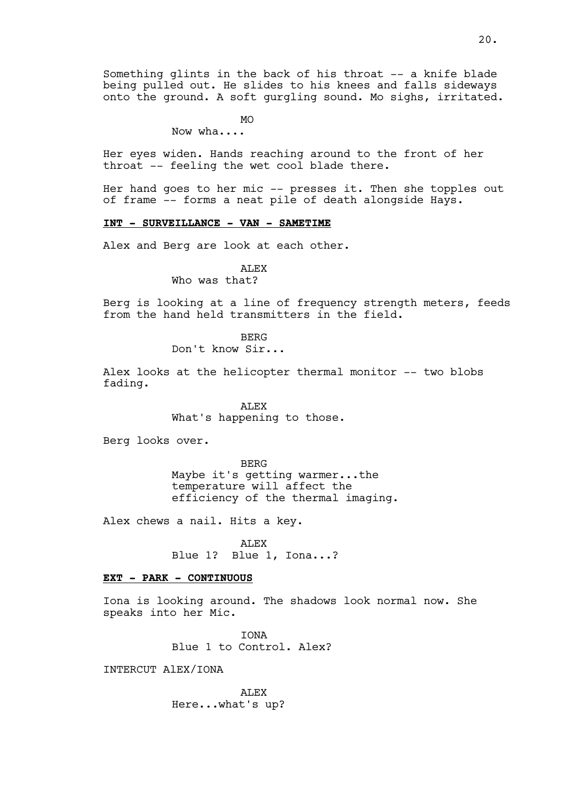Something glints in the back of his throat -- a knife blade being pulled out. He slides to his knees and falls sideways onto the ground. A soft gurgling sound. Mo sighs, irritated.

MO

Now wha....

Her eyes widen. Hands reaching around to the front of her throat -- feeling the wet cool blade there.

Her hand goes to her mic -- presses it. Then she topples out of frame -- forms a neat pile of death alongside Hays.

# **INT - SURVEILLANCE - VAN - SAMETIME**

Alex and Berg are look at each other.

ALEX

Who was that?

Berg is looking at a line of frequency strength meters, feeds from the hand held transmitters in the field.

> BERG Don't know Sir...

Alex looks at the helicopter thermal monitor -- two blobs fading.

> ALEX What's happening to those.

Berg looks over.

BERG Maybe it's getting warmer...the temperature will affect the efficiency of the thermal imaging.

Alex chews a nail. Hits a key.

ALEX Blue 1? Blue 1, Iona...?

## **EXT - PARK - CONTINUOUS**

Iona is looking around. The shadows look normal now. She speaks into her Mic.

> **TONA** Blue 1 to Control. Alex?

INTERCUT AlEX/IONA

ALEX Here...what's up?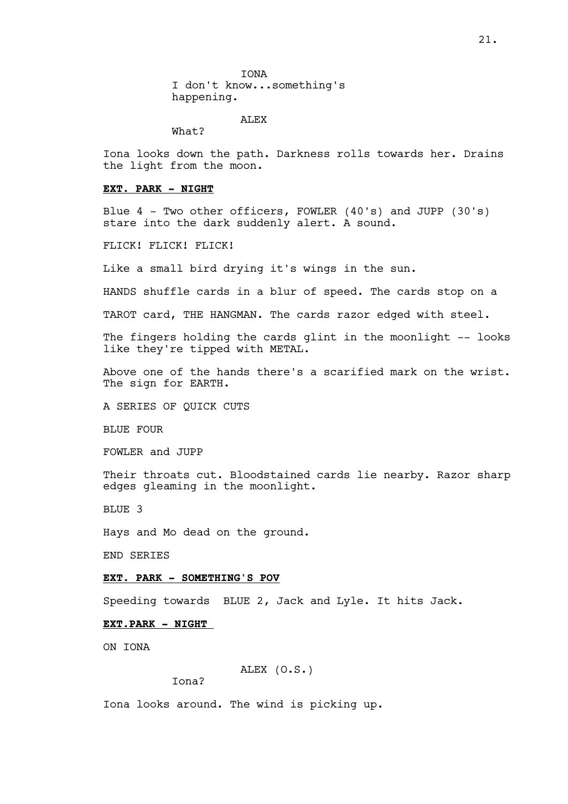IONA I don't know...something's happening.

ALEX

What?

Iona looks down the path. Darkness rolls towards her. Drains the light from the moon.

## **EXT. PARK - NIGHT**

Blue 4 - Two other officers, FOWLER (40's) and JUPP (30's) stare into the dark suddenly alert. A sound.

FLICK! FLICK! FLICK!

Like a small bird drying it's wings in the sun.

HANDS shuffle cards in a blur of speed. The cards stop on a

TAROT card, THE HANGMAN. The cards razor edged with steel.

The fingers holding the cards glint in the moonlight -- looks like they're tipped with METAL.

Above one of the hands there's a scarified mark on the wrist. The sign for EARTH.

A SERIES OF QUICK CUTS

BLUE FOUR

FOWLER and JUPP

Their throats cut. Bloodstained cards lie nearby. Razor sharp edges gleaming in the moonlight.

BLUE 3

Hays and Mo dead on the ground.

END SERIES

#### **EXT. PARK - SOMETHING'S POV**

Speeding towards BLUE 2, Jack and Lyle. It hits Jack.

## **EXT.PARK - NIGHT**

ON TONA

## ALEX (O.S.)

Iona?

Iona looks around. The wind is picking up.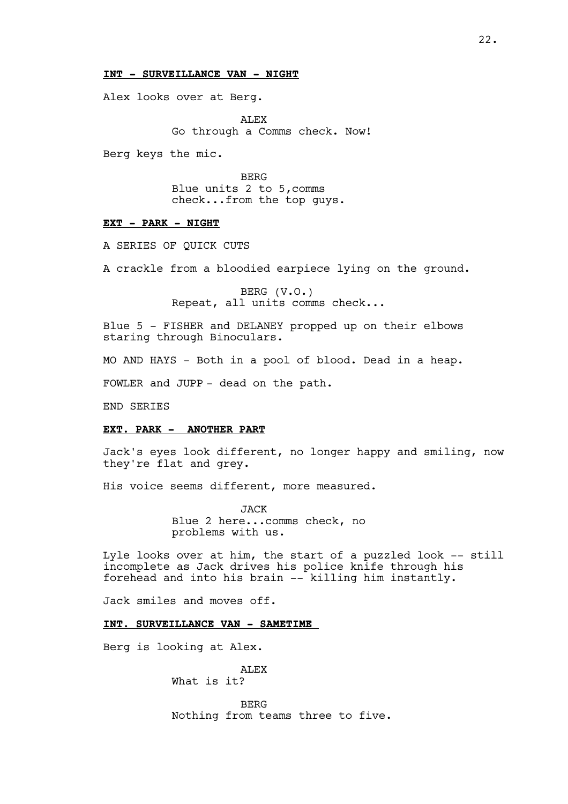## **INT - SURVEILLANCE VAN - NIGHT**

Alex looks over at Berg.

ALEX Go through a Comms check. Now!

Berg keys the mic.

BERG Blue units 2 to 5,comms check...from the top guys.

# **EXT - PARK - NIGHT**

A SERIES OF QUICK CUTS

A crackle from a bloodied earpiece lying on the ground.

BERG (V.O.) Repeat, all units comms check...

Blue 5 - FISHER and DELANEY propped up on their elbows staring through Binoculars.

MO AND HAYS - Both in a pool of blood. Dead in a heap.

FOWLER and JUPP - dead on the path.

END SERIES

#### **EXT. PARK - ANOTHER PART**

Jack's eyes look different, no longer happy and smiling, now they're flat and grey.

His voice seems different, more measured.

JACK Blue 2 here...comms check, no problems with us.

Lyle looks over at him, the start of a puzzled look -- still incomplete as Jack drives his police knife through his forehead and into his brain -- killing him instantly.

Jack smiles and moves off.

**INT. SURVEILLANCE VAN - SAMETIME** 

Berg is looking at Alex.

**ALEX** 

What is it?

BERG Nothing from teams three to five.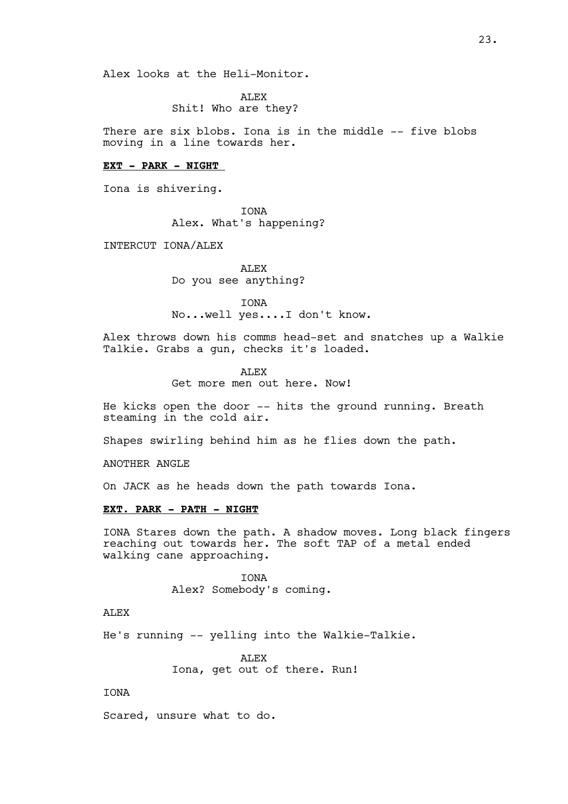Alex looks at the Heli-Monitor.

ALEX Shit! Who are they?

There are six blobs. Iona is in the middle -- five blobs moving in a line towards her.

## **EXT - PARK - NIGHT**

Iona is shivering.

IONA Alex. What's happening?

INTERCUT IONA/ALEX

ALEX Do you see anything?

IONA No...well yes....I don't know.

Alex throws down his comms head-set and snatches up a Walkie Talkie. Grabs a gun, checks it's loaded.

> ALEX Get more men out here. Now!

He kicks open the door -- hits the ground running. Breath steaming in the cold air.

Shapes swirling behind him as he flies down the path.

ANOTHER ANGLE

On JACK as he heads down the path towards Iona.

## **EXT. PARK - PATH - NIGHT**

IONA Stares down the path. A shadow moves. Long black fingers reaching out towards her. The soft TAP of a metal ended walking cane approaching.

> IONA Alex? Somebody's coming.

## **ALEX**

He's running -- yelling into the Walkie-Talkie.

**ALEX** Iona, get out of there. Run!

## IONA

Scared, unsure what to do.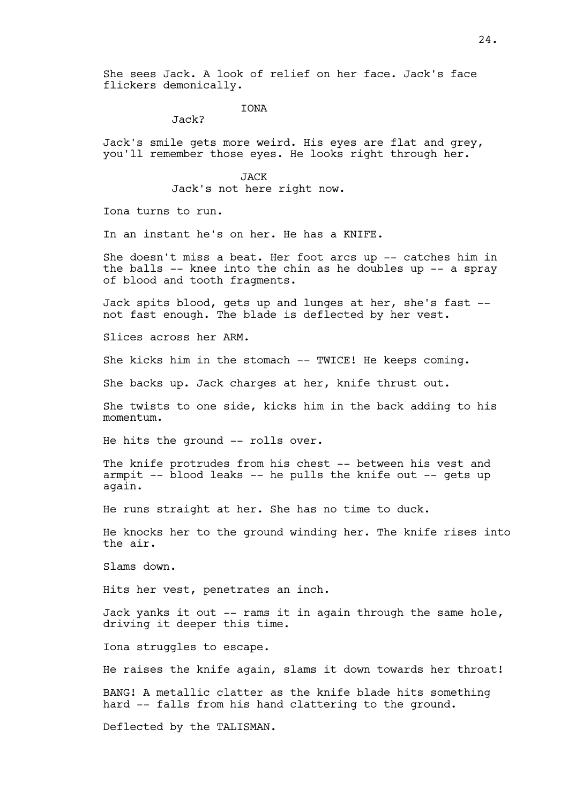She sees Jack. A look of relief on her face. Jack's face flickers demonically.

## **TONA**

Jack?

Jack's smile gets more weird. His eyes are flat and grey, you'll remember those eyes. He looks right through her.

**JACK** 

Jack's not here right now.

Iona turns to run.

In an instant he's on her. He has a KNIFE.

She doesn't miss a beat. Her foot arcs up -- catches him in the balls -- knee into the chin as he doubles up -- a spray of blood and tooth fragments.

Jack spits blood, gets up and lunges at her, she's fast - not fast enough. The blade is deflected by her vest.

Slices across her ARM.

She kicks him in the stomach -- TWICE! He keeps coming.

She backs up. Jack charges at her, knife thrust out.

She twists to one side, kicks him in the back adding to his momentum.

He hits the ground -- rolls over.

The knife protrudes from his chest -- between his vest and armpit -- blood leaks -- he pulls the knife out -- gets up again.

He runs straight at her. She has no time to duck.

He knocks her to the ground winding her. The knife rises into the air.

Slams down.

Hits her vest, penetrates an inch.

Jack yanks it out -- rams it in again through the same hole, driving it deeper this time.

Iona struggles to escape.

He raises the knife again, slams it down towards her throat!

BANG! A metallic clatter as the knife blade hits something hard -- falls from his hand clattering to the ground.

Deflected by the TALISMAN.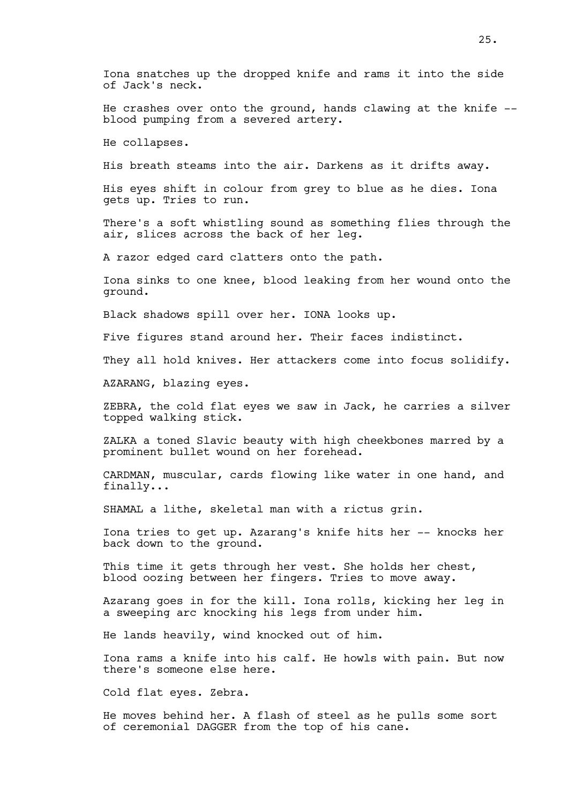He crashes over onto the ground, hands clawing at the knife - blood pumping from a severed artery.

He collapses.

His breath steams into the air. Darkens as it drifts away.

His eyes shift in colour from grey to blue as he dies. Iona gets up. Tries to run.

There's a soft whistling sound as something flies through the air, slices across the back of her leg.

A razor edged card clatters onto the path.

Iona sinks to one knee, blood leaking from her wound onto the ground.

Black shadows spill over her. IONA looks up.

Five figures stand around her. Their faces indistinct.

They all hold knives. Her attackers come into focus solidify.

AZARANG, blazing eyes.

ZEBRA, the cold flat eyes we saw in Jack, he carries a silver topped walking stick.

ZALKA a toned Slavic beauty with high cheekbones marred by a prominent bullet wound on her forehead.

CARDMAN, muscular, cards flowing like water in one hand, and finally...

SHAMAL a lithe, skeletal man with a rictus grin.

Iona tries to get up. Azarang's knife hits her -- knocks her back down to the ground.

This time it gets through her vest. She holds her chest, blood oozing between her fingers. Tries to move away.

Azarang goes in for the kill. Iona rolls, kicking her leg in a sweeping arc knocking his legs from under him.

He lands heavily, wind knocked out of him.

Iona rams a knife into his calf. He howls with pain. But now there's someone else here.

Cold flat eyes. Zebra.

He moves behind her. A flash of steel as he pulls some sort of ceremonial DAGGER from the top of his cane.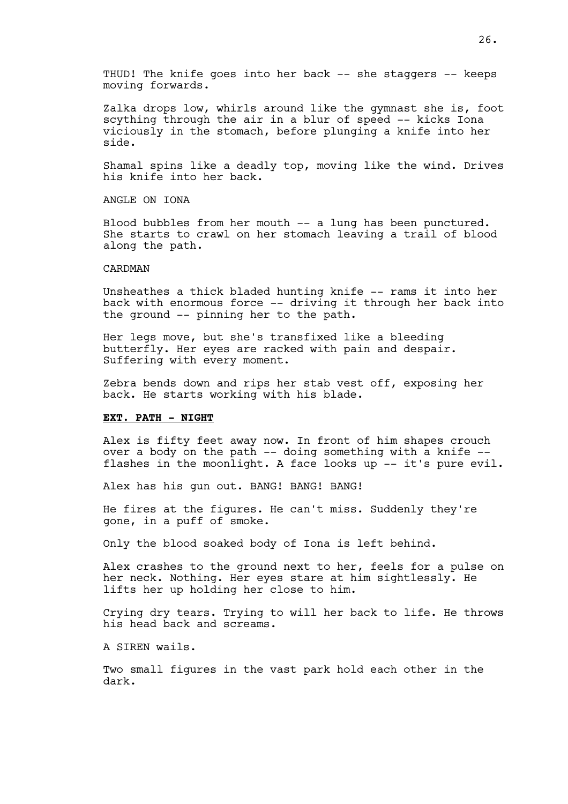THUD! The knife goes into her back -- she staggers -- keeps moving forwards.

Zalka drops low, whirls around like the gymnast she is, foot scything through the air in a blur of speed -- kicks Iona viciously in the stomach, before plunging a knife into her side.

Shamal spins like a deadly top, moving like the wind. Drives his knife into her back.

ANGLE ON IONA

Blood bubbles from her mouth -- a lung has been punctured. She starts to crawl on her stomach leaving a trail of blood along the path.

## CARDMAN

Unsheathes a thick bladed hunting knife -- rams it into her back with enormous force -- driving it through her back into the ground -- pinning her to the path.

Her legs move, but she's transfixed like a bleeding butterfly. Her eyes are racked with pain and despair. Suffering with every moment.

Zebra bends down and rips her stab vest off, exposing her back. He starts working with his blade.

## **EXT. PATH - NIGHT**

Alex is fifty feet away now. In front of him shapes crouch over a body on the path -- doing something with a knife - flashes in the moonlight. A face looks up -- it's pure evil.

Alex has his gun out. BANG! BANG! BANG!

He fires at the figures. He can't miss. Suddenly they're gone, in a puff of smoke.

Only the blood soaked body of Iona is left behind.

Alex crashes to the ground next to her, feels for a pulse on her neck. Nothing. Her eyes stare at him sightlessly. He lifts her up holding her close to him.

Crying dry tears. Trying to will her back to life. He throws his head back and screams.

A SIREN wails.

Two small figures in the vast park hold each other in the dark.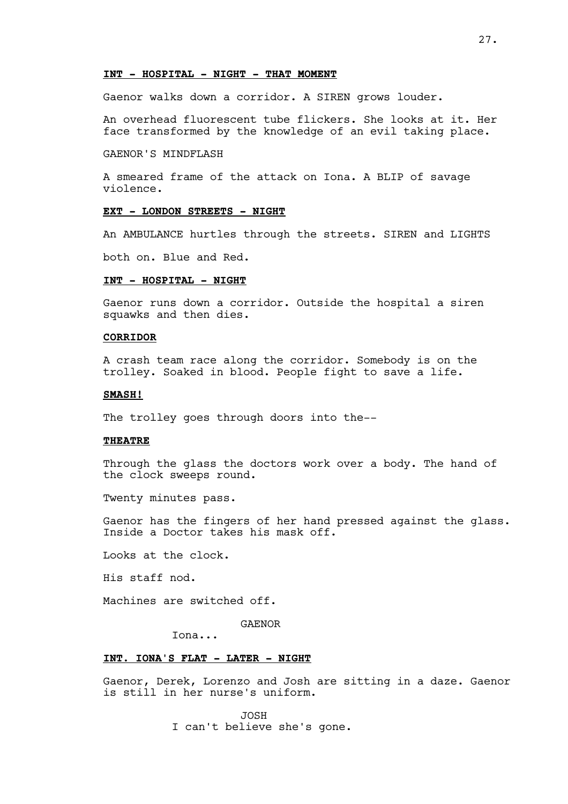## **INT - HOSPITAL - NIGHT - THAT MOMENT**

Gaenor walks down a corridor. A SIREN grows louder.

An overhead fluorescent tube flickers. She looks at it. Her face transformed by the knowledge of an evil taking place.

## GAENOR'S MINDFLASH

A smeared frame of the attack on Iona. A BLIP of savage violence.

#### **EXT - LONDON STREETS - NIGHT**

An AMBULANCE hurtles through the streets. SIREN and LIGHTS

both on. Blue and Red.

## **INT - HOSPITAL - NIGHT**

Gaenor runs down a corridor. Outside the hospital a siren squawks and then dies.

## **CORRIDOR**

A crash team race along the corridor. Somebody is on the trolley. Soaked in blood. People fight to save a life.

## **SMASH!**

The trolley goes through doors into the--

## **THEATRE**

Through the glass the doctors work over a body. The hand of the clock sweeps round.

Twenty minutes pass.

Gaenor has the fingers of her hand pressed against the glass. Inside a Doctor takes his mask off.

Looks at the clock.

His staff nod.

Machines are switched off.

GAENOR

Iona...

## **INT. IONA'S FLAT - LATER - NIGHT**

Gaenor, Derek, Lorenzo and Josh are sitting in a daze. Gaenor is still in her nurse's uniform.

> JOSH I can't believe she's gone.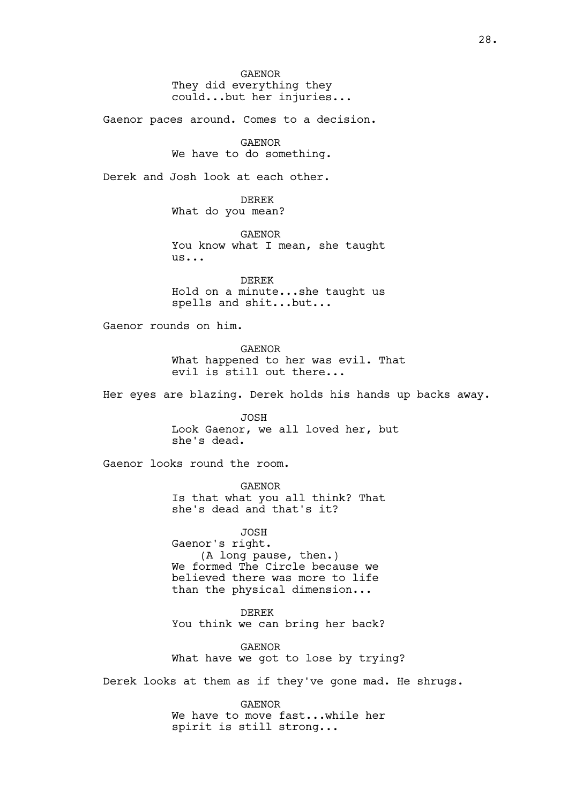GAENOR They did everything they could...but her injuries...

Gaenor paces around. Comes to a decision.

GAENOR We have to do something.

Derek and Josh look at each other.

DEREK What do you mean?

GAENOR You know what I mean, she taught us...

DEREK Hold on a minute...she taught us spells and shit...but...

Gaenor rounds on him.

GAENOR What happened to her was evil. That evil is still out there...

Her eyes are blazing. Derek holds his hands up backs away.

JOSH

Look Gaenor, we all loved her, but she's dead.

Gaenor looks round the room.

GAENOR Is that what you all think? That she's dead and that's it?

JOSH Gaenor's right. (A long pause, then.) We formed The Circle because we believed there was more to life than the physical dimension...

DEREK You think we can bring her back?

GAENOR What have we got to lose by trying?

Derek looks at them as if they've gone mad. He shrugs.

GAENOR We have to move fast...while her spirit is still strong...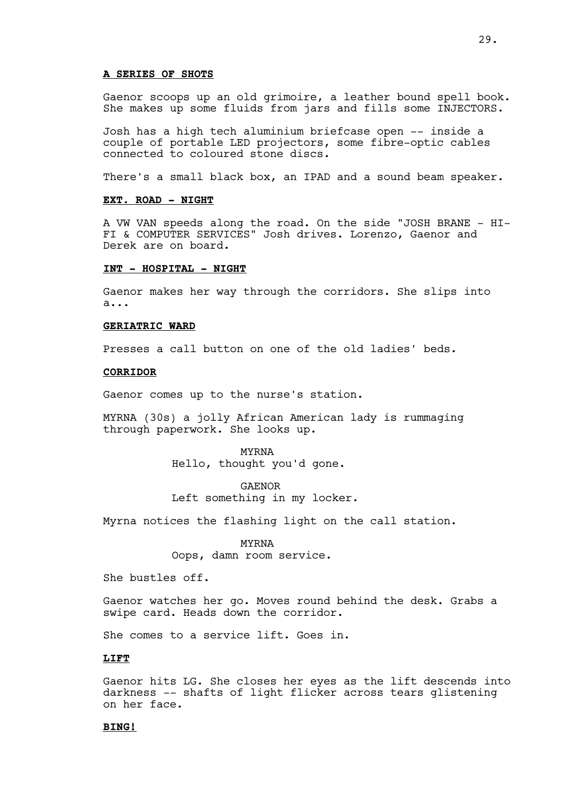## **A SERIES OF SHOTS**

Gaenor scoops up an old grimoire, a leather bound spell book. She makes up some fluids from jars and fills some INJECTORS.

Josh has a high tech aluminium briefcase open -- inside a couple of portable LED projectors, some fibre-optic cables connected to coloured stone discs.

There's a small black box, an IPAD and a sound beam speaker.

## **EXT. ROAD - NIGHT**

A VW VAN speeds along the road. On the side "JOSH BRANE - HI-FI & COMPUTER SERVICES" Josh drives. Lorenzo, Gaenor and Derek are on board.

#### **INT - HOSPITAL - NIGHT**

Gaenor makes her way through the corridors. She slips into a...

#### **GERIATRIC WARD**

Presses a call button on one of the old ladies' beds.

## **CORRIDOR**

Gaenor comes up to the nurse's station.

MYRNA (30s) a jolly African American lady is rummaging through paperwork. She looks up.

> MYRNA Hello, thought you'd gone.

GAENOR Left something in my locker.

Myrna notices the flashing light on the call station.

MYRNA Oops, damn room service.

She bustles off.

Gaenor watches her go. Moves round behind the desk. Grabs a swipe card. Heads down the corridor.

She comes to a service lift. Goes in.

#### **LIFT**

Gaenor hits LG. She closes her eyes as the lift descends into darkness -- shafts of light flicker across tears glistening on her face.

## **BING!**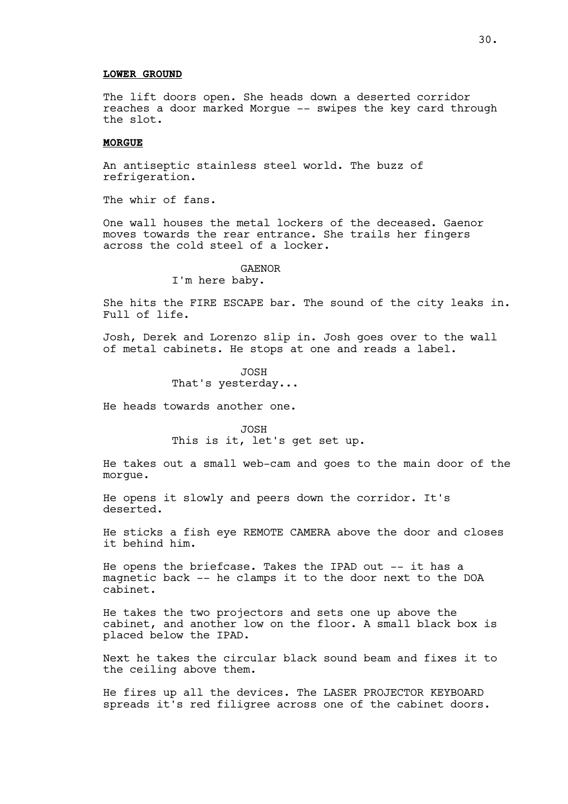## **LOWER GROUND**

The lift doors open. She heads down a deserted corridor reaches a door marked Morgue -- swipes the key card through the slot.

## **MORGUE**

An antiseptic stainless steel world. The buzz of refrigeration.

The whir of fans.

One wall houses the metal lockers of the deceased. Gaenor moves towards the rear entrance. She trails her fingers across the cold steel of a locker.

#### GAENOR

I'm here baby.

She hits the FIRE ESCAPE bar. The sound of the city leaks in. Full of life.

Josh, Derek and Lorenzo slip in. Josh goes over to the wall of metal cabinets. He stops at one and reads a label.

> JOSH That's yesterday...

He heads towards another one.

JOSH This is it, let's get set up.

He takes out a small web-cam and goes to the main door of the morgue.

He opens it slowly and peers down the corridor. It's deserted.

He sticks a fish eye REMOTE CAMERA above the door and closes it behind him.

He opens the briefcase. Takes the IPAD out -- it has a magnetic back -- he clamps it to the door next to the DOA cabinet.

He takes the two projectors and sets one up above the cabinet, and another low on the floor. A small black box is placed below the IPAD.

Next he takes the circular black sound beam and fixes it to the ceiling above them.

He fires up all the devices. The LASER PROJECTOR KEYBOARD spreads it's red filigree across one of the cabinet doors.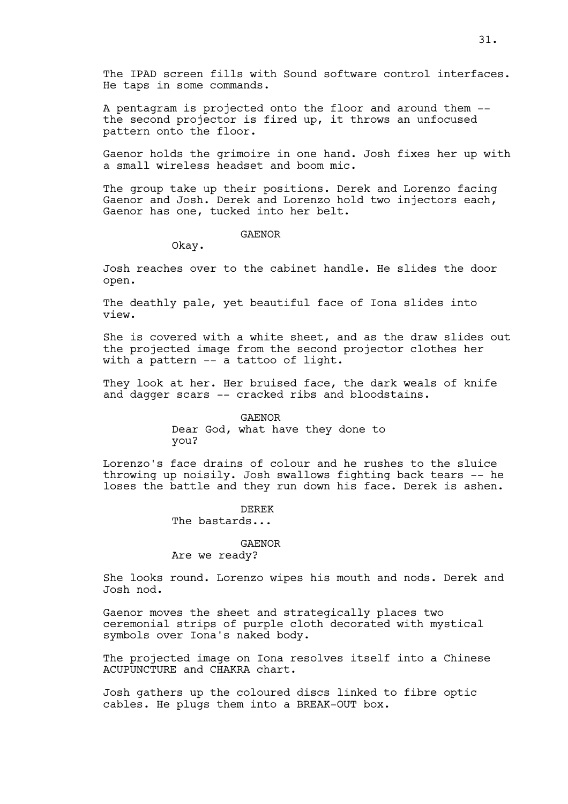The IPAD screen fills with Sound software control interfaces. He taps in some commands.

A pentagram is projected onto the floor and around them - the second projector is fired up, it throws an unfocused pattern onto the floor.

Gaenor holds the grimoire in one hand. Josh fixes her up with a small wireless headset and boom mic.

The group take up their positions. Derek and Lorenzo facing Gaenor and Josh. Derek and Lorenzo hold two injectors each, Gaenor has one, tucked into her belt.

## GAENOR

Okay.

Josh reaches over to the cabinet handle. He slides the door open.

The deathly pale, yet beautiful face of Iona slides into view.

She is covered with a white sheet, and as the draw slides out the projected image from the second projector clothes her with a pattern -- a tattoo of light.

They look at her. Her bruised face, the dark weals of knife and dagger scars -- cracked ribs and bloodstains.

> GAENOR Dear God, what have they done to you?

Lorenzo's face drains of colour and he rushes to the sluice throwing up noisily. Josh swallows fighting back tears -- he loses the battle and they run down his face. Derek is ashen.

> DEREK The bastards...

# GAENOR

Are we ready?

She looks round. Lorenzo wipes his mouth and nods. Derek and Josh nod.

Gaenor moves the sheet and strategically places two ceremonial strips of purple cloth decorated with mystical symbols over Iona's naked body.

The projected image on Iona resolves itself into a Chinese ACUPUNCTURE and CHAKRA chart.

Josh gathers up the coloured discs linked to fibre optic cables. He plugs them into a BREAK-OUT box.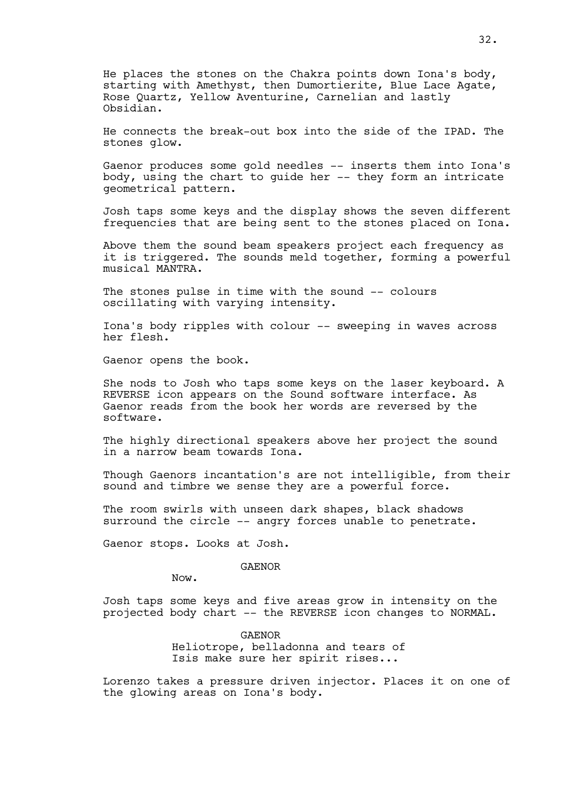He places the stones on the Chakra points down Iona's body, starting with Amethyst, then Dumortierite, Blue Lace Agate, Rose Quartz, Yellow Aventurine, Carnelian and lastly Obsidian.

He connects the break-out box into the side of the IPAD. The stones glow.

Gaenor produces some gold needles -- inserts them into Iona's body, using the chart to guide her -- they form an intricate geometrical pattern.

Josh taps some keys and the display shows the seven different frequencies that are being sent to the stones placed on Iona.

Above them the sound beam speakers project each frequency as it is triggered. The sounds meld together, forming a powerful musical MANTRA.

The stones pulse in time with the sound -- colours oscillating with varying intensity.

Iona's body ripples with colour -- sweeping in waves across her flesh.

Gaenor opens the book.

She nods to Josh who taps some keys on the laser keyboard. A REVERSE icon appears on the Sound software interface. As Gaenor reads from the book her words are reversed by the software.

The highly directional speakers above her project the sound in a narrow beam towards Iona.

Though Gaenors incantation's are not intelligible, from their sound and timbre we sense they are a powerful force.

The room swirls with unseen dark shapes, black shadows surround the circle -- angry forces unable to penetrate.

Gaenor stops. Looks at Josh.

GAENOR

Now.

Josh taps some keys and five areas grow in intensity on the projected body chart -- the REVERSE icon changes to NORMAL.

> GAENOR Heliotrope, belladonna and tears of Isis make sure her spirit rises...

Lorenzo takes a pressure driven injector. Places it on one of the glowing areas on Iona's body.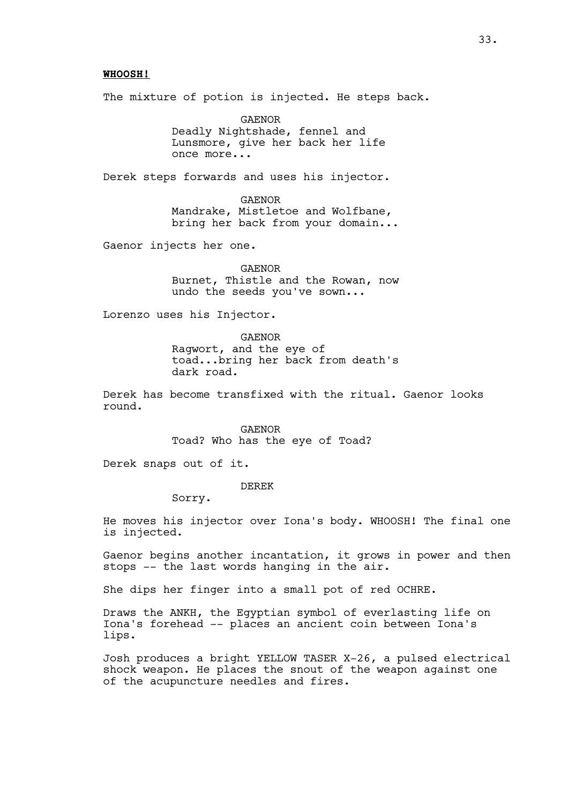## **WHOOSH!**

The mixture of potion is injected. He steps back.

GAENOR Deadly Nightshade, fennel and Lunsmore, give her back her life once more...

Derek steps forwards and uses his injector.

GAENOR Mandrake, Mistletoe and Wolfbane, bring her back from your domain...

Gaenor injects her one.

GAENOR Burnet, Thistle and the Rowan, now undo the seeds you've sown...

Lorenzo uses his Injector.

GAENOR Ragwort, and the eye of toad...bring her back from death's dark road.

Derek has become transfixed with the ritual. Gaenor looks round.

> GAENOR Toad? Who has the eye of Toad?

Derek snaps out of it.

DEREK

Sorry.

He moves his injector over Iona's body. WHOOSH! The final one is injected.

Gaenor begins another incantation, it grows in power and then stops -- the last words hanging in the air.

She dips her finger into a small pot of red OCHRE.

Draws the ANKH, the Egyptian symbol of everlasting life on Iona's forehead -- places an ancient coin between Iona's lips.

Josh produces a bright YELLOW TASER X-26, a pulsed electrical shock weapon. He places the snout of the weapon against one of the acupuncture needles and fires.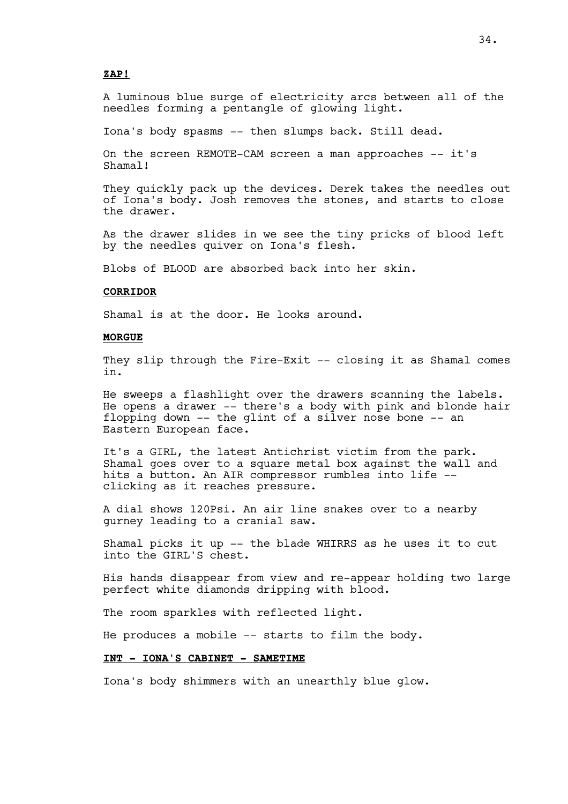#### **ZAP!**

A luminous blue surge of electricity arcs between all of the needles forming a pentangle of glowing light.

Iona's body spasms -- then slumps back. Still dead.

On the screen REMOTE-CAM screen a man approaches -- it's Shamal!

They quickly pack up the devices. Derek takes the needles out of Iona's body. Josh removes the stones, and starts to close the drawer.

As the drawer slides in we see the tiny pricks of blood left by the needles quiver on Iona's flesh.

Blobs of BLOOD are absorbed back into her skin.

#### **CORRIDOR**

Shamal is at the door. He looks around.

#### **MORGUE**

They slip through the Fire-Exit -- closing it as Shamal comes in.

He sweeps a flashlight over the drawers scanning the labels. He opens a drawer -- there's a body with pink and blonde hair flopping down -- the glint of a silver nose bone -- an Eastern European face.

It's a GIRL, the latest Antichrist victim from the park. Shamal goes over to a square metal box against the wall and hits a button. An AIR compressor rumbles into life - clicking as it reaches pressure.

A dial shows 120Psi. An air line snakes over to a nearby gurney leading to a cranial saw.

Shamal picks it up -- the blade WHIRRS as he uses it to cut into the GIRL'S chest.

His hands disappear from view and re-appear holding two large perfect white diamonds dripping with blood.

The room sparkles with reflected light.

He produces a mobile -- starts to film the body.

## **INT - IONA'S CABINET - SAMETIME**

Iona's body shimmers with an unearthly blue glow.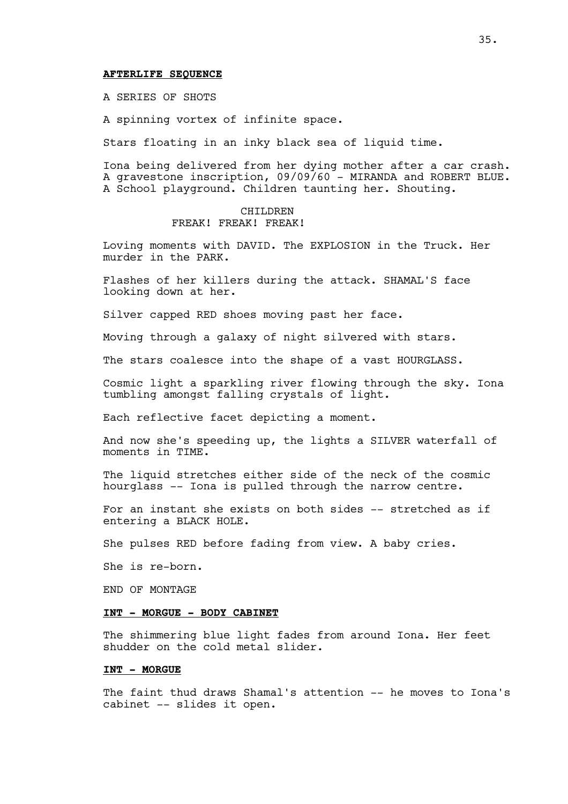#### **AFTERLIFE SEQUENCE**

A SERIES OF SHOTS

A spinning vortex of infinite space.

Stars floating in an inky black sea of liquid time.

Iona being delivered from her dying mother after a car crash. A gravestone inscription, 09/09/60 - MIRANDA and ROBERT BLUE. A School playground. Children taunting her. Shouting.

#### CHILDREN FREAK! FREAK! FREAK!

Loving moments with DAVID. The EXPLOSION in the Truck. Her murder in the PARK.

Flashes of her killers during the attack. SHAMAL'S face looking down at her.

Silver capped RED shoes moving past her face.

Moving through a galaxy of night silvered with stars.

The stars coalesce into the shape of a vast HOURGLASS.

Cosmic light a sparkling river flowing through the sky. Iona tumbling amongst falling crystals of light.

Each reflective facet depicting a moment.

And now she's speeding up, the lights a SILVER waterfall of moments in TIME.

The liquid stretches either side of the neck of the cosmic hourglass -- Iona is pulled through the narrow centre.

For an instant she exists on both sides -- stretched as if entering a BLACK HOLE.

She pulses RED before fading from view. A baby cries.

She is re-born.

END OF MONTAGE

## **INT - MORGUE - BODY CABINET**

The shimmering blue light fades from around Iona. Her feet shudder on the cold metal slider.

## **INT - MORGUE**

The faint thud draws Shamal's attention -- he moves to Iona's cabinet -- slides it open.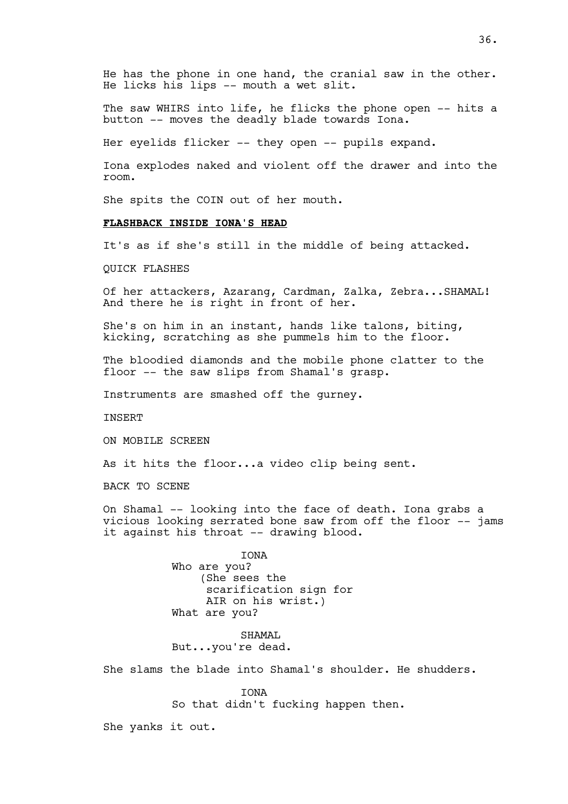He has the phone in one hand, the cranial saw in the other. He licks his lips -- mouth a wet slit.

The saw WHIRS into life, he flicks the phone open -- hits a button -- moves the deadly blade towards Iona.

Her eyelids flicker -- they open -- pupils expand.

Iona explodes naked and violent off the drawer and into the room.

She spits the COIN out of her mouth.

# **FLASHBACK INSIDE IONA'S HEAD**

It's as if she's still in the middle of being attacked.

QUICK FLASHES

Of her attackers, Azarang, Cardman, Zalka, Zebra...SHAMAL! And there he is right in front of her.

She's on him in an instant, hands like talons, biting, kicking, scratching as she pummels him to the floor.

The bloodied diamonds and the mobile phone clatter to the floor -- the saw slips from Shamal's grasp.

Instruments are smashed off the gurney.

INSERT

ON MOBILE SCREEN

As it hits the floor...a video clip being sent.

BACK TO SCENE

On Shamal -- looking into the face of death. Iona grabs a vicious looking serrated bone saw from off the floor -- jams it against his throat -- drawing blood.

> IONA Who are you? (She sees the scarification sign for AIR on his wrist.) What are you?

SHAMAT. But...you're dead.

She slams the blade into Shamal's shoulder. He shudders.

IONA So that didn't fucking happen then.

She yanks it out.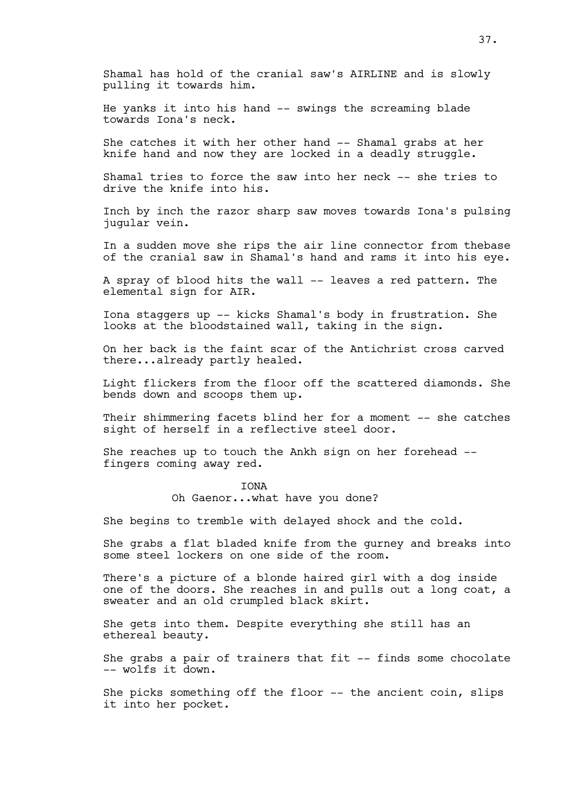Shamal has hold of the cranial saw's AIRLINE and is slowly pulling it towards him.

He yanks it into his hand -- swings the screaming blade towards Iona's neck.

She catches it with her other hand -- Shamal grabs at her knife hand and now they are locked in a deadly struggle.

Shamal tries to force the saw into her neck -- she tries to drive the knife into his.

Inch by inch the razor sharp saw moves towards Iona's pulsing jugular vein.

In a sudden move she rips the air line connector from thebase of the cranial saw in Shamal's hand and rams it into his eye.

A spray of blood hits the wall -- leaves a red pattern. The elemental sign for AIR.

Iona staggers up -- kicks Shamal's body in frustration. She looks at the bloodstained wall, taking in the sign.

On her back is the faint scar of the Antichrist cross carved there...already partly healed.

Light flickers from the floor off the scattered diamonds. She bends down and scoops them up.

Their shimmering facets blind her for a moment -- she catches sight of herself in a reflective steel door.

She reaches up to touch the Ankh sign on her forehead - fingers coming away red.

#### **TONA**

Oh Gaenor...what have you done?

She begins to tremble with delayed shock and the cold.

She grabs a flat bladed knife from the gurney and breaks into some steel lockers on one side of the room.

There's a picture of a blonde haired girl with a dog inside one of the doors. She reaches in and pulls out a long coat, a sweater and an old crumpled black skirt.

She gets into them. Despite everything she still has an ethereal beauty.

She grabs a pair of trainers that fit -- finds some chocolate -- wolfs it down.

She picks something off the floor -- the ancient coin, slips it into her pocket.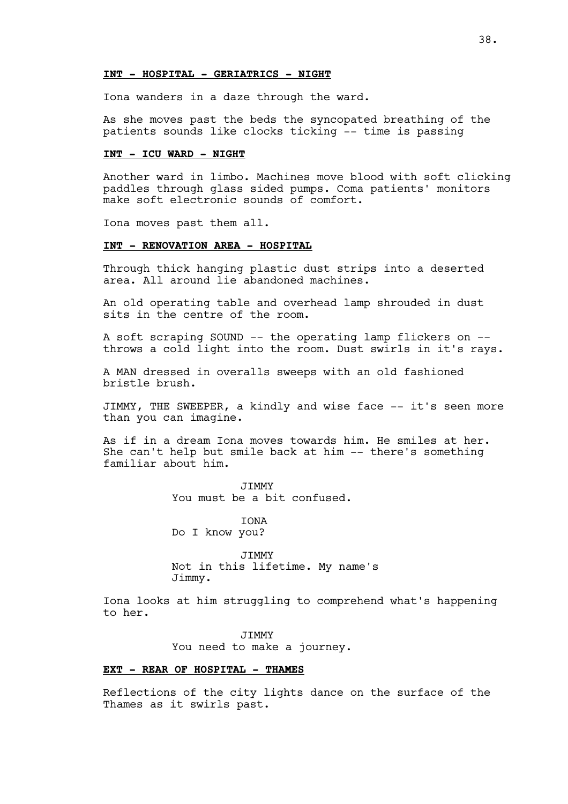### **INT - HOSPITAL - GERIATRICS - NIGHT**

Iona wanders in a daze through the ward.

As she moves past the beds the syncopated breathing of the patients sounds like clocks ticking -- time is passing

## **INT - ICU WARD - NIGHT**

Another ward in limbo. Machines move blood with soft clicking paddles through glass sided pumps. Coma patients' monitors make soft electronic sounds of comfort.

Iona moves past them all.

### **INT - RENOVATION AREA - HOSPITAL**

Through thick hanging plastic dust strips into a deserted area. All around lie abandoned machines.

An old operating table and overhead lamp shrouded in dust sits in the centre of the room.

A soft scraping SOUND -- the operating lamp flickers on - throws a cold light into the room. Dust swirls in it's rays.

A MAN dressed in overalls sweeps with an old fashioned bristle brush.

JIMMY, THE SWEEPER, a kindly and wise face -- it's seen more than you can imagine.

As if in a dream Iona moves towards him. He smiles at her. She can't help but smile back at him -- there's something familiar about him.

> JIMMY You must be a bit confused.

**TONA** Do I know you?

JIMMY Not in this lifetime. My name's Jimmy.

Iona looks at him struggling to comprehend what's happening to her.

**JTMMY** 

You need to make a journey.

## **EXT - REAR OF HOSPITAL - THAMES**

Reflections of the city lights dance on the surface of the Thames as it swirls past.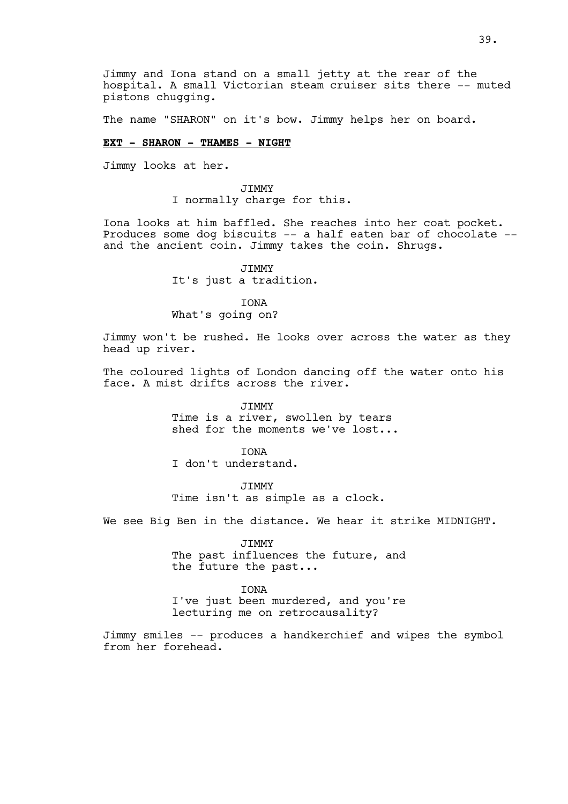Jimmy and Iona stand on a small jetty at the rear of the hospital. A small Victorian steam cruiser sits there -- muted pistons chugging.

The name "SHARON" on it's bow. Jimmy helps her on board.

### **EXT - SHARON - THAMES - NIGHT**

Jimmy looks at her.

JIMMY I normally charge for this.

Iona looks at him baffled. She reaches into her coat pocket. Produces some dog biscuits -- a half eaten bar of chocolate - and the ancient coin. Jimmy takes the coin. Shrugs.

> JIMMY It's just a tradition.

IONA What's going on?

Jimmy won't be rushed. He looks over across the water as they head up river.

The coloured lights of London dancing off the water onto his face. A mist drifts across the river.

> JIMMY Time is a river, swollen by tears shed for the moments we've lost...

IONA I don't understand.

JIMMY Time isn't as simple as a clock.

We see Big Ben in the distance. We hear it strike MIDNIGHT.

JIMMY The past influences the future, and the future the past...

IONA I've just been murdered, and you're lecturing me on retrocausality?

Jimmy smiles -- produces a handkerchief and wipes the symbol from her forehead.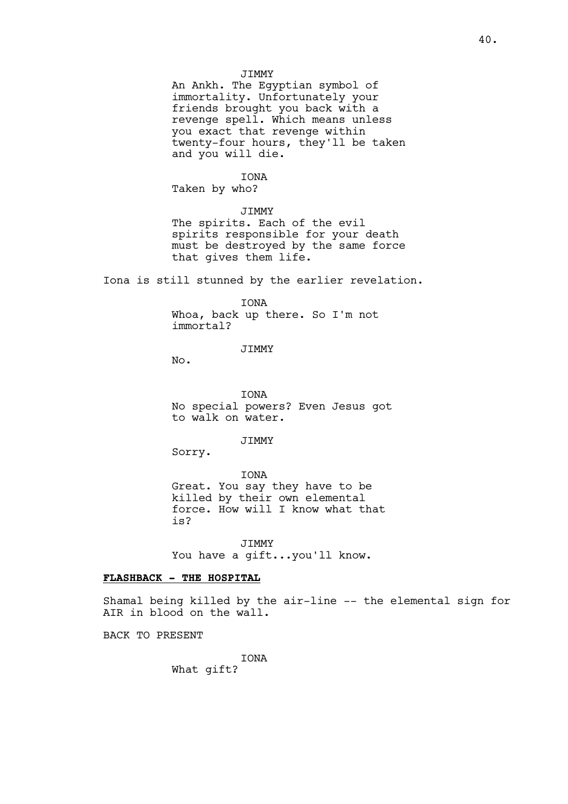## JIMMY

An Ankh. The Egyptian symbol of immortality. Unfortunately your friends brought you back with a revenge spell. Which means unless you exact that revenge within twenty-four hours, they'll be taken and you will die.

## IONA

Taken by who?

#### JIMMY

The spirits. Each of the evil spirits responsible for your death must be destroyed by the same force that gives them life.

Iona is still stunned by the earlier revelation.

# IONA Whoa, back up there. So I'm not immortal?

JIMMY

No.

IONA No special powers? Even Jesus got to walk on water.

JIMMY

Sorry.

IONA Great. You say they have to be killed by their own elemental force. How will I know what that is?

JIMMY You have a gift...you'll know.

## **FLASHBACK - THE HOSPITAL**

Shamal being killed by the air-line -- the elemental sign for AIR in blood on the wall.

BACK TO PRESENT

IONA What gift?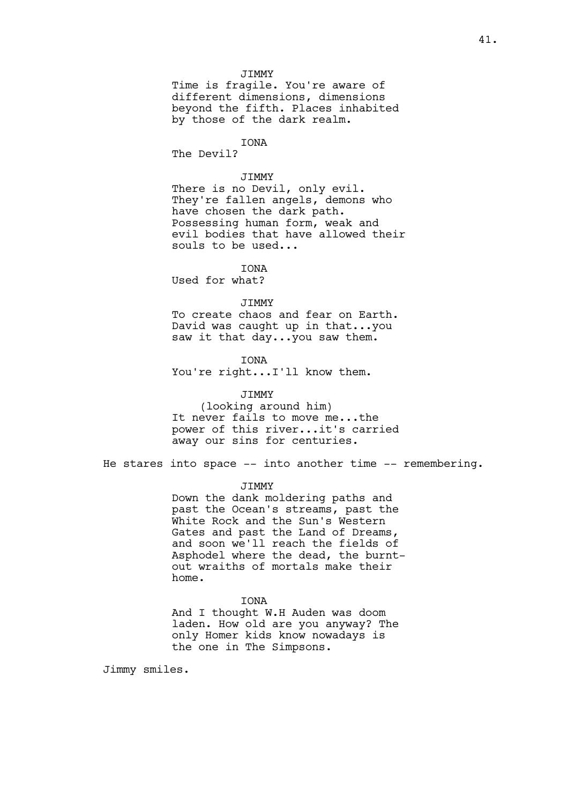#### JIMMY

Time is fragile. You're aware of different dimensions, dimensions beyond the fifth. Places inhabited by those of the dark realm.

# IONA

The Devil?

## JIMMY

There is no Devil, only evil. They're fallen angels, demons who have chosen the dark path. Possessing human form, weak and evil bodies that have allowed their souls to be used...

**TONA** 

Used for what?

#### JIMMY

To create chaos and fear on Earth. David was caught up in that...you saw it that day...you saw them.

IONA You're right...I'll know them.

## JIMMY

(looking around him) It never fails to move me...the power of this river...it's carried away our sins for centuries.

He stares into space -- into another time -- remembering.

#### JIMMY

Down the dank moldering paths and past the Ocean's streams, past the White Rock and the Sun's Western Gates and past the Land of Dreams, and soon we'll reach the fields of Asphodel where the dead, the burntout wraiths of mortals make their home.

#### **TONA**

And I thought W.H Auden was doom laden. How old are you anyway? The only Homer kids know nowadays is the one in The Simpsons.

Jimmy smiles.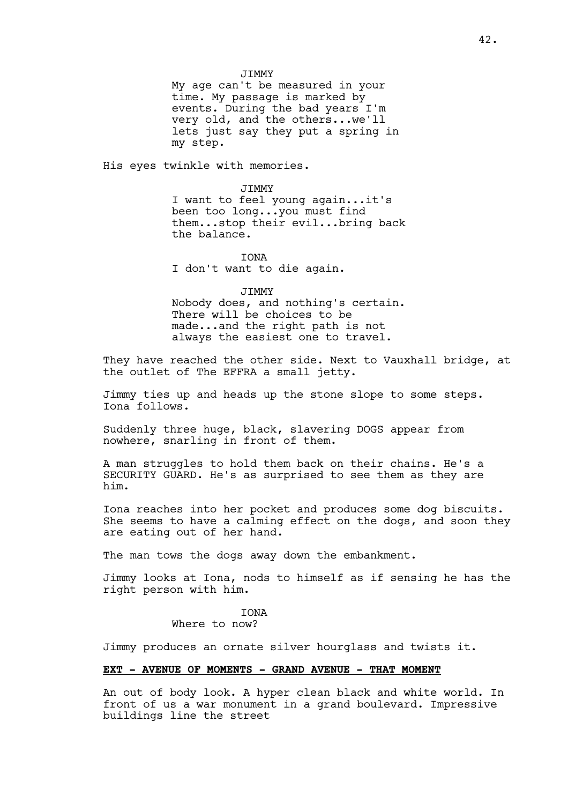My age can't be measured in your time. My passage is marked by events. During the bad years I'm very old, and the others...we'll lets just say they put a spring in my step.

His eyes twinkle with memories.

JIMMY I want to feel young again...it's been too long...you must find them...stop their evil...bring back the balance.

## IONA

I don't want to die again.

#### JIMMY

Nobody does, and nothing's certain. There will be choices to be made...and the right path is not always the easiest one to travel.

They have reached the other side. Next to Vauxhall bridge, at the outlet of The EFFRA a small jetty.

Jimmy ties up and heads up the stone slope to some steps. Iona follows.

Suddenly three huge, black, slavering DOGS appear from nowhere, snarling in front of them.

A man struggles to hold them back on their chains. He's a SECURITY GUARD. He's as surprised to see them as they are him.

Iona reaches into her pocket and produces some dog biscuits. She seems to have a calming effect on the dogs, and soon they are eating out of her hand.

The man tows the dogs away down the embankment.

Jimmy looks at Iona, nods to himself as if sensing he has the right person with him.

# **TONA**

# Where to now?

Jimmy produces an ornate silver hourglass and twists it.

#### **EXT - AVENUE OF MOMENTS - GRAND AVENUE - THAT MOMENT**

An out of body look. A hyper clean black and white world. In front of us a war monument in a grand boulevard. Impressive buildings line the street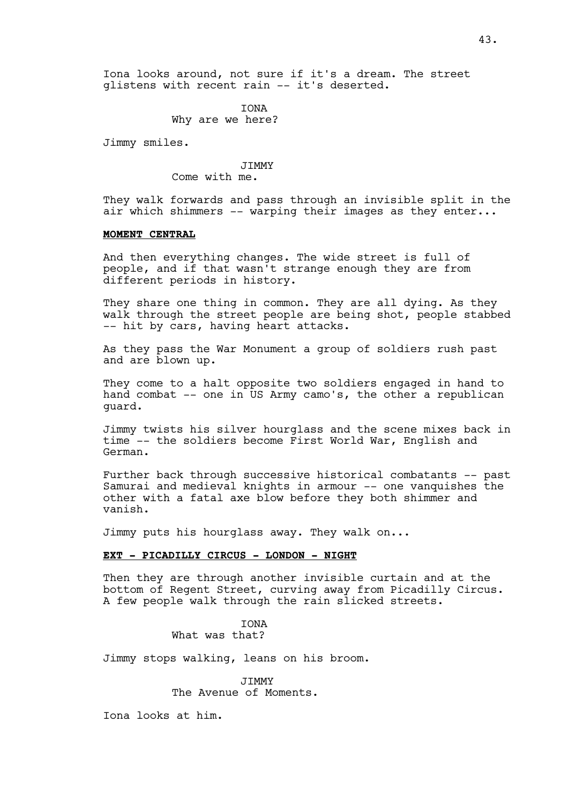IONA Why are we here?

Jimmy smiles.

**JTMMY** Come with me.

They walk forwards and pass through an invisible split in the air which shimmers -- warping their images as they enter...

## **MOMENT CENTRAL**

And then everything changes. The wide street is full of people, and if that wasn't strange enough they are from different periods in history.

They share one thing in common. They are all dying. As they walk through the street people are being shot, people stabbed -- hit by cars, having heart attacks.

As they pass the War Monument a group of soldiers rush past and are blown up.

They come to a halt opposite two soldiers engaged in hand to hand combat -- one in US Army camo's, the other a republican guard.

Jimmy twists his silver hourglass and the scene mixes back in time -- the soldiers become First World War, English and German.

Further back through successive historical combatants -- past Samurai and medieval knights in armour -- one vanquishes the other with a fatal axe blow before they both shimmer and vanish.

Jimmy puts his hourglass away. They walk on...

## **EXT - PICADILLY CIRCUS - LONDON - NIGHT**

Then they are through another invisible curtain and at the bottom of Regent Street, curving away from Picadilly Circus. A few people walk through the rain slicked streets.

> IONA What was that?

Jimmy stops walking, leans on his broom.

**JTMMY** The Avenue of Moments.

Iona looks at him.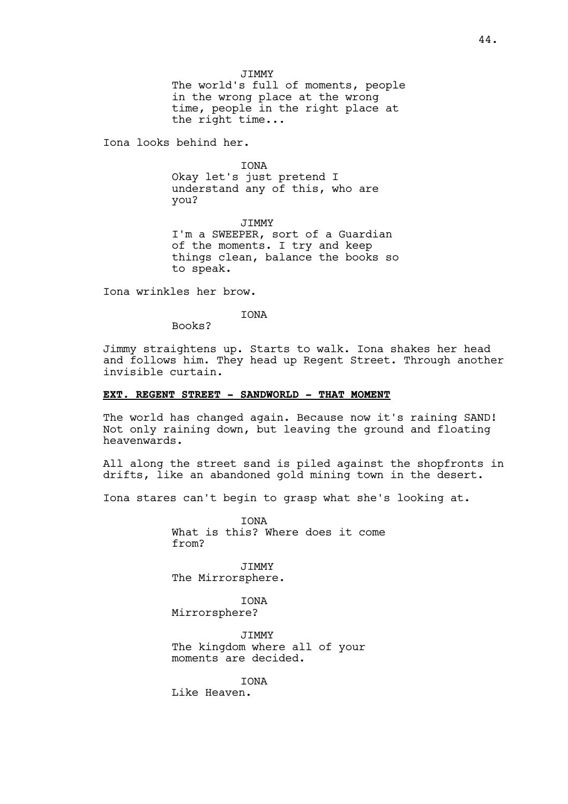JIMMY

The world's full of moments, people in the wrong place at the wrong time, people in the right place at the right time...

Iona looks behind her.

IONA

Okay let's just pretend I understand any of this, who are you?

JIMMY I'm a SWEEPER, sort of a Guardian of the moments. I try and keep things clean, balance the books so to speak.

Iona wrinkles her brow.

IONA

Books?

Jimmy straightens up. Starts to walk. Iona shakes her head and follows him. They head up Regent Street. Through another invisible curtain.

#### **EXT. REGENT STREET - SANDWORLD - THAT MOMENT**

The world has changed again. Because now it's raining SAND! Not only raining down, but leaving the ground and floating heavenwards.

All along the street sand is piled against the shopfronts in drifts, like an abandoned gold mining town in the desert.

Iona stares can't begin to grasp what she's looking at.

**TONA** What is this? Where does it come from?

JIMMY The Mirrorsphere.

**TONA** Mirrorsphere?

**JTMMY** The kingdom where all of your moments are decided.

**TONA** 

Like Heaven.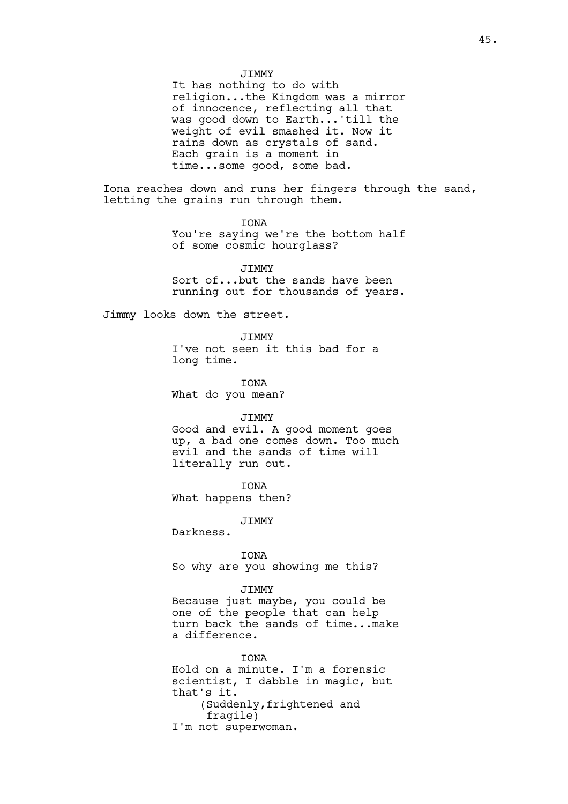JIMMY

It has nothing to do with religion...the Kingdom was a mirror of innocence, reflecting all that was good down to Earth...'till the weight of evil smashed it. Now it rains down as crystals of sand. Each grain is a moment in time...some good, some bad.

Iona reaches down and runs her fingers through the sand, letting the grains run through them.

> IONA You're saying we're the bottom half of some cosmic hourglass?

> > **JTMMY**

Sort of...but the sands have been running out for thousands of years.

Jimmy looks down the street.

JIMMY I've not seen it this bad for a long time.

IONA

What do you mean?

## JIMMY

Good and evil. A good moment goes up, a bad one comes down. Too much evil and the sands of time will literally run out.

IONA What happens then?

**JTMMY** 

Darkness.

IONA So why are you showing me this?

JIMMY

Because just maybe, you could be one of the people that can help turn back the sands of time...make a difference.

**TONA** Hold on a minute. I'm a forensic scientist, I dabble in magic, but that's it. (Suddenly,frightened and fragile) I'm not superwoman.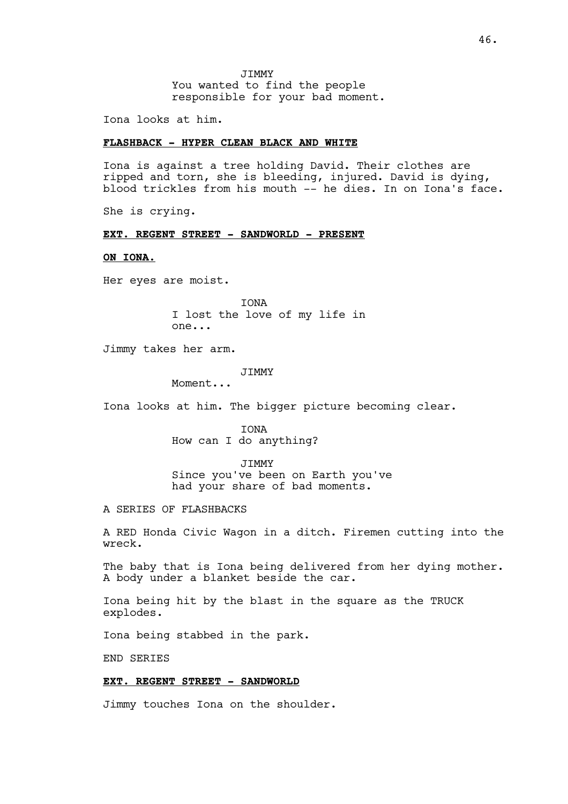JIMMY You wanted to find the people responsible for your bad moment.

Iona looks at him.

## **FLASHBACK - HYPER CLEAN BLACK AND WHITE**

Iona is against a tree holding David. Their clothes are ripped and torn, she is bleeding, injured. David is dying, blood trickles from his mouth -- he dies. In on Iona's face.

She is crying.

# **EXT. REGENT STREET - SANDWORLD - PRESENT**

## **ON IONA.**

Her eyes are moist.

IONA I lost the love of my life in one...

Jimmy takes her arm.

## JIMMY

Moment...

Iona looks at him. The bigger picture becoming clear.

IONA How can I do anything?

JIMMY

Since you've been on Earth you've had your share of bad moments.

A SERIES OF FLASHBACKS

A RED Honda Civic Wagon in a ditch. Firemen cutting into the wreck.

The baby that is Iona being delivered from her dying mother. A body under a blanket beside the car.

Iona being hit by the blast in the square as the TRUCK explodes.

Iona being stabbed in the park.

END SERIES

#### **EXT. REGENT STREET - SANDWORLD**

Jimmy touches Iona on the shoulder.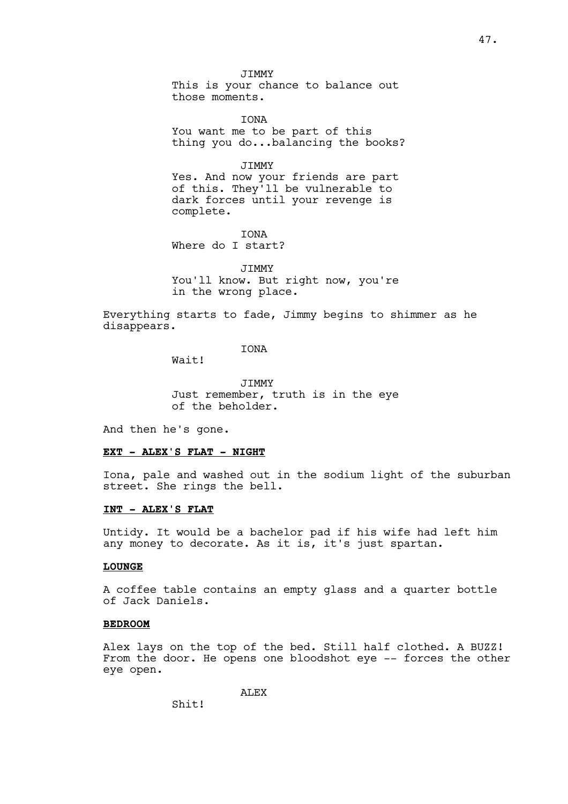JIMMY This is your chance to balance out those moments.

IONA You want me to be part of this thing you do...balancing the books?

JIMMY

Yes. And now your friends are part of this. They'll be vulnerable to dark forces until your revenge is complete.

IONA Where do I start?

**JTMMY** 

You'll know. But right now, you're in the wrong place.

Everything starts to fade, Jimmy begins to shimmer as he disappears.

IONA

Wait!

JIMMY Just remember, truth is in the eye of the beholder.

And then he's gone.

### **EXT - ALEX'S FLAT - NIGHT**

Iona, pale and washed out in the sodium light of the suburban street. She rings the bell.

## **INT - ALEX'S FLAT**

Untidy. It would be a bachelor pad if his wife had left him any money to decorate. As it is, it's just spartan.

## **LOUNGE**

A coffee table contains an empty glass and a quarter bottle of Jack Daniels.

## **BEDROOM**

Alex lays on the top of the bed. Still half clothed. A BUZZ! From the door. He opens one bloodshot eye -- forces the other eye open.

ALEX

Shit!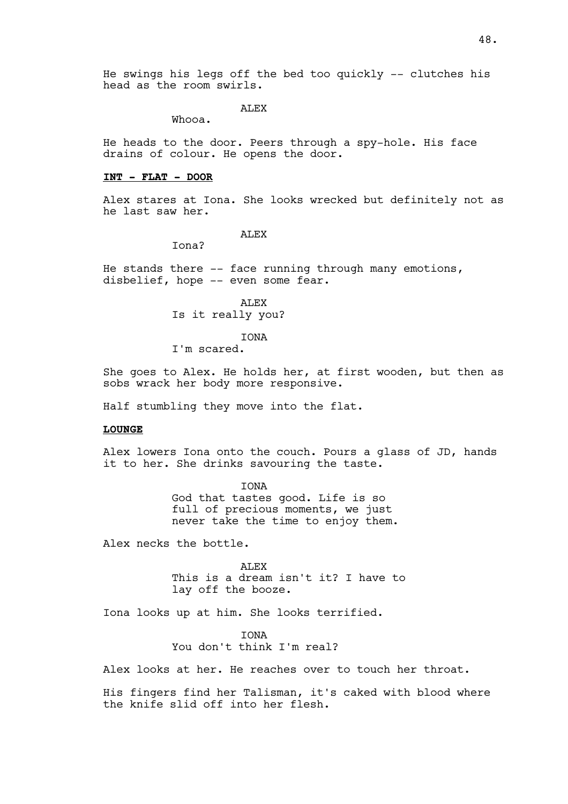He swings his legs off the bed too quickly -- clutches his head as the room swirls.

# **ALEX**

Whooa.

He heads to the door. Peers through a spy-hole. His face drains of colour. He opens the door.

#### **INT - FLAT - DOOR**

Alex stares at Iona. She looks wrecked but definitely not as he last saw her.

ALEX

Iona?

He stands there  $-$ - face running through many emotions, disbelief, hope -- even some fear.

> ALEX Is it really you?

# IONA

I'm scared.

She goes to Alex. He holds her, at first wooden, but then as sobs wrack her body more responsive.

Half stumbling they move into the flat.

#### **LOUNGE**

Alex lowers Iona onto the couch. Pours a glass of JD, hands it to her. She drinks savouring the taste.

> IONA God that tastes good. Life is so full of precious moments, we just never take the time to enjoy them.

Alex necks the bottle.

ALEX This is a dream isn't it? I have to lay off the booze.

Iona looks up at him. She looks terrified.

**TONA** 

You don't think I'm real?

Alex looks at her. He reaches over to touch her throat.

His fingers find her Talisman, it's caked with blood where the knife slid off into her flesh.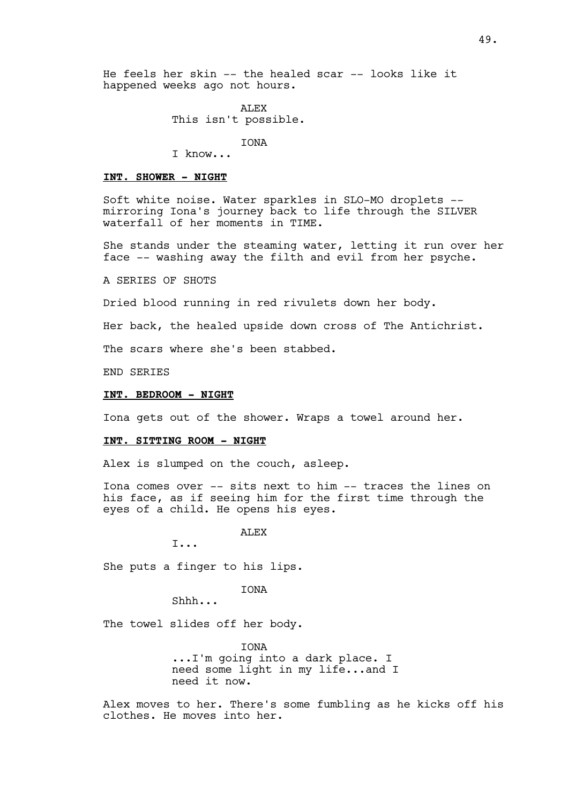He feels her skin -- the healed scar -- looks like it happened weeks ago not hours.

> ALEX This isn't possible.

> > IONA

I know...

#### **INT. SHOWER - NIGHT**

Soft white noise. Water sparkles in SLO-MO droplets - mirroring Iona's journey back to life through the SILVER waterfall of her moments in TIME.

She stands under the steaming water, letting it run over her face -- washing away the filth and evil from her psyche.

A SERIES OF SHOTS

Dried blood running in red rivulets down her body.

Her back, the healed upside down cross of The Antichrist.

The scars where she's been stabbed.

END SERIES

## **INT. BEDROOM - NIGHT**

Iona gets out of the shower. Wraps a towel around her.

#### **INT. SITTING ROOM - NIGHT**

Alex is slumped on the couch, asleep.

Iona comes over -- sits next to him -- traces the lines on his face, as if seeing him for the first time through the eyes of a child. He opens his eyes.

ALEX

I...

She puts a finger to his lips.

IONA

Shhh...

The towel slides off her body.

**TONA** ...I'm going into a dark place. I need some light in my life...and I need it now.

Alex moves to her. There's some fumbling as he kicks off his clothes. He moves into her.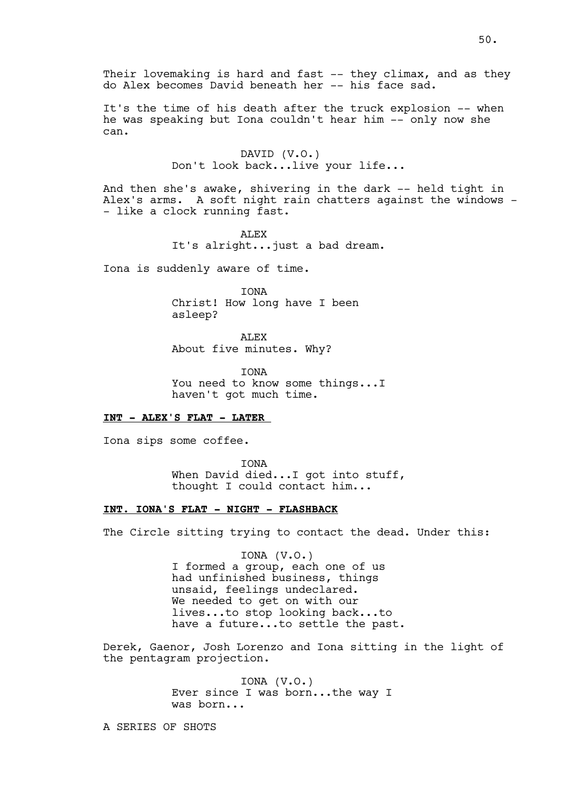Their lovemaking is hard and fast -- they climax, and as they do Alex becomes David beneath her -- his face sad.

It's the time of his death after the truck explosion -- when he was speaking but Iona couldn't hear him -- only now she can.

> DAVID (V.O.) Don't look back...live your life...

And then she's awake, shivering in the dark -- held tight in Alex's arms. A soft night rain chatters against the windows - - like a clock running fast.

> ALEX It's alright...just a bad dream.

Iona is suddenly aware of time.

IONA Christ! How long have I been asleep?

ALEX About five minutes. Why?

IONA You need to know some things...I haven't got much time.

# **INT - ALEX'S FLAT - LATER**

Iona sips some coffee.

IONA When David died... I got into stuff, thought I could contact him...

# **INT. IONA'S FLAT - NIGHT - FLASHBACK**

The Circle sitting trying to contact the dead. Under this:

IONA (V.O.) I formed a group, each one of us had unfinished business, things unsaid, feelings undeclared. We needed to get on with our lives...to stop looking back...to have a future...to settle the past.

Derek, Gaenor, Josh Lorenzo and Iona sitting in the light of the pentagram projection.

> IONA (V.O.) Ever since I was born...the way I was born...

A SERIES OF SHOTS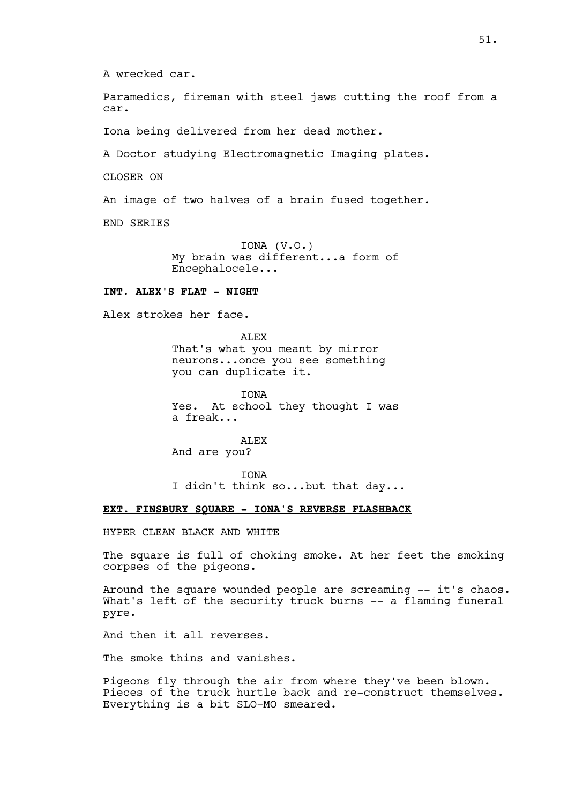A wrecked car.

Paramedics, fireman with steel jaws cutting the roof from a car.

Iona being delivered from her dead mother.

A Doctor studying Electromagnetic Imaging plates.

CLOSER ON

An image of two halves of a brain fused together.

END SERIES

IONA (V.O.) My brain was different...a form of Encephalocele...

## **INT. ALEX'S FLAT - NIGHT**

Alex strokes her face.

ALEX That's what you meant by mirror neurons...once you see something you can duplicate it.

IONA Yes. At school they thought I was a freak...

ALEX And are you?

IONA I didn't think so...but that day...

## **EXT. FINSBURY SQUARE - IONA'S REVERSE FLASHBACK**

HYPER CLEAN BLACK AND WHITE

The square is full of choking smoke. At her feet the smoking corpses of the pigeons.

Around the square wounded people are screaming -- it's chaos. What's left of the security truck burns -- a flaming funeral pyre.

And then it all reverses.

The smoke thins and vanishes.

Pigeons fly through the air from where they've been blown. Pieces of the truck hurtle back and re-construct themselves. Everything is a bit SLO-MO smeared.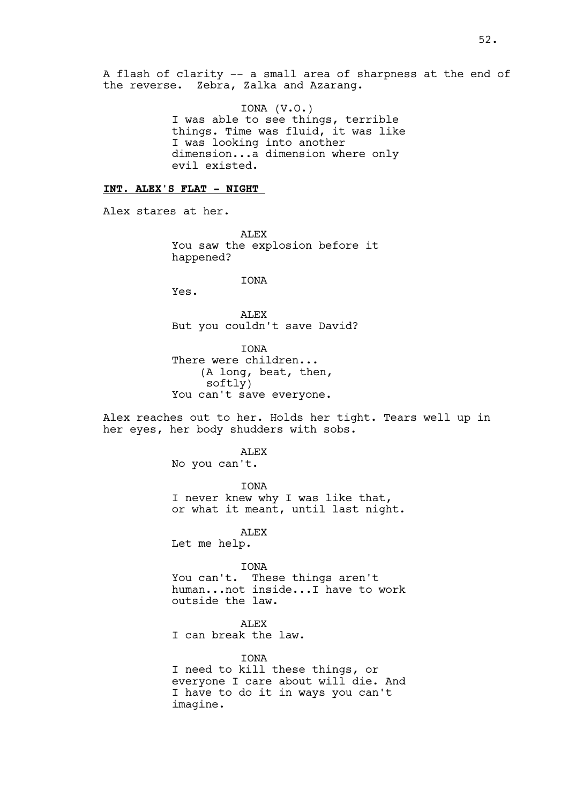A flash of clarity -- a small area of sharpness at the end of the reverse. Zebra, Zalka and Azarang.

> IONA (V.O.) I was able to see things, terrible things. Time was fluid, it was like I was looking into another dimension...a dimension where only evil existed.

# **INT. ALEX'S FLAT - NIGHT**

Alex stares at her.

ALEX You saw the explosion before it happened?

**TONA** 

Yes.

ALEX But you couldn't save David?

IONA There were children... (A long, beat, then, softly) You can't save everyone.

Alex reaches out to her. Holds her tight. Tears well up in her eyes, her body shudders with sobs.

> ALEX No you can't.

IONA I never knew why I was like that, or what it meant, until last night.

ALEX

Let me help.

IONA You can't. These things aren't human...not inside...I have to work outside the law.

ALEX I can break the law.

**TONA** I need to kill these things, or everyone I care about will die. And I have to do it in ways you can't imagine.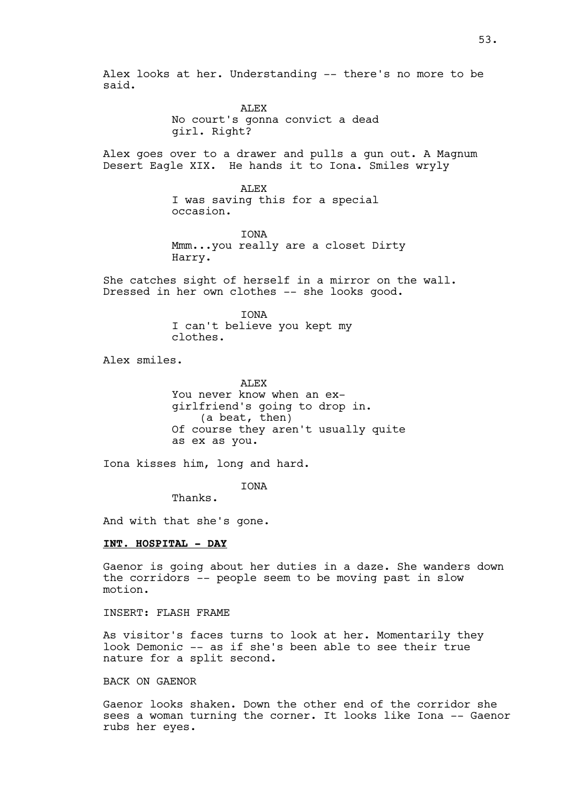Alex looks at her. Understanding -- there's no more to be said.

> ALEX No court's gonna convict a dead girl. Right?

Alex goes over to a drawer and pulls a gun out. A Magnum Desert Eagle XIX. He hands it to Iona. Smiles wryly

> ALEX I was saving this for a special occasion.

IONA Mmm...you really are a closet Dirty Harry.

She catches sight of herself in a mirror on the wall. Dressed in her own clothes -- she looks good.

> IONA I can't believe you kept my clothes.

Alex smiles.

ALEX You never know when an exgirlfriend's going to drop in. (a beat, then) Of course they aren't usually quite as ex as you.

Iona kisses him, long and hard.

IONA

Thanks.

And with that she's gone.

## **INT. HOSPITAL - DAY**

Gaenor is going about her duties in a daze. She wanders down the corridors -- people seem to be moving past in slow motion.

INSERT: FLASH FRAME

As visitor's faces turns to look at her. Momentarily they look Demonic -- as if she's been able to see their true nature for a split second.

## BACK ON GAENOR

Gaenor looks shaken. Down the other end of the corridor she sees a woman turning the corner. It looks like Iona -- Gaenor rubs her eyes.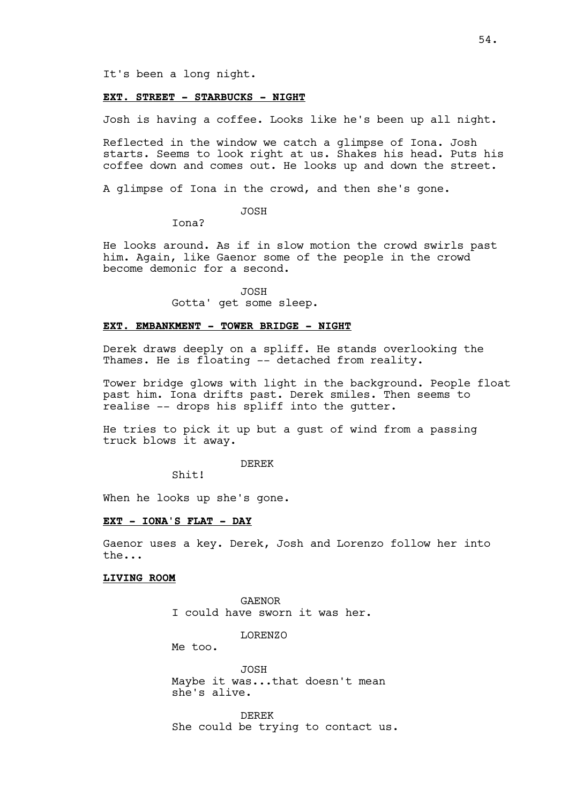It's been a long night.

# **EXT. STREET - STARBUCKS - NIGHT**

Josh is having a coffee. Looks like he's been up all night.

Reflected in the window we catch a glimpse of Iona. Josh starts. Seems to look right at us. Shakes his head. Puts his coffee down and comes out. He looks up and down the street.

A glimpse of Iona in the crowd, and then she's gone.

JOSH

Iona?

He looks around. As if in slow motion the crowd swirls past him. Again, like Gaenor some of the people in the crowd become demonic for a second.

JOSH

Gotta' get some sleep.

#### **EXT. EMBANKMENT - TOWER BRIDGE - NIGHT**

Derek draws deeply on a spliff. He stands overlooking the Thames. He is floating -- detached from reality.

Tower bridge glows with light in the background. People float past him. Iona drifts past. Derek smiles. Then seems to realise -- drops his spliff into the gutter.

He tries to pick it up but a gust of wind from a passing truck blows it away.

DEREK

Shit!

When he looks up she's gone.

## **EXT - IONA'S FLAT - DAY**

Gaenor uses a key. Derek, Josh and Lorenzo follow her into the...

#### **LIVING ROOM**

GAENOR I could have sworn it was her.

LORENZO

Me too.

JOSH Maybe it was...that doesn't mean she's alive.

DEREK She could be trying to contact us.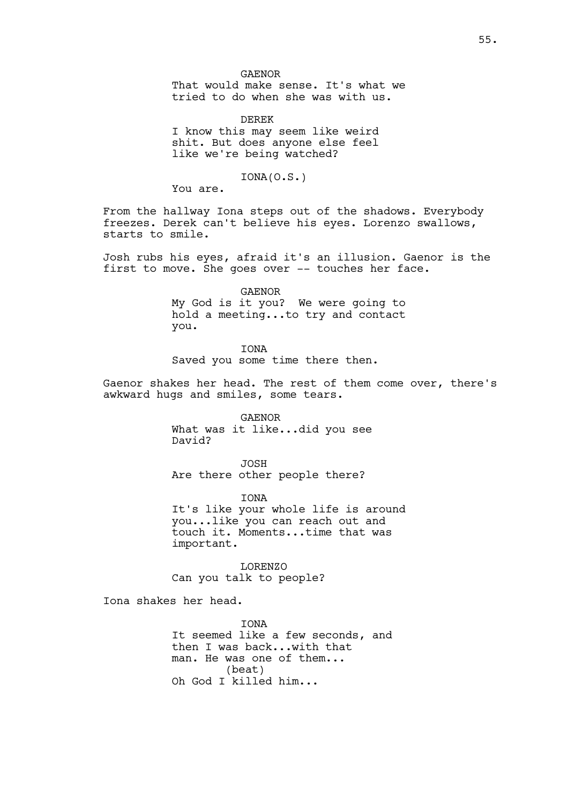#### GAENOR

That would make sense. It's what we tried to do when she was with us.

DEREK I know this may seem like weird shit. But does anyone else feel like we're being watched?

## IONA(O.S.)

You are.

From the hallway Iona steps out of the shadows. Everybody freezes. Derek can't believe his eyes. Lorenzo swallows, starts to smile.

Josh rubs his eyes, afraid it's an illusion. Gaenor is the first to move. She goes over -- touches her face.

> GAENOR My God is it you? We were going to hold a meeting...to try and contact you.

IONA Saved you some time there then.

Gaenor shakes her head. The rest of them come over, there's awkward hugs and smiles, some tears.

> GAENOR What was it like...did you see David?

JOSH Are there other people there?

IONA It's like your whole life is around you...like you can reach out and touch it. Moments...time that was important.

LORENZO Can you talk to people?

Iona shakes her head.

IONA It seemed like a few seconds, and then I was back...with that man. He was one of them... (beat) Oh God I killed him...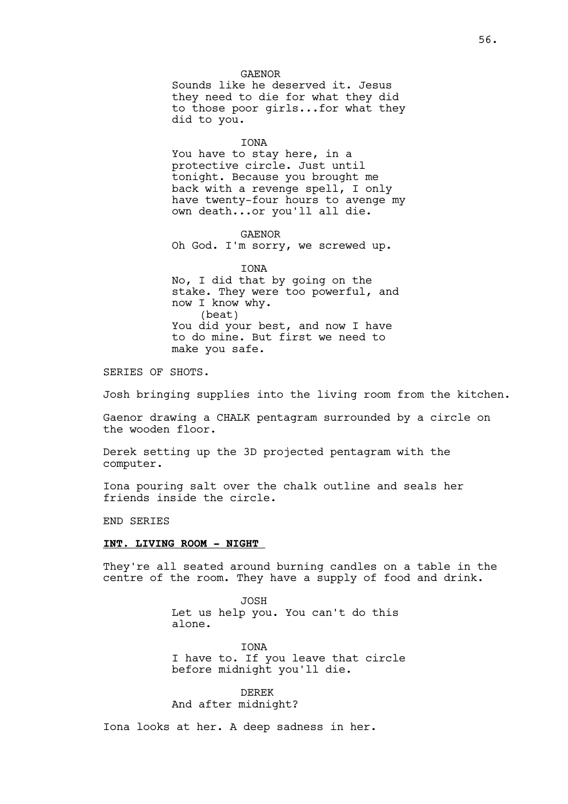GAENOR Sounds like he deserved it. Jesus they need to die for what they did to those poor girls...for what they did to you.

IONA

You have to stay here, in a protective circle. Just until tonight. Because you brought me back with a revenge spell, I only have twenty-four hours to avenge my own death...or you'll all die.

GAENOR Oh God. I'm sorry, we screwed up.

IONA No, I did that by going on the stake. They were too powerful, and now I know why. (beat) You did your best, and now I have to do mine. But first we need to make you safe.

SERIES OF SHOTS.

Josh bringing supplies into the living room from the kitchen.

Gaenor drawing a CHALK pentagram surrounded by a circle on the wooden floor.

Derek setting up the 3D projected pentagram with the computer.

Iona pouring salt over the chalk outline and seals her friends inside the circle.

END SERIES

#### **INT. LIVING ROOM - NIGHT**

They're all seated around burning candles on a table in the centre of the room. They have a supply of food and drink.

> JOSH Let us help you. You can't do this alone.

**TONA** I have to. If you leave that circle before midnight you'll die.

DEREK And after midnight?

Iona looks at her. A deep sadness in her.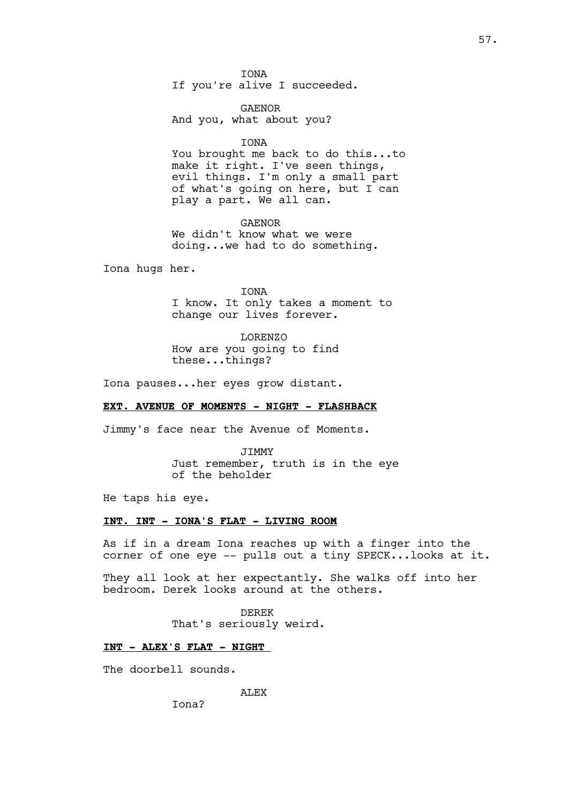IONA If you're alive I succeeded.

GAENOR And you, what about you?

IONA

You brought me back to do this...to make it right. I've seen things, evil things. I'm only a small part of what's going on here, but I can play a part. We all can.

GAENOR We didn't know what we were doing...we had to do something.

Iona hugs her.

IONA I know. It only takes a moment to change our lives forever.

LORENZO How are you going to find these...things?

Iona pauses...her eyes grow distant.

## **EXT. AVENUE OF MOMENTS - NIGHT - FLASHBACK**

Jimmy's face near the Avenue of Moments.

JIMMY Just remember, truth is in the eye of the beholder

He taps his eye.

## **INT. INT - IONA'S FLAT - LIVING ROOM**

As if in a dream Iona reaches up with a finger into the corner of one eye -- pulls out a tiny SPECK...looks at it.

They all look at her expectantly. She walks off into her bedroom. Derek looks around at the others.

> DEREK That's seriously weird.

### **INT - ALEX'S FLAT - NIGHT**

The doorbell sounds.

ALEX

Iona?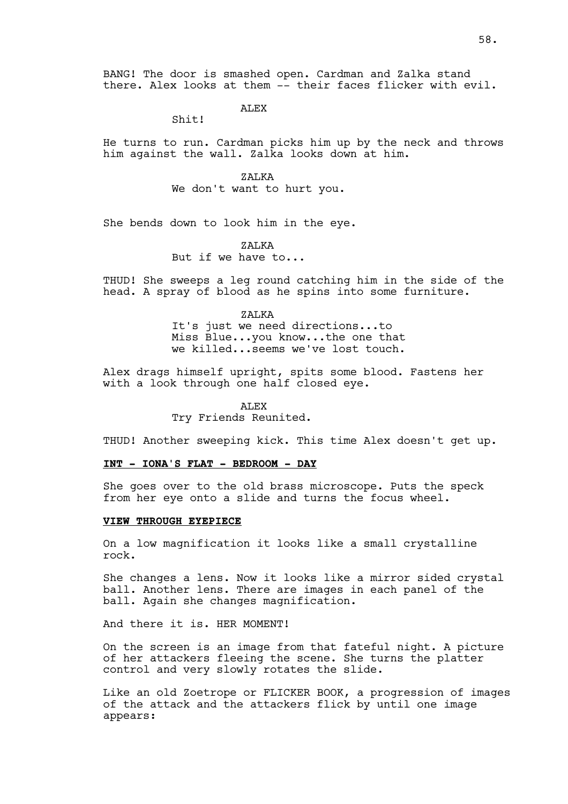**ALEX** 

Shit!

He turns to run. Cardman picks him up by the neck and throws him against the wall. Zalka looks down at him.

> ZALKA We don't want to hurt you.

She bends down to look him in the eye.

# ZALKA

But if we have to...

THUD! She sweeps a leg round catching him in the side of the head. A spray of blood as he spins into some furniture.

ZALKA

It's just we need directions...to Miss Blue...you know...the one that we killed...seems we've lost touch.

Alex drags himself upright, spits some blood. Fastens her with a look through one half closed eye.

ALEX

Try Friends Reunited.

THUD! Another sweeping kick. This time Alex doesn't get up.

## **INT - IONA'S FLAT - BEDROOM - DAY**

She goes over to the old brass microscope. Puts the speck from her eye onto a slide and turns the focus wheel.

### **VIEW THROUGH EYEPIECE**

On a low magnification it looks like a small crystalline rock.

She changes a lens. Now it looks like a mirror sided crystal ball. Another lens. There are images in each panel of the ball. Again she changes magnification.

And there it is. HER MOMENT!

On the screen is an image from that fateful night. A picture of her attackers fleeing the scene. She turns the platter control and very slowly rotates the slide.

Like an old Zoetrope or FLICKER BOOK, a progression of images of the attack and the attackers flick by until one image appears: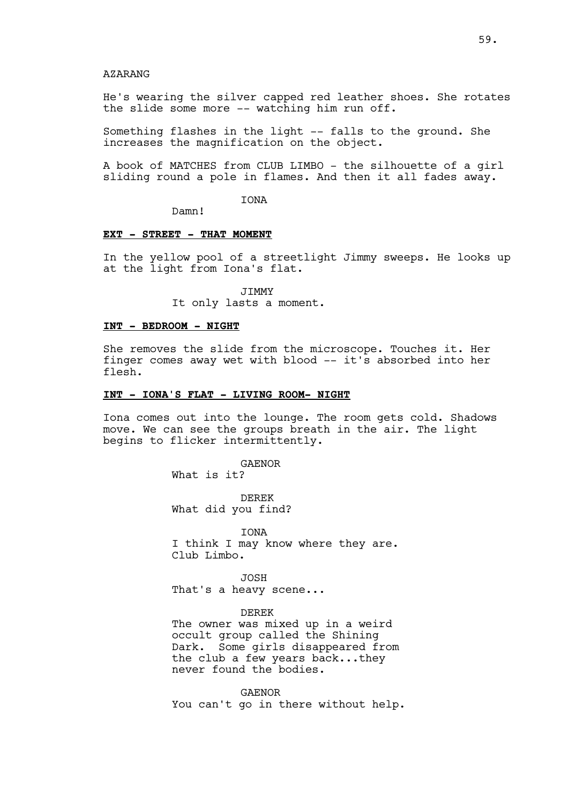## AZARANG

He's wearing the silver capped red leather shoes. She rotates the slide some more -- watching him run off.

Something flashes in the light -- falls to the ground. She increases the magnification on the object.

A book of MATCHES from CLUB LIMBO - the silhouette of a girl sliding round a pole in flames. And then it all fades away.

IONA

Damn!

## **EXT - STREET - THAT MOMENT**

In the yellow pool of a streetlight Jimmy sweeps. He looks up at the light from Iona's flat.

> JIMMY It only lasts a moment.

#### **INT - BEDROOM - NIGHT**

She removes the slide from the microscope. Touches it. Her finger comes away wet with blood -- it's absorbed into her flesh.

#### **INT - IONA'S FLAT - LIVING ROOM- NIGHT**

Iona comes out into the lounge. The room gets cold. Shadows move. We can see the groups breath in the air. The light begins to flicker intermittently.

GAENOR

What is it?

DEREK What did you find?

IONA I think I may know where they are. Club Limbo.

JOSH That's a heavy scene...

#### DEREK

The owner was mixed up in a weird occult group called the Shining Dark. Some girls disappeared from the club a few years back...they never found the bodies.

GAENOR You can't go in there without help.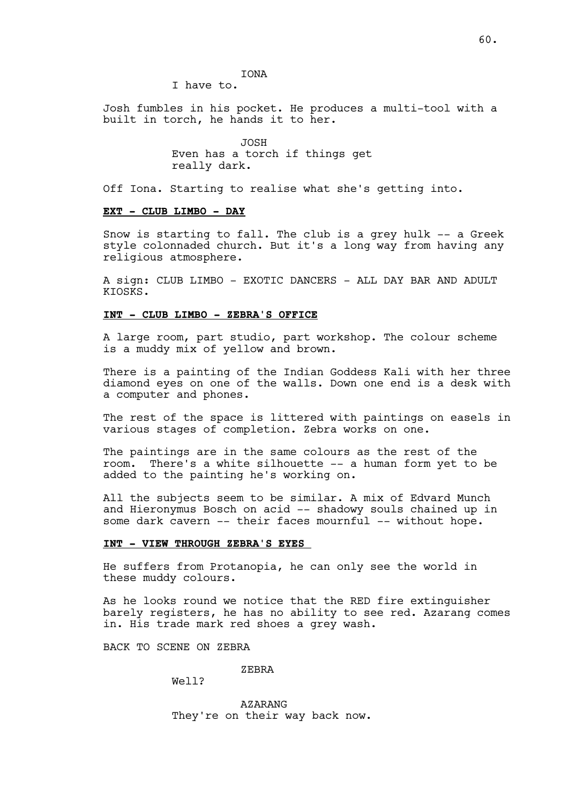IONA

I have to.

Josh fumbles in his pocket. He produces a multi-tool with a built in torch, he hands it to her.

> JOSH Even has a torch if things get really dark.

Off Iona. Starting to realise what she's getting into.

#### **EXT - CLUB LIMBO - DAY**

Snow is starting to fall. The club is a grey hulk -- a Greek style colonnaded church. But it's a long way from having any religious atmosphere.

A sign: CLUB LIMBO - EXOTIC DANCERS - ALL DAY BAR AND ADULT KIOSKS.

## **INT - CLUB LIMBO - ZEBRA'S OFFICE**

A large room, part studio, part workshop. The colour scheme is a muddy mix of yellow and brown.

There is a painting of the Indian Goddess Kali with her three diamond eyes on one of the walls. Down one end is a desk with a computer and phones.

The rest of the space is littered with paintings on easels in various stages of completion. Zebra works on one.

The paintings are in the same colours as the rest of the room. There's a white silhouette -- a human form yet to be added to the painting he's working on.

All the subjects seem to be similar. A mix of Edvard Munch and Hieronymus Bosch on acid -- shadowy souls chained up in some dark cavern -- their faces mournful -- without hope.

#### **INT - VIEW THROUGH ZEBRA'S EYES**

He suffers from Protanopia, he can only see the world in these muddy colours.

As he looks round we notice that the RED fire extinguisher barely registers, he has no ability to see red. Azarang comes in. His trade mark red shoes a grey wash.

BACK TO SCENE ON ZEBRA

ZEBRA

Well?

AZARANG They're on their way back now.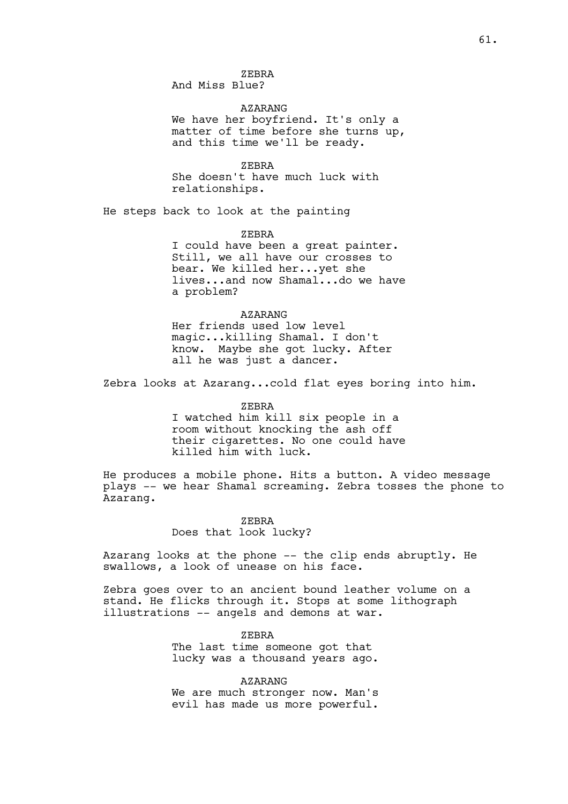ZEBRA And Miss Blue?

AZARANG We have her boyfriend. It's only a matter of time before she turns up, and this time we'll be ready.

ZEBRA She doesn't have much luck with relationships.

He steps back to look at the painting

ZEBRA

I could have been a great painter. Still, we all have our crosses to bear. We killed her...yet she lives...and now Shamal...do we have a problem?

AZARANG Her friends used low level magic...killing Shamal. I don't know. Maybe she got lucky. After all he was just a dancer.

Zebra looks at Azarang...cold flat eyes boring into him.

ZEBRA I watched him kill six people in a room without knocking the ash off their cigarettes. No one could have killed him with luck.

He produces a mobile phone. Hits a button. A video message plays -- we hear Shamal screaming. Zebra tosses the phone to Azarang.

ZEBRA

Does that look lucky?

Azarang looks at the phone -- the clip ends abruptly. He swallows, a look of unease on his face.

Zebra goes over to an ancient bound leather volume on a stand. He flicks through it. Stops at some lithograph illustrations -- angels and demons at war.

> ZEBRA The last time someone got that lucky was a thousand years ago.

AZARANG We are much stronger now. Man's evil has made us more powerful.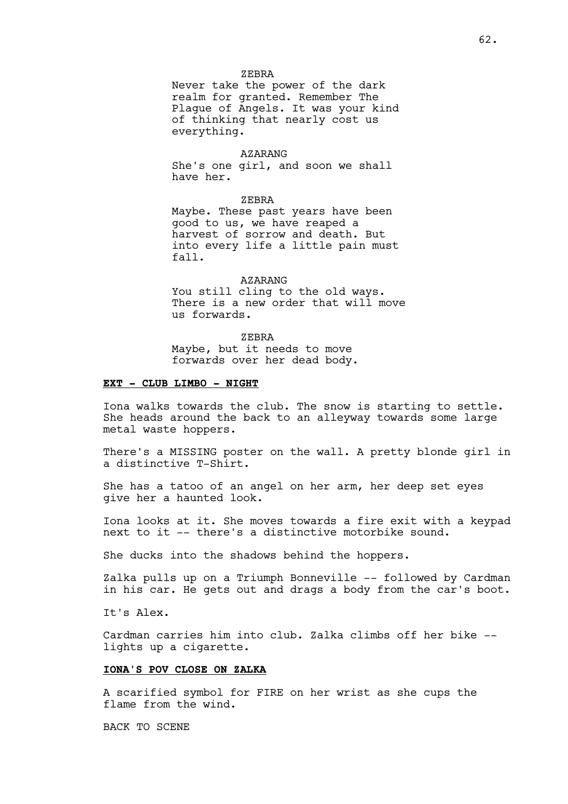#### ZEBRA

Never take the power of the dark realm for granted. Remember The Plague of Angels. It was your kind of thinking that nearly cost us everything.

### AZARANG

She's one girl, and soon we shall have her.

ZEBRA

Maybe. These past years have been good to us, we have reaped a harvest of sorrow and death. But into every life a little pain must fall.

#### AZARANG

You still cling to the old ways. There is a new order that will move us forwards.

#### ZEBRA

Maybe, but it needs to move forwards over her dead body.

### **EXT - CLUB LIMBO - NIGHT**

Iona walks towards the club. The snow is starting to settle. She heads around the back to an alleyway towards some large metal waste hoppers.

There's a MISSING poster on the wall. A pretty blonde girl in a distinctive T-Shirt.

She has a tatoo of an angel on her arm, her deep set eyes give her a haunted look.

Iona looks at it. She moves towards a fire exit with a keypad next to it -- there's a distinctive motorbike sound.

She ducks into the shadows behind the hoppers.

Zalka pulls up on a Triumph Bonneville -- followed by Cardman in his car. He gets out and drags a body from the car's boot.

It's Alex.

Cardman carries him into club. Zalka climbs off her bike - lights up a cigarette.

# **IONA'S POV CLOSE ON ZALKA**

A scarified symbol for FIRE on her wrist as she cups the flame from the wind.

BACK TO SCENE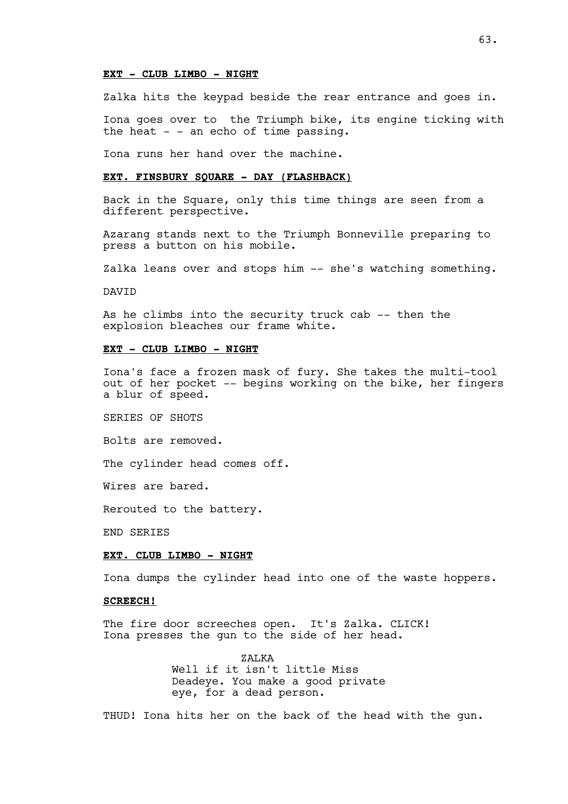## **EXT - CLUB LIMBO - NIGHT**

Zalka hits the keypad beside the rear entrance and goes in.

Iona goes over to the Triumph bike, its engine ticking with the heat  $-$  - an echo of time passing.

Iona runs her hand over the machine.

#### **EXT. FINSBURY SQUARE - DAY (FLASHBACK)**

Back in the Square, only this time things are seen from a different perspective.

Azarang stands next to the Triumph Bonneville preparing to press a button on his mobile.

Zalka leans over and stops him -- she's watching something.

DAVID

As he climbs into the security truck cab -- then the explosion bleaches our frame white.

## **EXT - CLUB LIMBO - NIGHT**

Iona's face a frozen mask of fury. She takes the multi-tool out of her pocket -- begins working on the bike, her fingers a blur of speed.

SERIES OF SHOTS

Bolts are removed.

The cylinder head comes off.

Wires are bared.

Rerouted to the battery.

END SERIES

#### **EXT. CLUB LIMBO - NIGHT**

Iona dumps the cylinder head into one of the waste hoppers.

### **SCREECH!**

The fire door screeches open. It's Zalka. CLICK! Iona presses the gun to the side of her head.

> ZALKA Well if it isn't little Miss Deadeye. You make a good private eye, for a dead person.

THUD! Iona hits her on the back of the head with the gun.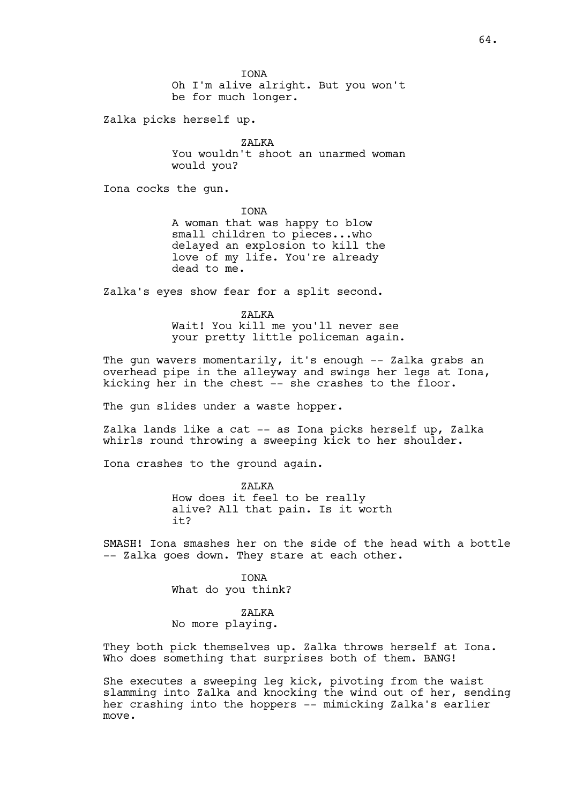**TONA** Oh I'm alive alright. But you won't be for much longer.

Zalka picks herself up.

ZALKA You wouldn't shoot an unarmed woman would you?

Iona cocks the gun.

IONA

A woman that was happy to blow small children to pieces...who delayed an explosion to kill the love of my life. You're already dead to me.

Zalka's eyes show fear for a split second.

ZALKA

Wait! You kill me you'll never see your pretty little policeman again.

The gun wavers momentarily, it's enough -- Zalka grabs an overhead pipe in the alleyway and swings her legs at Iona, kicking her in the chest -- she crashes to the floor.

The gun slides under a waste hopper.

Zalka lands like a cat -- as Iona picks herself up, Zalka whirls round throwing a sweeping kick to her shoulder.

Iona crashes to the ground again.

ZALKA How does it feel to be really alive? All that pain. Is it worth it?

SMASH! Iona smashes her on the side of the head with a bottle -- Zalka goes down. They stare at each other.

> IONA What do you think?

## ZALKA

No more playing.

They both pick themselves up. Zalka throws herself at Iona. Who does something that surprises both of them. BANG!

She executes a sweeping leg kick, pivoting from the waist slamming into Zalka and knocking the wind out of her, sending her crashing into the hoppers -- mimicking Zalka's earlier move.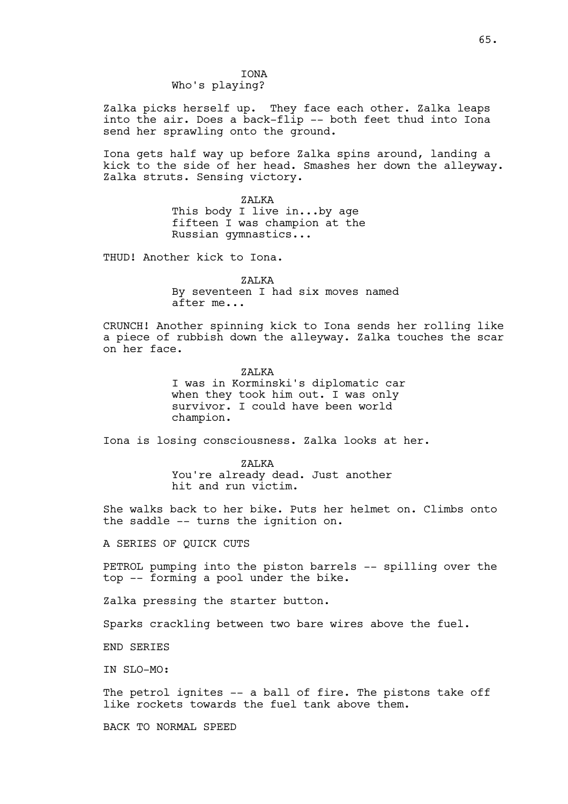## **TONA** Who's playing?

Zalka picks herself up. They face each other. Zalka leaps into the air. Does a back-flip -- both feet thud into Iona send her sprawling onto the ground.

Iona gets half way up before Zalka spins around, landing a kick to the side of her head. Smashes her down the alleyway. Zalka struts. Sensing victory.

> ZALKA This body I live in...by age fifteen I was champion at the Russian gymnastics...

THUD! Another kick to Iona.

ZALKA

By seventeen I had six moves named after me...

CRUNCH! Another spinning kick to Iona sends her rolling like a piece of rubbish down the alleyway. Zalka touches the scar on her face.

> ZALKA I was in Korminski's diplomatic car when they took him out. I was only survivor. I could have been world champion.

Iona is losing consciousness. Zalka looks at her.

ZALKA You're already dead. Just another hit and run victim.

She walks back to her bike. Puts her helmet on. Climbs onto the saddle -- turns the ignition on.

A SERIES OF QUICK CUTS

PETROL pumping into the piston barrels -- spilling over the top -- forming a pool under the bike.

Zalka pressing the starter button.

Sparks crackling between two bare wires above the fuel.

END SERIES

IN SLO-MO:

The petrol ignites -- a ball of fire. The pistons take off like rockets towards the fuel tank above them.

BACK TO NORMAL SPEED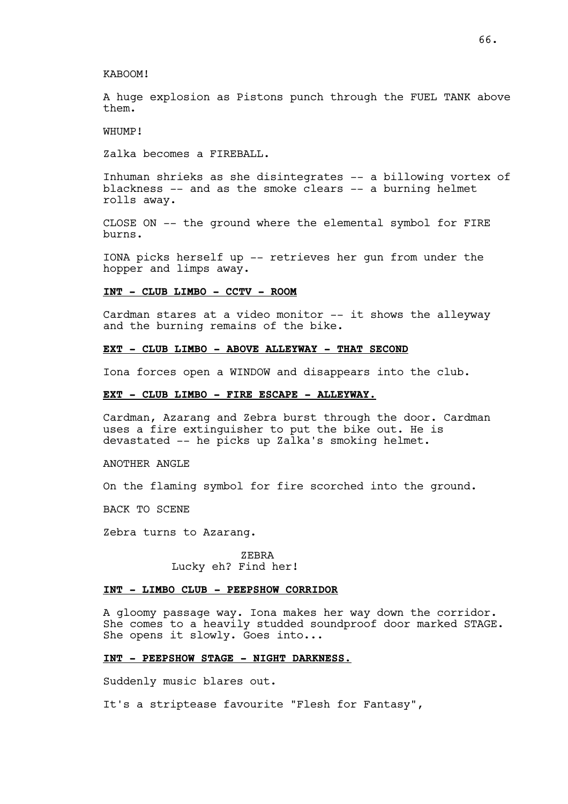## KABOOM!

A huge explosion as Pistons punch through the FUEL TANK above them.

WHUMP!

Zalka becomes a FIREBALL.

Inhuman shrieks as she disintegrates -- a billowing vortex of blackness -- and as the smoke clears -- a burning helmet rolls away.

CLOSE ON -- the ground where the elemental symbol for FIRE burns.

IONA picks herself up -- retrieves her gun from under the hopper and limps away.

## **INT - CLUB LIMBO - CCTV - ROOM**

Cardman stares at a video monitor -- it shows the alleyway and the burning remains of the bike.

#### **EXT - CLUB LIMBO - ABOVE ALLEYWAY - THAT SECOND**

Iona forces open a WINDOW and disappears into the club.

## **EXT - CLUB LIMBO - FIRE ESCAPE - ALLEYWAY.**

Cardman, Azarang and Zebra burst through the door. Cardman uses a fire extinguisher to put the bike out. He is devastated -- he picks up Zalka's smoking helmet.

ANOTHER ANGLE

On the flaming symbol for fire scorched into the ground.

BACK TO SCENE

Zebra turns to Azarang.

ZEBRA Lucky eh? Find her!

## **INT - LIMBO CLUB - PEEPSHOW CORRIDOR**

A gloomy passage way. Iona makes her way down the corridor. She comes to a heavily studded soundproof door marked STAGE. She opens it slowly. Goes into...

# **INT - PEEPSHOW STAGE - NIGHT DARKNESS.**

Suddenly music blares out.

It's a striptease favourite "Flesh for Fantasy",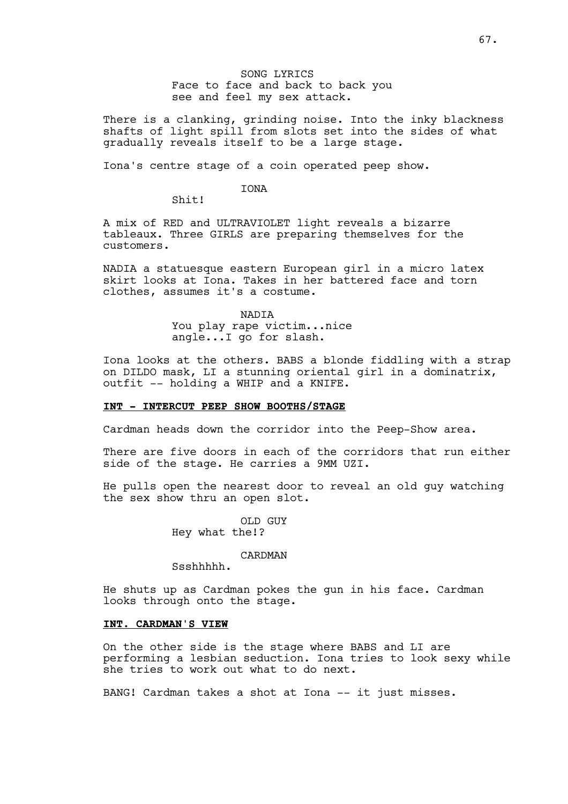# SONG LYRICS Face to face and back to back you see and feel my sex attack.

There is a clanking, grinding noise. Into the inky blackness shafts of light spill from slots set into the sides of what gradually reveals itself to be a large stage.

Iona's centre stage of a coin operated peep show.

## IONA

Shit!

A mix of RED and ULTRAVIOLET light reveals a bizarre tableaux. Three GIRLS are preparing themselves for the customers.

NADIA a statuesque eastern European girl in a micro latex skirt looks at Iona. Takes in her battered face and torn clothes, assumes it's a costume.

## NADIA You play rape victim...nice angle...I go for slash.

Iona looks at the others. BABS a blonde fiddling with a strap on DILDO mask, LI a stunning oriental girl in a dominatrix, outfit -- holding a WHIP and a KNIFE.

# **INT - INTERCUT PEEP SHOW BOOTHS/STAGE**

Cardman heads down the corridor into the Peep-Show area.

There are five doors in each of the corridors that run either side of the stage. He carries a 9MM UZI.

He pulls open the nearest door to reveal an old guy watching the sex show thru an open slot.

> OLD GUY Hey what the!?

## CARDMAN

Ssshhhhh.

He shuts up as Cardman pokes the gun in his face. Cardman looks through onto the stage.

## **INT. CARDMAN'S VIEW**

On the other side is the stage where BABS and LI are performing a lesbian seduction. Iona tries to look sexy while she tries to work out what to do next.

BANG! Cardman takes a shot at Iona -- it just misses.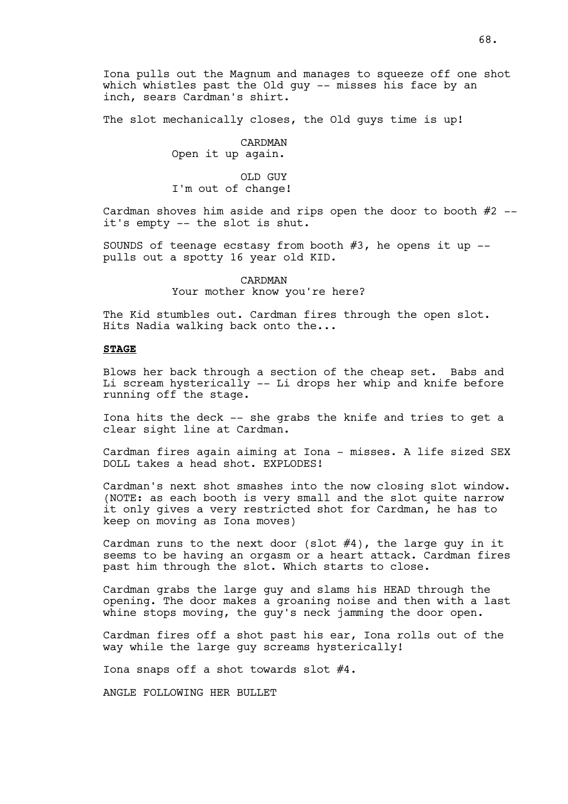Iona pulls out the Magnum and manages to squeeze off one shot which whistles past the Old quy -- misses his face by an inch, sears Cardman's shirt.

The slot mechanically closes, the Old guys time is up!

CARDMAN Open it up again.

OLD GUY I'm out of change!

Cardman shoves him aside and rips open the door to booth  $#2$  -it's empty -- the slot is shut.

SOUNDS of teenage ecstasy from booth  $#3$ , he opens it up  $-$ pulls out a spotty 16 year old KID.

> CARDMAN Your mother know you're here?

The Kid stumbles out. Cardman fires through the open slot. Hits Nadia walking back onto the...

# **STAGE**

Blows her back through a section of the cheap set. Babs and Li scream hysterically -- Li drops her whip and knife before running off the stage.

Iona hits the deck -- she grabs the knife and tries to get a clear sight line at Cardman.

Cardman fires again aiming at Iona - misses. A life sized SEX DOLL takes a head shot. EXPLODES!

Cardman's next shot smashes into the now closing slot window. (NOTE: as each booth is very small and the slot quite narrow it only gives a very restricted shot for Cardman, he has to keep on moving as Iona moves)

Cardman runs to the next door (slot  $#4$ ), the large guy in it seems to be having an orgasm or a heart attack. Cardman fires past him through the slot. Which starts to close.

Cardman grabs the large guy and slams his HEAD through the opening. The door makes a groaning noise and then with a last whine stops moving, the guy's neck jamming the door open.

Cardman fires off a shot past his ear, Iona rolls out of the way while the large guy screams hysterically!

Iona snaps off a shot towards slot #4.

ANGLE FOLLOWING HER BULLET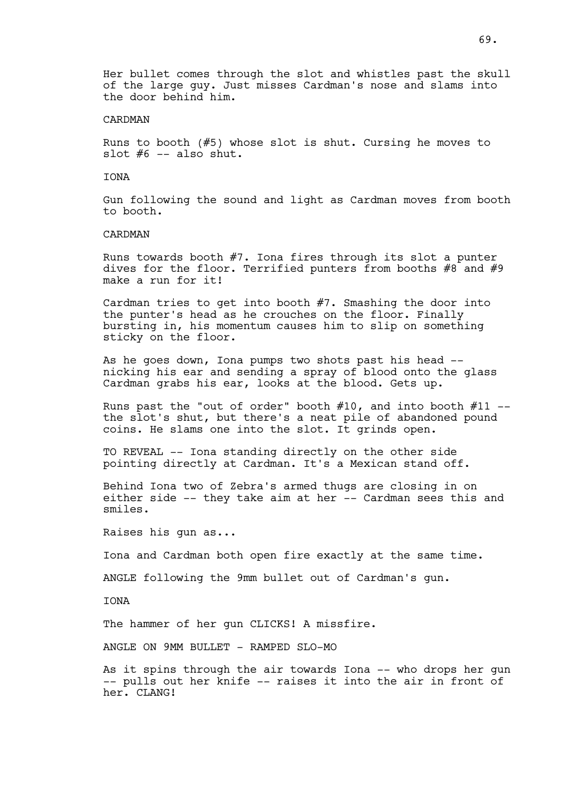Her bullet comes through the slot and whistles past the skull of the large guy. Just misses Cardman's nose and slams into the door behind him.

## CARDMAN

Runs to booth (#5) whose slot is shut. Cursing he moves to slot  $#6$  -- also shut.

#### IONA

Gun following the sound and light as Cardman moves from booth to booth.

## CARDMAN

Runs towards booth #7. Iona fires through its slot a punter dives for the floor. Terrified punters from booths #8 and #9 make a run for it!

Cardman tries to get into booth #7. Smashing the door into the punter's head as he crouches on the floor. Finally bursting in, his momentum causes him to slip on something sticky on the floor.

As he goes down, Iona pumps two shots past his head - nicking his ear and sending a spray of blood onto the glass Cardman grabs his ear, looks at the blood. Gets up.

Runs past the "out of order" booth  $#10$ , and into booth  $#11$  -the slot's shut, but there's a neat pile of abandoned pound coins. He slams one into the slot. It grinds open.

TO REVEAL -- Iona standing directly on the other side pointing directly at Cardman. It's a Mexican stand off.

Behind Iona two of Zebra's armed thugs are closing in on either side -- they take aim at her -- Cardman sees this and smiles.

Raises his gun as...

Iona and Cardman both open fire exactly at the same time.

ANGLE following the 9mm bullet out of Cardman's gun.

**TONA** 

The hammer of her gun CLICKS! A missfire.

ANGLE ON 9MM BULLET - RAMPED SLO-MO

As it spins through the air towards Iona -- who drops her gun -- pulls out her knife -- raises it into the air in front of her. CLANG!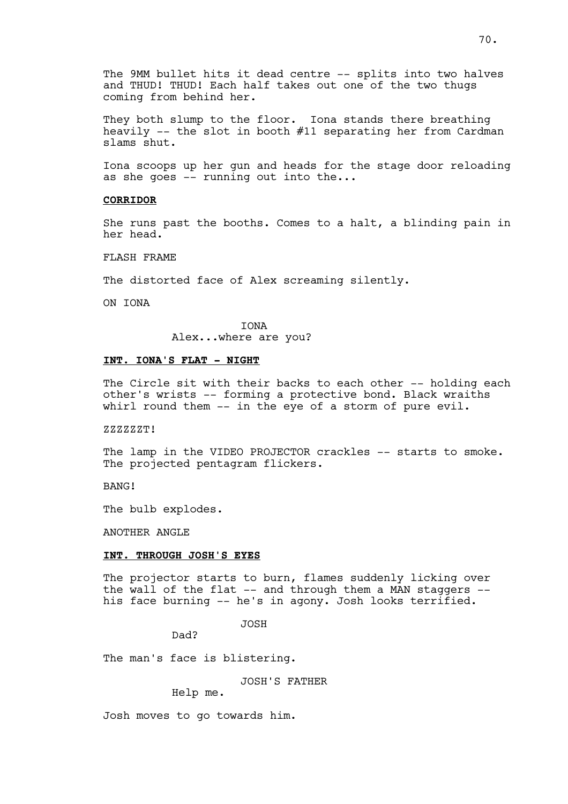The 9MM bullet hits it dead centre -- splits into two halves and THUD! THUD! Each half takes out one of the two thugs coming from behind her.

They both slump to the floor. Iona stands there breathing heavily  $-$ - the slot in booth  $#11$  separating her from Cardman slams shut.

Iona scoops up her gun and heads for the stage door reloading as she goes -- running out into the...

## **CORRIDOR**

She runs past the booths. Comes to a halt, a blinding pain in her head.

FLASH FRAME

The distorted face of Alex screaming silently.

ON IONA

IONA Alex...where are you?

# **INT. IONA'S FLAT - NIGHT**

The Circle sit with their backs to each other -- holding each other's wrists -- forming a protective bond. Black wraiths whirl round them -- in the eye of a storm of pure evil.

#### ZZZZZZT!

The lamp in the VIDEO PROJECTOR crackles -- starts to smoke. The projected pentagram flickers.

BANG!

The bulb explodes.

ANOTHER ANGLE

## **INT. THROUGH JOSH'S EYES**

The projector starts to burn, flames suddenly licking over the wall of the flat -- and through them a MAN staggers - his face burning -- he's in agony. Josh looks terrified.

JOSH

Dad?

The man's face is blistering.

JOSH'S FATHER

Help me.

Josh moves to go towards him.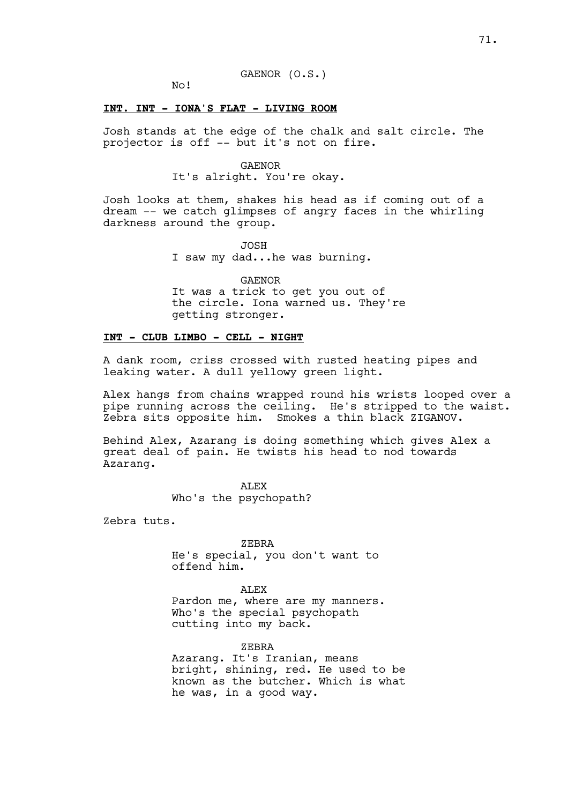### GAENOR (O.S.)

No!

## **INT. INT - IONA'S FLAT - LIVING ROOM**

Josh stands at the edge of the chalk and salt circle. The projector is off -- but it's not on fire.

### GAENOR

It's alright. You're okay.

Josh looks at them, shakes his head as if coming out of a dream -- we catch glimpses of angry faces in the whirling darkness around the group.

JOSH

I saw my dad...he was burning.

GAENOR It was a trick to get you out of the circle. Iona warned us. They're getting stronger.

# **INT - CLUB LIMBO - CELL - NIGHT**

A dank room, criss crossed with rusted heating pipes and leaking water. A dull yellowy green light.

Alex hangs from chains wrapped round his wrists looped over a pipe running across the ceiling. He's stripped to the waist. Zebra sits opposite him. Smokes a thin black ZIGANOV.

Behind Alex, Azarang is doing something which gives Alex a great deal of pain. He twists his head to nod towards Azarang.

> ALEX Who's the psychopath?

Zebra tuts.

ZEBRA He's special, you don't want to offend him.

ALEX Pardon me, where are my manners. Who's the special psychopath cutting into my back.

ZEBRA Azarang. It's Iranian, means bright, shining, red. He used to be known as the butcher. Which is what he was, in a good way.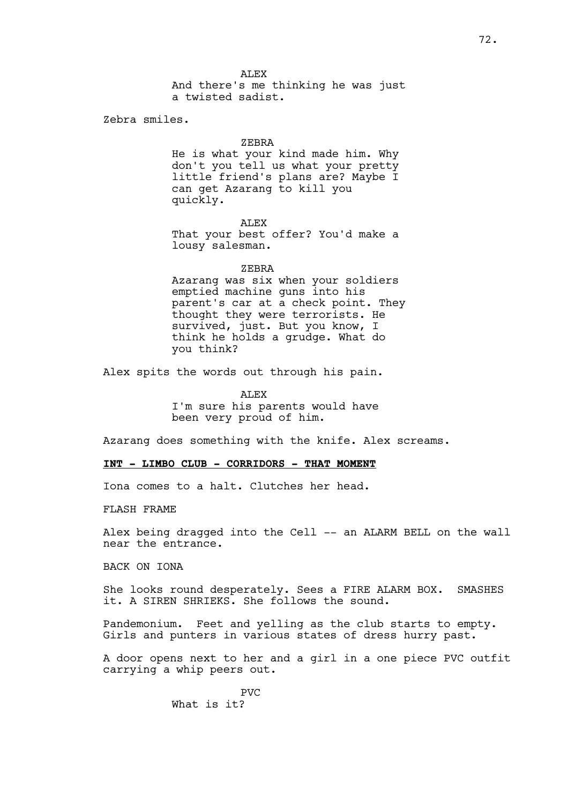ALEX And there's me thinking he was just a twisted sadist.

Zebra smiles.

#### ZEBRA

He is what your kind made him. Why don't you tell us what your pretty little friend's plans are? Maybe I can get Azarang to kill you quickly.

ALEX That your best offer? You'd make a lousy salesman.

#### ZEBRA

Azarang was six when your soldiers emptied machine guns into his parent's car at a check point. They thought they were terrorists. He survived, just. But you know, I think he holds a grudge. What do you think?

Alex spits the words out through his pain.

**ALEX** I'm sure his parents would have been very proud of him.

Azarang does something with the knife. Alex screams.

#### **INT - LIMBO CLUB - CORRIDORS - THAT MOMENT**

Iona comes to a halt. Clutches her head.

FLASH FRAME

Alex being dragged into the Cell -- an ALARM BELL on the wall near the entrance.

BACK ON IONA

She looks round desperately. Sees a FIRE ALARM BOX. SMASHES it. A SIREN SHRIEKS. She follows the sound.

Pandemonium. Feet and yelling as the club starts to empty. Girls and punters in various states of dress hurry past.

A door opens next to her and a girl in a one piece PVC outfit carrying a whip peers out.

> PVC What is it?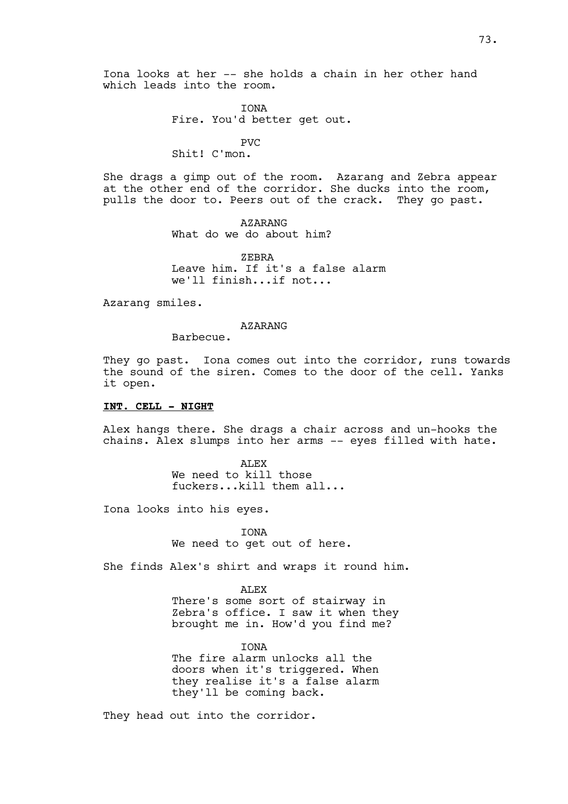IONA Fire. You'd better get out.

## PVC

Shit! C'mon.

She drags a gimp out of the room. Azarang and Zebra appear at the other end of the corridor. She ducks into the room, pulls the door to. Peers out of the crack. They go past.

> AZARANG What do we do about him?

ZEBRA Leave him. If it's a false alarm we'll finish...if not...

Azarang smiles.

#### AZARANG

Barbecue.

They go past. Iona comes out into the corridor, runs towards the sound of the siren. Comes to the door of the cell. Yanks it open.

# **INT. CELL - NIGHT**

Alex hangs there. She drags a chair across and un-hooks the chains. Alex slumps into her arms -- eyes filled with hate.

> ALEX We need to kill those fuckers...kill them all...

Iona looks into his eyes.

IONA We need to get out of here.

She finds Alex's shirt and wraps it round him.

ALEX There's some sort of stairway in Zebra's office. I saw it when they brought me in. How'd you find me?

**TONA** The fire alarm unlocks all the doors when it's triggered. When they realise it's a false alarm they'll be coming back.

They head out into the corridor.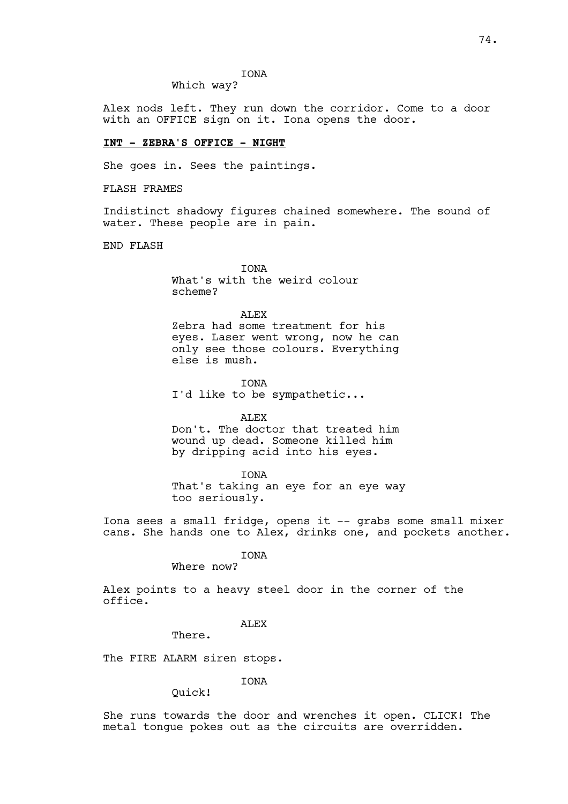# IONA

Which way?

Alex nods left. They run down the corridor. Come to a door with an OFFICE sign on it. Iona opens the door.

#### **INT - ZEBRA'S OFFICE - NIGHT**

She goes in. Sees the paintings.

FLASH FRAMES

Indistinct shadowy figures chained somewhere. The sound of water. These people are in pain.

END FLASH

**TONA** What's with the weird colour scheme?

**ALEX** 

Zebra had some treatment for his eyes. Laser went wrong, now he can only see those colours. Everything else is mush.

IONA I'd like to be sympathetic...

ALEX

Don't. The doctor that treated him wound up dead. Someone killed him by dripping acid into his eyes.

IONA That's taking an eye for an eye way too seriously.

Iona sees a small fridge, opens it -- grabs some small mixer cans. She hands one to Alex, drinks one, and pockets another.

IONA

Where now?

Alex points to a heavy steel door in the corner of the office.

ALEX

There.

The FIRE ALARM siren stops.

**TONA** 

Quick!

She runs towards the door and wrenches it open. CLICK! The metal tongue pokes out as the circuits are overridden.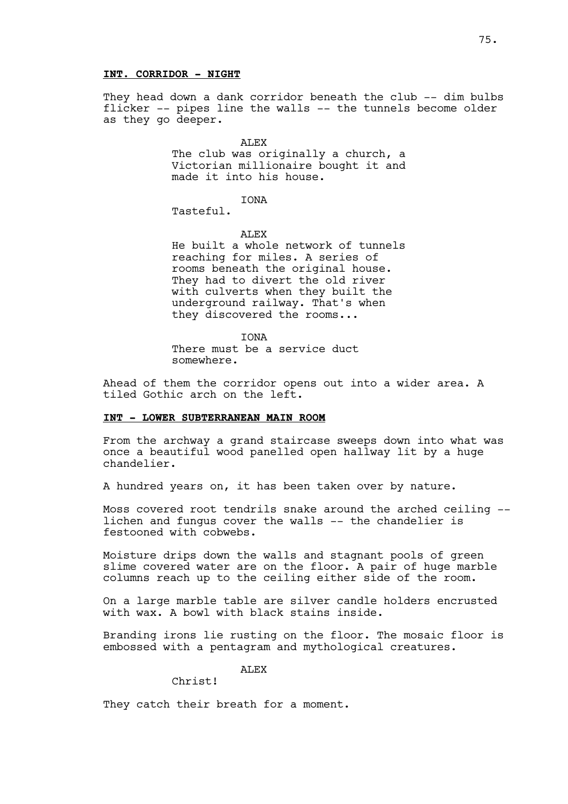They head down a dank corridor beneath the club -- dim bulbs flicker -- pipes line the walls -- the tunnels become older as they go deeper.

> ALEX The club was originally a church, a Victorian millionaire bought it and made it into his house.

IONA Tasteful.

ALEX

He built a whole network of tunnels reaching for miles. A series of rooms beneath the original house. They had to divert the old river with culverts when they built the underground railway. That's when they discovered the rooms...

IONA There must be a service duct somewhere.

Ahead of them the corridor opens out into a wider area. A tiled Gothic arch on the left.

## **INT - LOWER SUBTERRANEAN MAIN ROOM**

From the archway a grand staircase sweeps down into what was once a beautiful wood panelled open hallway lit by a huge chandelier.

A hundred years on, it has been taken over by nature.

Moss covered root tendrils snake around the arched ceiling - lichen and fungus cover the walls -- the chandelier is festooned with cobwebs.

Moisture drips down the walls and stagnant pools of green slime covered water are on the floor. A pair of huge marble columns reach up to the ceiling either side of the room.

On a large marble table are silver candle holders encrusted with wax. A bowl with black stains inside.

Branding irons lie rusting on the floor. The mosaic floor is embossed with a pentagram and mythological creatures.

**ALEX** 

Christ!

They catch their breath for a moment.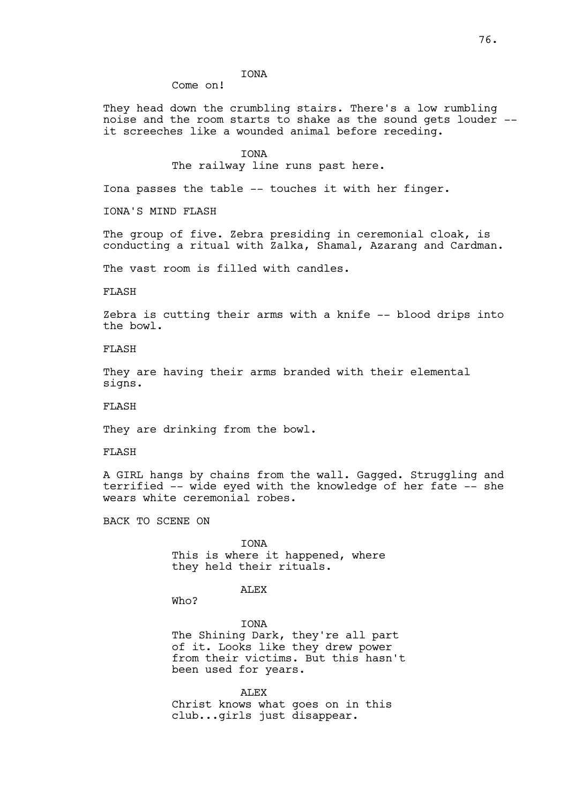# IONA

Come on!

They head down the crumbling stairs. There's a low rumbling noise and the room starts to shake as the sound gets louder - it screeches like a wounded animal before receding.

**TONA** 

The railway line runs past here.

Iona passes the table -- touches it with her finger.

IONA'S MIND FLASH

The group of five. Zebra presiding in ceremonial cloak, is conducting a ritual with Zalka, Shamal, Azarang and Cardman.

The vast room is filled with candles.

FLASH

Zebra is cutting their arms with a knife -- blood drips into the bowl.

FLASH

They are having their arms branded with their elemental signs.

FLASH

They are drinking from the bowl.

FLASH

A GIRL hangs by chains from the wall. Gagged. Struggling and terrified -- wide eyed with the knowledge of her fate -- she wears white ceremonial robes.

BACK TO SCENE ON

IONA This is where it happened, where they held their rituals.

ALEX

Who?

IONA The Shining Dark, they're all part of it. Looks like they drew power from their victims. But this hasn't been used for years.

ALEX Christ knows what goes on in this club...girls just disappear.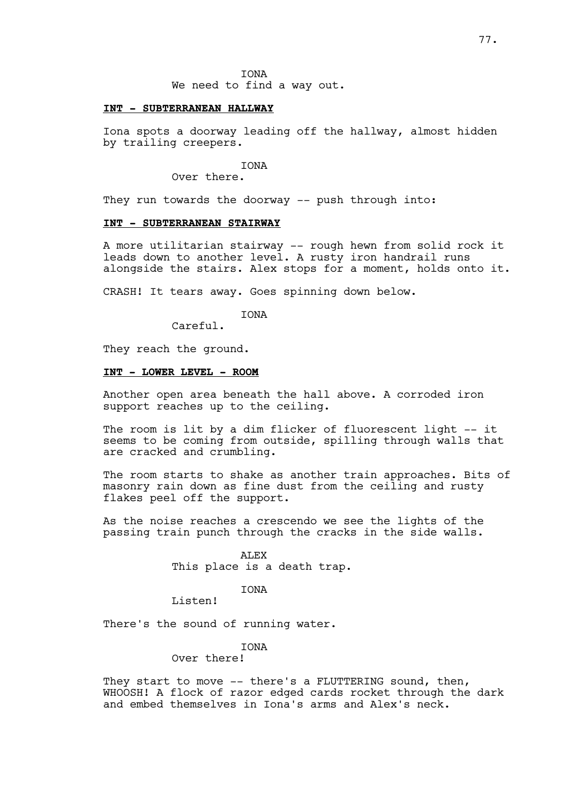IONA We need to find a way out.

#### **INT - SUBTERRANEAN HALLWAY**

Iona spots a doorway leading off the hallway, almost hidden by trailing creepers.

IONA

Over there.

They run towards the doorway -- push through into:

# **INT - SUBTERRANEAN STAIRWAY**

A more utilitarian stairway -- rough hewn from solid rock it leads down to another level. A rusty iron handrail runs alongside the stairs. Alex stops for a moment, holds onto it.

CRASH! It tears away. Goes spinning down below.

IONA

Careful.

They reach the ground.

### **INT - LOWER LEVEL - ROOM**

Another open area beneath the hall above. A corroded iron support reaches up to the ceiling.

The room is lit by a dim flicker of fluorescent light -- it seems to be coming from outside, spilling through walls that are cracked and crumbling.

The room starts to shake as another train approaches. Bits of masonry rain down as fine dust from the ceiling and rusty flakes peel off the support.

As the noise reaches a crescendo we see the lights of the passing train punch through the cracks in the side walls.

> ALEX This place is a death trap.

> > IONA

Listen!

There's the sound of running water.

### **TONA**

## Over there!

They start to move -- there's a FLUTTERING sound, then, WHOOSH! A flock of razor edged cards rocket through the dark and embed themselves in Iona's arms and Alex's neck.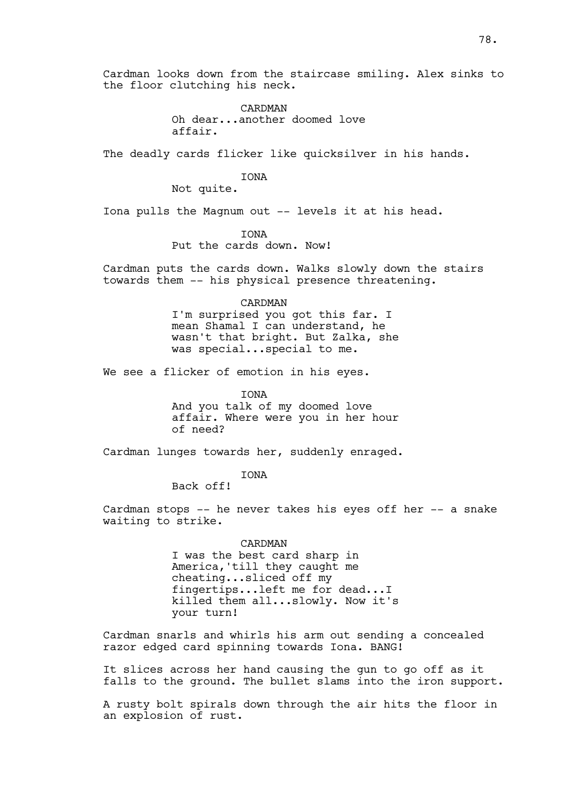Cardman looks down from the staircase smiling. Alex sinks to the floor clutching his neck.

> CARDMAN Oh dear...another doomed love affair.

The deadly cards flicker like quicksilver in his hands.

IONA

Not quite.

Iona pulls the Magnum out -- levels it at his head.

IONA

Put the cards down. Now!

Cardman puts the cards down. Walks slowly down the stairs towards them -- his physical presence threatening.

> CARDMAN I'm surprised you got this far. I mean Shamal I can understand, he wasn't that bright. But Zalka, she was special...special to me.

We see a flicker of emotion in his eyes.

**TONA** And you talk of my doomed love affair. Where were you in her hour of need?

Cardman lunges towards her, suddenly enraged.

IONA

Back off!

Cardman stops -- he never takes his eyes off her -- a snake waiting to strike.

> CARDMAN I was the best card sharp in America,'till they caught me cheating...sliced off my fingertips...left me for dead...I killed them all...slowly. Now it's your turn!

Cardman snarls and whirls his arm out sending a concealed razor edged card spinning towards Iona. BANG!

It slices across her hand causing the gun to go off as it falls to the ground. The bullet slams into the iron support.

A rusty bolt spirals down through the air hits the floor in an explosion of rust.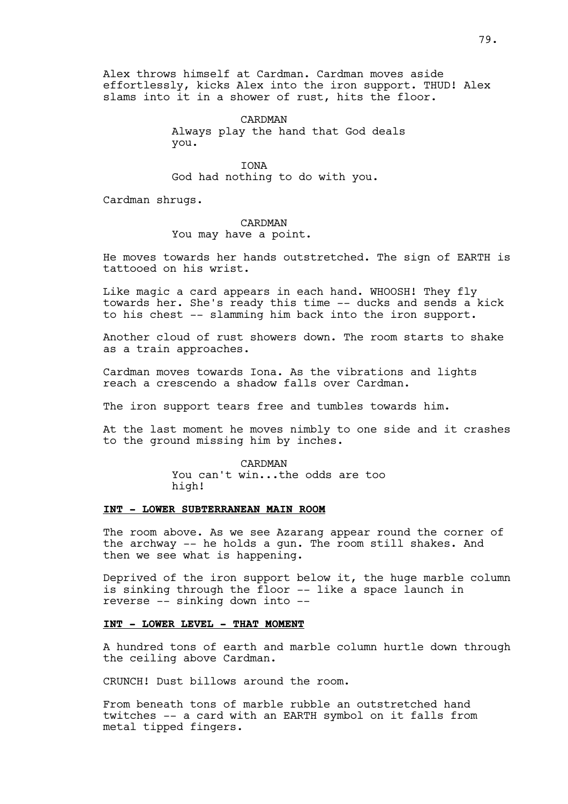Alex throws himself at Cardman. Cardman moves aside effortlessly, kicks Alex into the iron support. THUD! Alex slams into it in a shower of rust, hits the floor.

> CARDMAN Always play the hand that God deals you.

IONA God had nothing to do with you.

Cardman shrugs.

CARDMAN You may have a point.

He moves towards her hands outstretched. The sign of EARTH is tattooed on his wrist.

Like magic a card appears in each hand. WHOOSH! They fly towards her. She's ready this time -- ducks and sends a kick to his chest -- slamming him back into the iron support.

Another cloud of rust showers down. The room starts to shake as a train approaches.

Cardman moves towards Iona. As the vibrations and lights reach a crescendo a shadow falls over Cardman.

The iron support tears free and tumbles towards him.

At the last moment he moves nimbly to one side and it crashes to the ground missing him by inches.

#### CARDMAN

You can't win...the odds are too high!

#### **INT - LOWER SUBTERRANEAN MAIN ROOM**

The room above. As we see Azarang appear round the corner of the archway -- he holds a gun. The room still shakes. And then we see what is happening.

Deprived of the iron support below it, the huge marble column is sinking through the floor -- like a space launch in reverse -- sinking down into --

#### **INT - LOWER LEVEL - THAT MOMENT**

A hundred tons of earth and marble column hurtle down through the ceiling above Cardman.

CRUNCH! Dust billows around the room.

From beneath tons of marble rubble an outstretched hand twitches -- a card with an EARTH symbol on it falls from metal tipped fingers.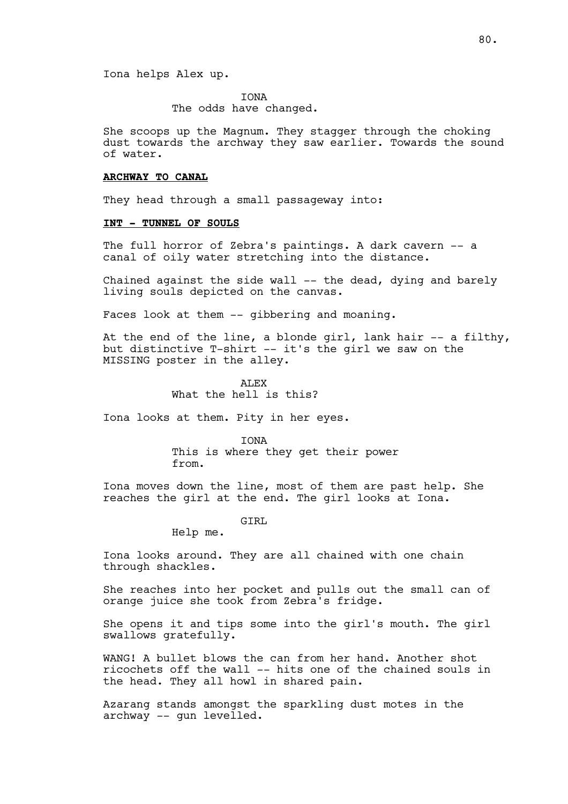Iona helps Alex up.

IONA

The odds have changed.

She scoops up the Magnum. They stagger through the choking dust towards the archway they saw earlier. Towards the sound of water.

#### **ARCHWAY TO CANAL**

They head through a small passageway into:

#### **INT - TUNNEL OF SOULS**

The full horror of Zebra's paintings. A dark cavern -- a canal of oily water stretching into the distance.

Chained against the side wall -- the dead, dying and barely living souls depicted on the canvas.

Faces look at them -- gibbering and moaning.

At the end of the line, a blonde girl, lank hair -- a filthy, but distinctive T-shirt -- it's the girl we saw on the MISSING poster in the alley.

> ALEX What the hell is this?

Iona looks at them. Pity in her eyes.

IONA This is where they get their power from.

Iona moves down the line, most of them are past help. She reaches the girl at the end. The girl looks at Iona.

GTRL

Help me.

Iona looks around. They are all chained with one chain through shackles.

She reaches into her pocket and pulls out the small can of orange juice she took from Zebra's fridge.

She opens it and tips some into the girl's mouth. The girl swallows gratefully.

WANG! A bullet blows the can from her hand. Another shot ricochets off the wall -- hits one of the chained souls in the head. They all howl in shared pain.

Azarang stands amongst the sparkling dust motes in the archway -- gun levelled.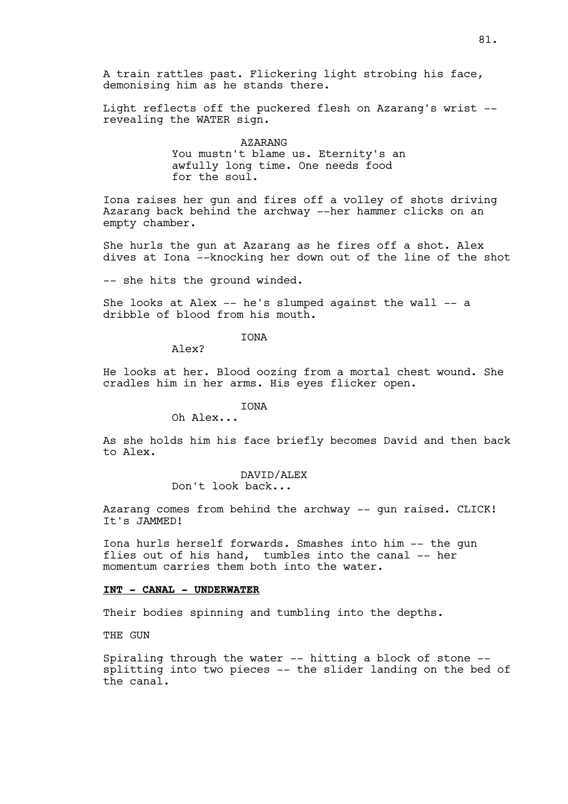A train rattles past. Flickering light strobing his face, demonising him as he stands there.

Light reflects off the puckered flesh on Azarang's wrist - revealing the WATER sign.

> AZARANG You mustn't blame us. Eternity's an awfully long time. One needs food for the soul.

Iona raises her gun and fires off a volley of shots driving Azarang back behind the archway --her hammer clicks on an empty chamber.

She hurls the gun at Azarang as he fires off a shot. Alex dives at Iona --knocking her down out of the line of the shot

-- she hits the ground winded.

She looks at Alex -- he's slumped against the wall -- a dribble of blood from his mouth.

# IONA

Alex?

He looks at her. Blood oozing from a mortal chest wound. She cradles him in her arms. His eyes flicker open.

## **TONA**

Oh Alex...

As she holds him his face briefly becomes David and then back to Alex.

## DAVID/ALEX

Don't look back...

Azarang comes from behind the archway -- gun raised. CLICK! It's JAMMED!

Iona hurls herself forwards. Smashes into him -- the gun flies out of his hand, tumbles into the canal -- her momentum carries them both into the water.

## **INT - CANAL - UNDERWATER**

Their bodies spinning and tumbling into the depths.

THE GUN

Spiraling through the water -- hitting a block of stone - splitting into two pieces -- the slider landing on the bed of the canal.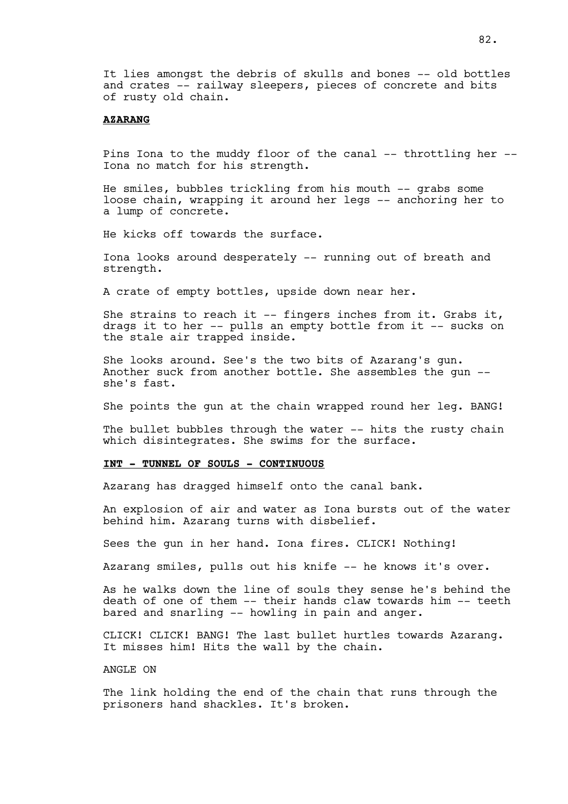It lies amongst the debris of skulls and bones -- old bottles and crates -- railway sleepers, pieces of concrete and bits of rusty old chain.

### **AZARANG**

Pins Iona to the muddy floor of the canal -- throttling her -- Iona no match for his strength.

He smiles, bubbles trickling from his mouth -- grabs some loose chain, wrapping it around her legs -- anchoring her to a lump of concrete.

He kicks off towards the surface.

Iona looks around desperately -- running out of breath and strength.

A crate of empty bottles, upside down near her.

She strains to reach it  $-$ - fingers inches from it. Grabs it, drags it to her -- pulls an empty bottle from it -- sucks on the stale air trapped inside.

She looks around. See's the two bits of Azarang's gun. Another suck from another bottle. She assembles the gun - she's fast.

She points the gun at the chain wrapped round her leg. BANG!

The bullet bubbles through the water -- hits the rusty chain which disintegrates. She swims for the surface.

#### **INT - TUNNEL OF SOULS - CONTINUOUS**

Azarang has dragged himself onto the canal bank.

An explosion of air and water as Iona bursts out of the water behind him. Azarang turns with disbelief.

Sees the gun in her hand. Iona fires. CLICK! Nothing!

Azarang smiles, pulls out his knife -- he knows it's over.

As he walks down the line of souls they sense he's behind the death of one of them -- their hands claw towards him -- teeth bared and snarling -- howling in pain and anger.

CLICK! CLICK! BANG! The last bullet hurtles towards Azarang. It misses him! Hits the wall by the chain.

### ANGLE ON

The link holding the end of the chain that runs through the prisoners hand shackles. It's broken.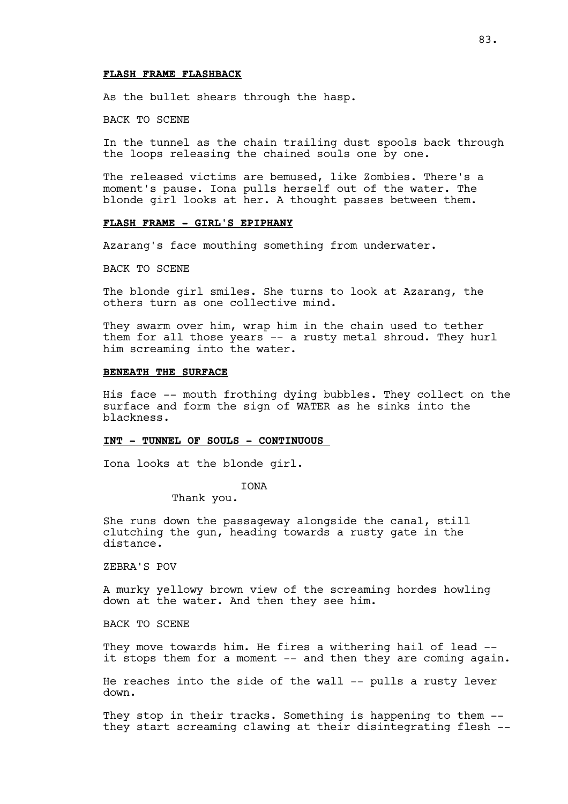#### **FLASH FRAME FLASHBACK**

As the bullet shears through the hasp.

BACK TO SCENE

In the tunnel as the chain trailing dust spools back through the loops releasing the chained souls one by one.

The released victims are bemused, like Zombies. There's a moment's pause. Iona pulls herself out of the water. The blonde girl looks at her. A thought passes between them.

## **FLASH FRAME - GIRL'S EPIPHANY**

Azarang's face mouthing something from underwater.

BACK TO SCENE

The blonde girl smiles. She turns to look at Azarang, the others turn as one collective mind.

They swarm over him, wrap him in the chain used to tether them for all those years -- a rusty metal shroud. They hurl him screaming into the water.

#### **BENEATH THE SURFACE**

His face -- mouth frothing dying bubbles. They collect on the surface and form the sign of WATER as he sinks into the blackness.

#### **INT - TUNNEL OF SOULS - CONTINUOUS**

Iona looks at the blonde girl.

IONA

Thank you.

She runs down the passageway alongside the canal, still clutching the gun, heading towards a rusty gate in the distance.

ZEBRA'S POV

A murky yellowy brown view of the screaming hordes howling down at the water. And then they see him.

BACK TO SCENE

They move towards him. He fires a withering hail of lead -it stops them for a moment -- and then they are coming again.

He reaches into the side of the wall -- pulls a rusty lever down.

They stop in their tracks. Something is happening to them -they start screaming clawing at their disintegrating flesh --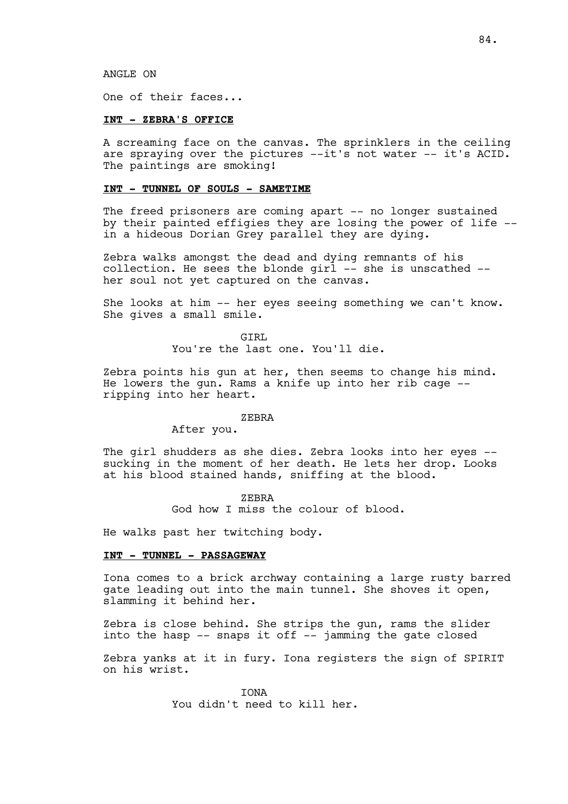ANGLE ON

One of their faces...

### **INT - ZEBRA'S OFFICE**

A screaming face on the canvas. The sprinklers in the ceiling are spraying over the pictures --it's not water -- it's ACID. The paintings are smoking!

#### **INT - TUNNEL OF SOULS - SAMETIME**

The freed prisoners are coming apart -- no longer sustained by their painted effigies they are losing the power of life - in a hideous Dorian Grey parallel they are dying.

Zebra walks amongst the dead and dying remnants of his collection. He sees the blonde girl -- she is unscathed - her soul not yet captured on the canvas.

She looks at him -- her eyes seeing something we can't know. She gives a small smile.

> GIRL You're the last one. You'll die.

Zebra points his gun at her, then seems to change his mind. He lowers the gun. Rams a knife up into her rib cage - ripping into her heart.

#### ZEBRA

After you.

The girl shudders as she dies. Zebra looks into her eyes - sucking in the moment of her death. He lets her drop. Looks at his blood stained hands, sniffing at the blood.

> ZEBRA God how I miss the colour of blood.

He walks past her twitching body.

### **INT - TUNNEL - PASSAGEWAY**

Iona comes to a brick archway containing a large rusty barred gate leading out into the main tunnel. She shoves it open, slamming it behind her.

Zebra is close behind. She strips the gun, rams the slider into the hasp -- snaps it off -- jamming the gate closed

Zebra yanks at it in fury. Iona registers the sign of SPIRIT on his wrist.

> IONA You didn't need to kill her.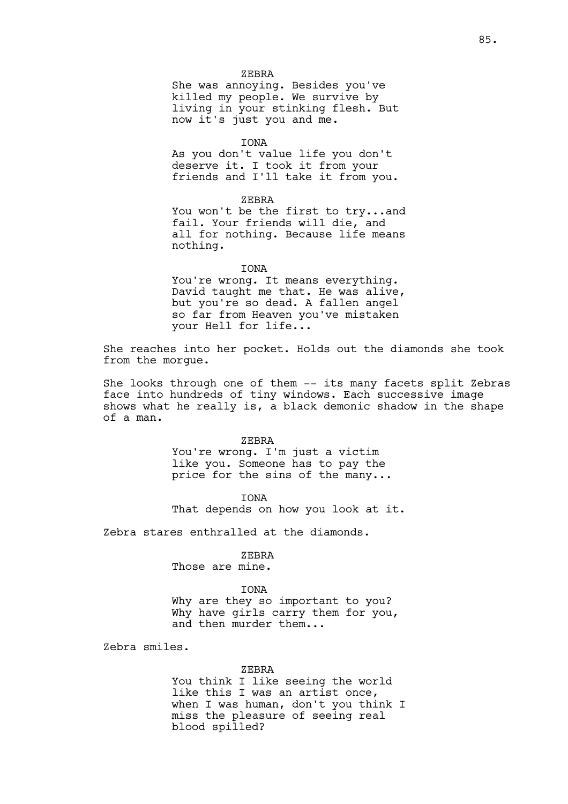ZEBRA

She was annoying. Besides you've killed my people. We survive by living in your stinking flesh. But now it's just you and me.

IONA

As you don't value life you don't deserve it. I took it from your friends and I'll take it from you.

ZEBRA

You won't be the first to try...and fail. Your friends will die, and all for nothing. Because life means nothing.

**TONA** 

You're wrong. It means everything. David taught me that. He was alive, but you're so dead. A fallen angel so far from Heaven you've mistaken your Hell for life...

She reaches into her pocket. Holds out the diamonds she took from the morgue.

She looks through one of them -- its many facets split Zebras face into hundreds of tiny windows. Each successive image shows what he really is, a black demonic shadow in the shape of a man.

#### ZEBRA

You're wrong. I'm just a victim like you. Someone has to pay the price for the sins of the many...

IONA That depends on how you look at it.

Zebra stares enthralled at the diamonds.

ZEBRA

Those are mine.

### IONA

Why are they so important to you? Why have girls carry them for you, and then murder them...

Zebra smiles.

#### ZEBRA

You think I like seeing the world like this I was an artist once, when I was human, don't you think I miss the pleasure of seeing real blood spilled?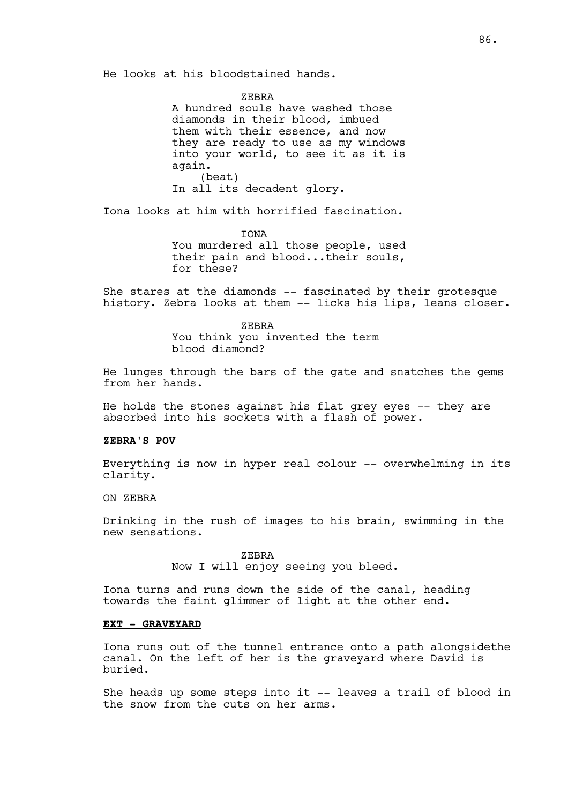He looks at his bloodstained hands.

ZEBRA

A hundred souls have washed those diamonds in their blood, imbued them with their essence, and now they are ready to use as my windows into your world, to see it as it is again. (beat) In all its decadent glory.

Iona looks at him with horrified fascination.

**TONA** You murdered all those people, used their pain and blood...their souls, for these?

She stares at the diamonds -- fascinated by their grotesque history. Zebra looks at them -- licks his lips, leans closer.

> ZEBRA You think you invented the term blood diamond?

He lunges through the bars of the gate and snatches the gems from her hands.

He holds the stones against his flat grey eyes -- they are absorbed into his sockets with a flash of power.

## **ZEBRA'S POV**

Everything is now in hyper real colour -- overwhelming in its clarity.

# ON ZEBRA

Drinking in the rush of images to his brain, swimming in the new sensations.

> ZEBRA Now I will enjoy seeing you bleed.

Iona turns and runs down the side of the canal, heading towards the faint glimmer of light at the other end.

## **EXT - GRAVEYARD**

Iona runs out of the tunnel entrance onto a path alongsidethe canal. On the left of her is the graveyard where David is buried.

She heads up some steps into it -- leaves a trail of blood in the snow from the cuts on her arms.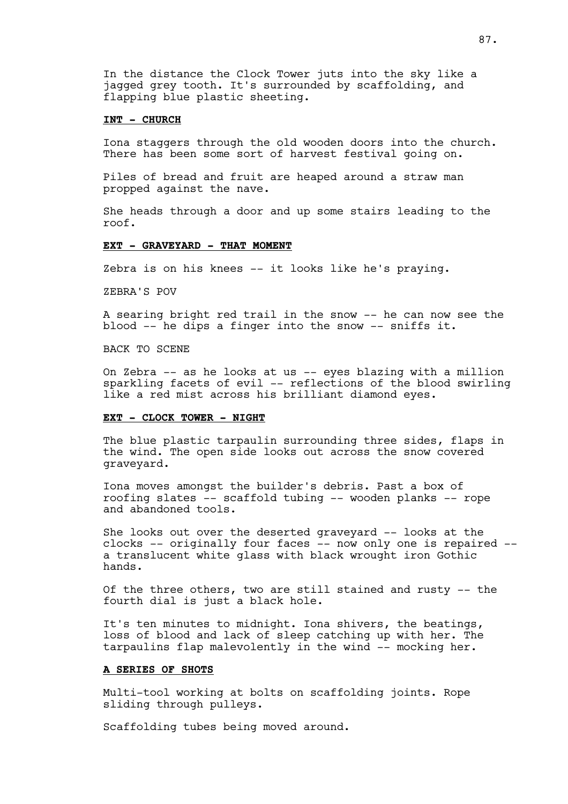In the distance the Clock Tower juts into the sky like a jagged grey tooth. It's surrounded by scaffolding, and flapping blue plastic sheeting.

### **INT - CHURCH**

Iona staggers through the old wooden doors into the church. There has been some sort of harvest festival going on.

Piles of bread and fruit are heaped around a straw man propped against the nave.

She heads through a door and up some stairs leading to the roof.

## **EXT - GRAVEYARD - THAT MOMENT**

Zebra is on his knees -- it looks like he's praying.

ZEBRA'S POV

A searing bright red trail in the snow -- he can now see the blood -- he dips a finger into the snow -- sniffs it.

BACK TO SCENE

On Zebra -- as he looks at us -- eyes blazing with a million sparkling facets of evil -- reflections of the blood swirling like a red mist across his brilliant diamond eyes.

## **EXT - CLOCK TOWER - NIGHT**

The blue plastic tarpaulin surrounding three sides, flaps in the wind. The open side looks out across the snow covered graveyard.

Iona moves amongst the builder's debris. Past a box of roofing slates -- scaffold tubing -- wooden planks -- rope and abandoned tools.

She looks out over the deserted graveyard -- looks at the clocks -- originally four faces -- now only one is repaired - a translucent white glass with black wrought iron Gothic hands.

Of the three others, two are still stained and rusty -- the fourth dial is just a black hole.

It's ten minutes to midnight. Iona shivers, the beatings, loss of blood and lack of sleep catching up with her. The tarpaulins flap malevolently in the wind -- mocking her.

### **A SERIES OF SHOTS**

Multi-tool working at bolts on scaffolding joints. Rope sliding through pulleys.

Scaffolding tubes being moved around.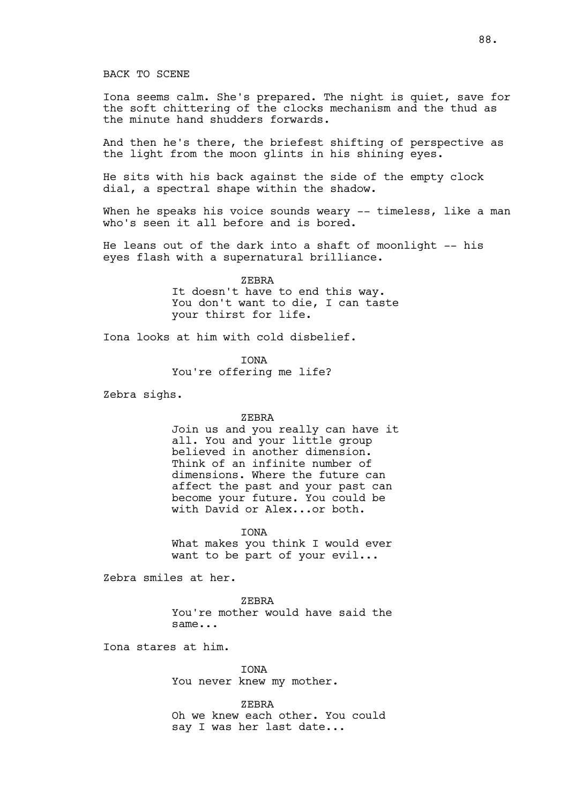#### BACK TO SCENE

Iona seems calm. She's prepared. The night is quiet, save for the soft chittering of the clocks mechanism and the thud as the minute hand shudders forwards.

And then he's there, the briefest shifting of perspective as the light from the moon glints in his shining eyes.

He sits with his back against the side of the empty clock dial, a spectral shape within the shadow.

When he speaks his voice sounds weary -- timeless, like a man who's seen it all before and is bored.

He leans out of the dark into a shaft of moonlight -- his eyes flash with a supernatural brilliance.

> ZEBRA It doesn't have to end this way. You don't want to die, I can taste your thirst for life.

Iona looks at him with cold disbelief.

IONA

You're offering me life?

Zebra sighs.

#### ZEBRA

Join us and you really can have it all. You and your little group believed in another dimension. Think of an infinite number of dimensions. Where the future can affect the past and your past can become your future. You could be with David or Alex...or both.

IONA

What makes you think I would ever want to be part of your evil...

Zebra smiles at her.

ZEBRA You're mother would have said the same...

Iona stares at him.

**TONA** You never knew my mother.

ZEBRA Oh we knew each other. You could say I was her last date...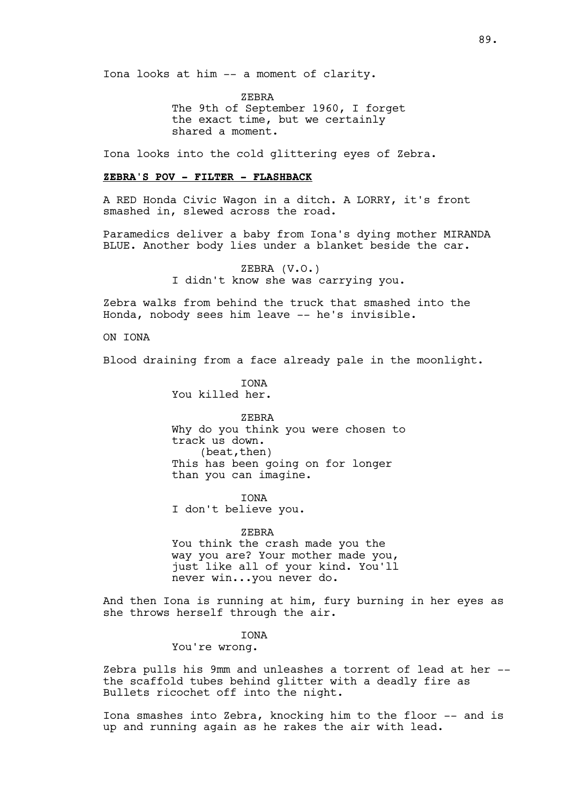Iona looks at him -- a moment of clarity.

ZEBRA The 9th of September 1960, I forget the exact time, but we certainly shared a moment.

Iona looks into the cold glittering eyes of Zebra.

#### **ZEBRA'S POV - FILTER - FLASHBACK**

A RED Honda Civic Wagon in a ditch. A LORRY, it's front smashed in, slewed across the road.

Paramedics deliver a baby from Iona's dying mother MIRANDA BLUE. Another body lies under a blanket beside the car.

> ZEBRA (V.O.) I didn't know she was carrying you.

Zebra walks from behind the truck that smashed into the Honda, nobody sees him leave -- he's invisible.

ON IONA

Blood draining from a face already pale in the moonlight.

**TONA** You killed her.

ZEBRA Why do you think you were chosen to track us down. (beat,then) This has been going on for longer than you can imagine.

IONA I don't believe you.

ZEBRA You think the crash made you the way you are? Your mother made you, just like all of your kind. You'll never win...you never do.

And then Iona is running at him, fury burning in her eyes as she throws herself through the air.

**TONA** 

You're wrong.

Zebra pulls his 9mm and unleashes a torrent of lead at her - the scaffold tubes behind glitter with a deadly fire as Bullets ricochet off into the night.

Iona smashes into Zebra, knocking him to the floor -- and is up and running again as he rakes the air with lead.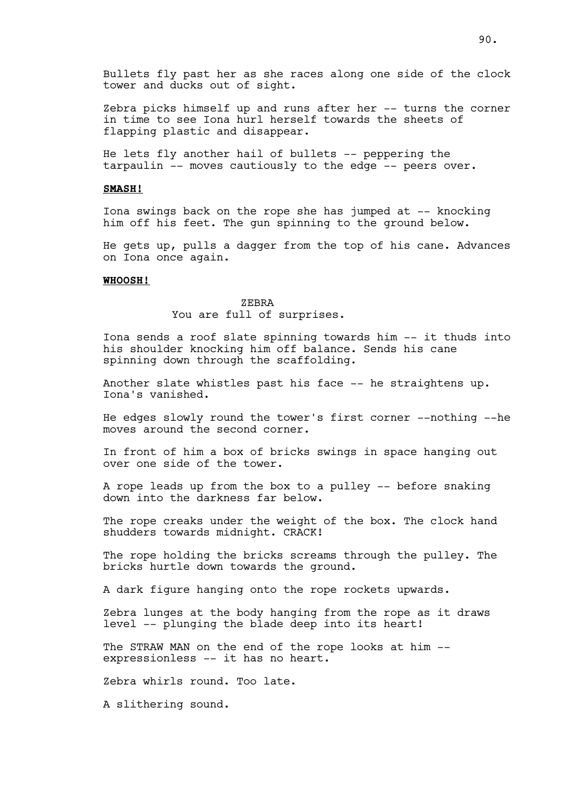Zebra picks himself up and runs after her -- turns the corner in time to see Iona hurl herself towards the sheets of flapping plastic and disappear.

He lets fly another hail of bullets -- peppering the tarpaulin -- moves cautiously to the edge -- peers over.

## **SMASH!**

Iona swings back on the rope she has jumped at -- knocking him off his feet. The gun spinning to the ground below.

He gets up, pulls a dagger from the top of his cane. Advances on Iona once again.

### **WHOOSH!**

ZEBRA You are full of surprises.

Iona sends a roof slate spinning towards him -- it thuds into his shoulder knocking him off balance. Sends his cane spinning down through the scaffolding.

Another slate whistles past his face -- he straightens up. Iona's vanished.

He edges slowly round the tower's first corner --nothing --he moves around the second corner.

In front of him a box of bricks swings in space hanging out over one side of the tower.

A rope leads up from the box to a pulley -- before snaking down into the darkness far below.

The rope creaks under the weight of the box. The clock hand shudders towards midnight. CRACK!

The rope holding the bricks screams through the pulley. The bricks hurtle down towards the ground.

A dark figure hanging onto the rope rockets upwards.

Zebra lunges at the body hanging from the rope as it draws level -- plunging the blade deep into its heart!

The STRAW MAN on the end of the rope looks at him -expressionless -- it has no heart.

Zebra whirls round. Too late.

A slithering sound.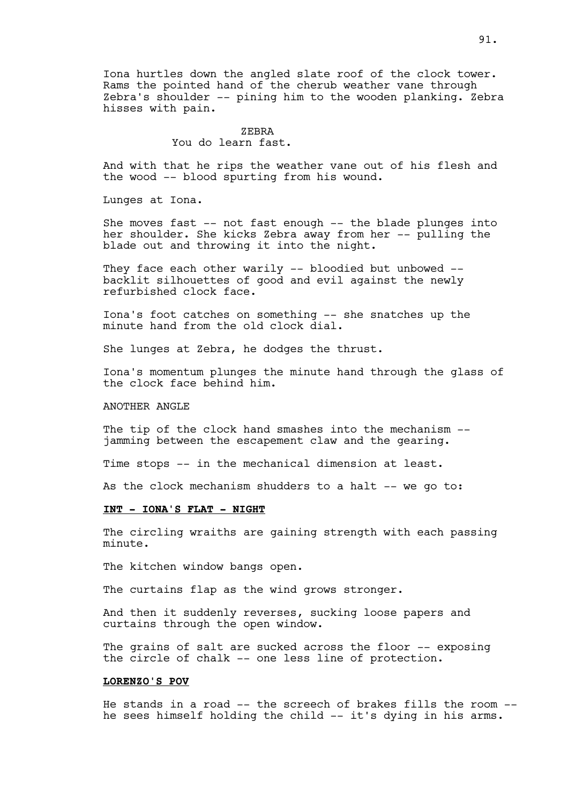Iona hurtles down the angled slate roof of the clock tower. Rams the pointed hand of the cherub weather vane through Zebra's shoulder -- pining him to the wooden planking. Zebra hisses with pain.

## ZEBRA You do learn fast.

And with that he rips the weather vane out of his flesh and the wood -- blood spurting from his wound.

Lunges at Iona.

She moves fast -- not fast enough -- the blade plunges into her shoulder. She kicks Zebra away from her -- pulling the blade out and throwing it into the night.

They face each other warily -- bloodied but unbowed -backlit silhouettes of good and evil against the newly refurbished clock face.

Iona's foot catches on something -- she snatches up the minute hand from the old clock dial.

She lunges at Zebra, he dodges the thrust.

Iona's momentum plunges the minute hand through the glass of the clock face behind him.

### ANOTHER ANGLE

The tip of the clock hand smashes into the mechanism -jamming between the escapement claw and the gearing.

Time stops -- in the mechanical dimension at least.

As the clock mechanism shudders to a halt -- we go to:

## **INT - IONA'S FLAT - NIGHT**

The circling wraiths are gaining strength with each passing minute.

The kitchen window bangs open.

The curtains flap as the wind grows stronger.

And then it suddenly reverses, sucking loose papers and curtains through the open window.

The grains of salt are sucked across the floor -- exposing the circle of chalk -- one less line of protection.

#### **LORENZO'S POV**

He stands in a road -- the screech of brakes fills the room - he sees himself holding the child -- it's dying in his arms.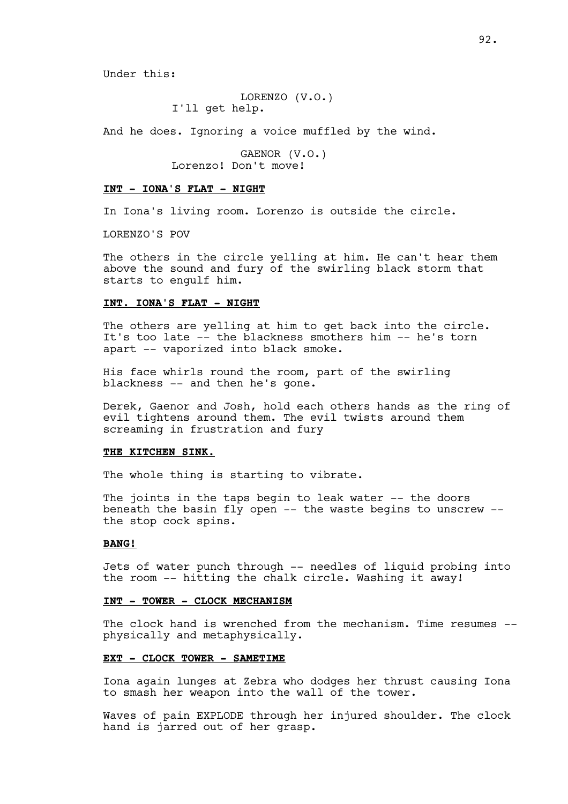Under this:

LORENZO (V.O.) I'll get help.

And he does. Ignoring a voice muffled by the wind.

GAENOR (V.O.) Lorenzo! Don't move!

#### **INT - IONA'S FLAT - NIGHT**

In Iona's living room. Lorenzo is outside the circle.

LORENZO'S POV

The others in the circle yelling at him. He can't hear them above the sound and fury of the swirling black storm that starts to engulf him.

### **INT. IONA'S FLAT - NIGHT**

The others are yelling at him to get back into the circle. It's too late -- the blackness smothers him -- he's torn apart -- vaporized into black smoke.

His face whirls round the room, part of the swirling blackness -- and then he's gone.

Derek, Gaenor and Josh, hold each others hands as the ring of evil tightens around them. The evil twists around them screaming in frustration and fury

#### **THE KITCHEN SINK.**

The whole thing is starting to vibrate.

The joints in the taps begin to leak water -- the doors beneath the basin fly open -- the waste begins to unscrew - the stop cock spins.

### **BANG!**

Jets of water punch through -- needles of liquid probing into the room -- hitting the chalk circle. Washing it away!

### **INT - TOWER - CLOCK MECHANISM**

The clock hand is wrenched from the mechanism. Time resumes -physically and metaphysically.

#### **EXT - CLOCK TOWER - SAMETIME**

Iona again lunges at Zebra who dodges her thrust causing Iona to smash her weapon into the wall of the tower.

Waves of pain EXPLODE through her injured shoulder. The clock hand is jarred out of her grasp.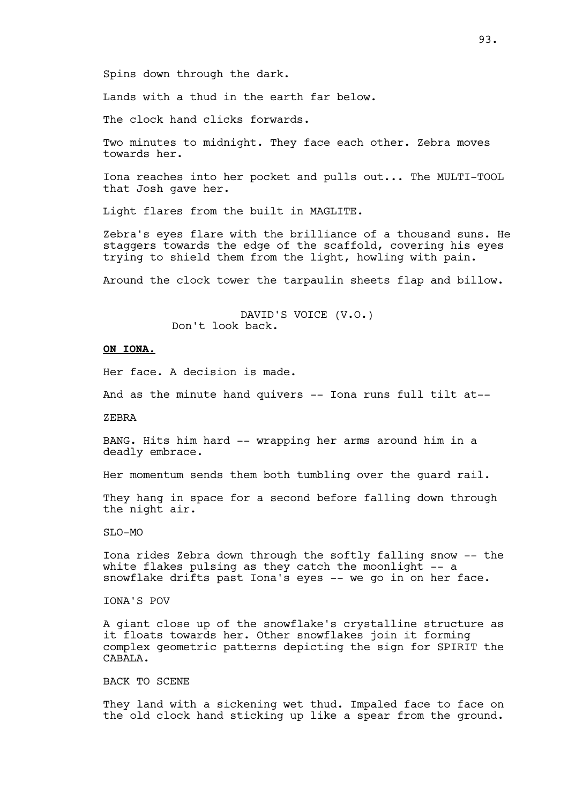Spins down through the dark.

Lands with a thud in the earth far below.

The clock hand clicks forwards.

Two minutes to midnight. They face each other. Zebra moves towards her.

Iona reaches into her pocket and pulls out... The MULTI-TOOL that Josh gave her.

Light flares from the built in MAGLITE.

Zebra's eyes flare with the brilliance of a thousand suns. He staggers towards the edge of the scaffold, covering his eyes trying to shield them from the light, howling with pain.

Around the clock tower the tarpaulin sheets flap and billow.

DAVID'S VOICE (V.O.) Don't look back.

## **ON IONA.**

Her face. A decision is made.

And as the minute hand quivers -- Iona runs full tilt at--

ZEBRA

BANG. Hits him hard -- wrapping her arms around him in a deadly embrace.

Her momentum sends them both tumbling over the guard rail.

They hang in space for a second before falling down through the night air.

SLO-MO

Iona rides Zebra down through the softly falling snow -- the white flakes pulsing as they catch the moonlight -- a snowflake drifts past Iona's eyes -- we go in on her face.

IONA'S POV

A giant close up of the snowflake's crystalline structure as it floats towards her. Other snowflakes join it forming complex geometric patterns depicting the sign for SPIRIT the CABALA.

BACK TO SCENE

They land with a sickening wet thud. Impaled face to face on the old clock hand sticking up like a spear from the ground.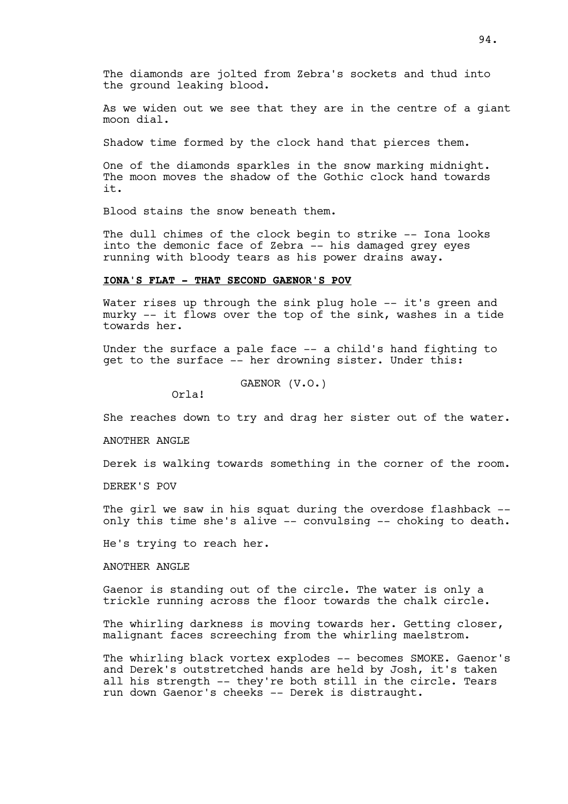The diamonds are jolted from Zebra's sockets and thud into the ground leaking blood.

As we widen out we see that they are in the centre of a giant moon dial.

Shadow time formed by the clock hand that pierces them.

One of the diamonds sparkles in the snow marking midnight. The moon moves the shadow of the Gothic clock hand towards it.

Blood stains the snow beneath them.

The dull chimes of the clock begin to strike -- Iona looks into the demonic face of Zebra -- his damaged grey eyes running with bloody tears as his power drains away.

### **IONA'S FLAT - THAT SECOND GAENOR'S POV**

Water rises up through the sink plug hole -- it's green and murky -- it flows over the top of the sink, washes in a tide towards her.

Under the surface a pale face -- a child's hand fighting to get to the surface -- her drowning sister. Under this:

GAENOR (V.O.)

Orla!

She reaches down to try and drag her sister out of the water.

ANOTHER ANGLE

Derek is walking towards something in the corner of the room.

DEREK'S POV

The girl we saw in his squat during the overdose flashback -only this time she's alive -- convulsing -- choking to death.

He's trying to reach her.

ANOTHER ANGLE

Gaenor is standing out of the circle. The water is only a trickle running across the floor towards the chalk circle.

The whirling darkness is moving towards her. Getting closer, malignant faces screeching from the whirling maelstrom.

The whirling black vortex explodes -- becomes SMOKE. Gaenor's and Derek's outstretched hands are held by Josh, it's taken all his strength -- they're both still in the circle. Tears run down Gaenor's cheeks -- Derek is distraught.